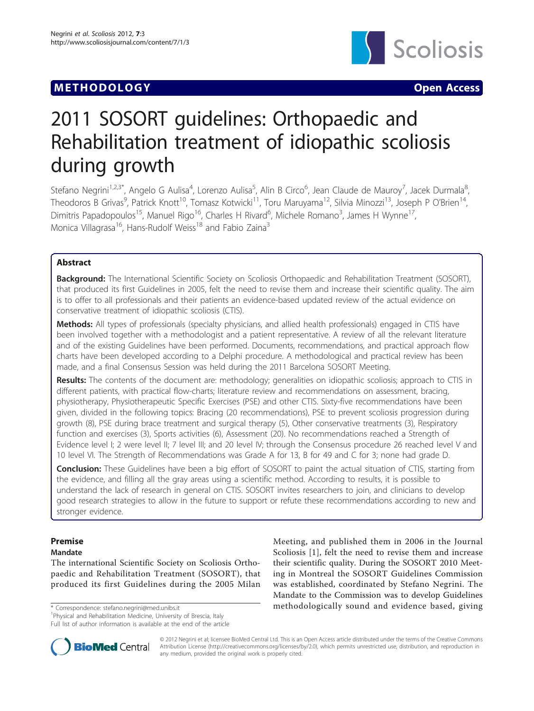# **METHODOLOGY Open Access**



# 2011 SOSORT guidelines: Orthopaedic and Rehabilitation treatment of idiopathic scoliosis during growth

Stefano Negrini<sup>1,2,3\*</sup>, Angelo G Aulisa<sup>4</sup>, Lorenzo Aulisa<sup>5</sup>, Alin B Circo<sup>6</sup>, Jean Claude de Mauroy<sup>7</sup>, Jacek Durmala<sup>8</sup> .<br>, Theodoros B Grivas<sup>9</sup>, Patrick Knott<sup>10</sup>, Tomasz Kotwicki<sup>11</sup>, Toru Maruyama<sup>12</sup>, Silvia Minozzi<sup>13</sup>, Joseph P O'Brien<sup>14</sup>, Dimitris Papadopoulos<sup>15</sup>, Manuel Rigo<sup>16</sup>, Charles H Rivard<sup>6</sup>, Michele Romano<sup>3</sup>, James H Wynne<sup>17</sup>, Monica Villagrasa<sup>16</sup>, Hans-Rudolf Weiss<sup>18</sup> and Fabio Zaina<sup>3</sup>

# Abstract

Background: The International Scientific Society on Scoliosis Orthopaedic and Rehabilitation Treatment (SOSORT), that produced its first Guidelines in 2005, felt the need to revise them and increase their scientific quality. The aim is to offer to all professionals and their patients an evidence-based updated review of the actual evidence on conservative treatment of idiopathic scoliosis (CTIS).

Methods: All types of professionals (specialty physicians, and allied health professionals) engaged in CTIS have been involved together with a methodologist and a patient representative. A review of all the relevant literature and of the existing Guidelines have been performed. Documents, recommendations, and practical approach flow charts have been developed according to a Delphi procedure. A methodological and practical review has been made, and a final Consensus Session was held during the 2011 Barcelona SOSORT Meeting.

Results: The contents of the document are: methodology; generalities on idiopathic scoliosis; approach to CTIS in different patients, with practical flow-charts; literature review and recommendations on assessment, bracing, physiotherapy, Physiotherapeutic Specific Exercises (PSE) and other CTIS. Sixty-five recommendations have been given, divided in the following topics: Bracing (20 recommendations), PSE to prevent scoliosis progression during growth (8), PSE during brace treatment and surgical therapy (5), Other conservative treatments (3), Respiratory function and exercises (3), Sports activities (6), Assessment (20). No recommendations reached a Strength of Evidence level I; 2 were level II; 7 level III; and 20 level IV; through the Consensus procedure 26 reached level V and 10 level VI. The Strength of Recommendations was Grade A for 13, B for 49 and C for 3; none had grade D.

Conclusion: These Guidelines have been a big effort of SOSORT to paint the actual situation of CTIS, starting from the evidence, and filling all the gray areas using a scientific method. According to results, it is possible to understand the lack of research in general on CTIS. SOSORT invites researchers to join, and clinicians to develop good research strategies to allow in the future to support or refute these recommendations according to new and stronger evidence.

### Premise Mandate

The international Scientific Society on Scoliosis Orthopaedic and Rehabilitation Treatment (SOSORT), that produced its first Guidelines during the 2005 Milan

<sup>1</sup>Physical and Rehabilitation Medicine, University of Brescia, Italy Full list of author information is available at the end of the article

Meeting, and published them in 2006 in the Journal Scoliosis [[1](#page-26-0)], felt the need to revise them and increase their scientific quality. During the SOSORT 2010 Meeting in Montreal the SOSORT Guidelines Commission was established, coordinated by Stefano Negrini. The Mandate to the Commission was to develop Guidelines \* Correspondence: [stefano.negrini@med.unibs.it](mailto:stefano.negrini@med.unibs.it) methodologically sound and evidence based, giving



© 2012 Negrini et al; licensee BioMed Central Ltd. This is an Open Access article distributed under the terms of the Creative Commons Attribution License [\(http://creativecommons.org/licenses/by/2.0](http://creativecommons.org/licenses/by/2.0)), which permits unrestricted use, distribution, and reproduction in any medium, provided the original work is properly cited.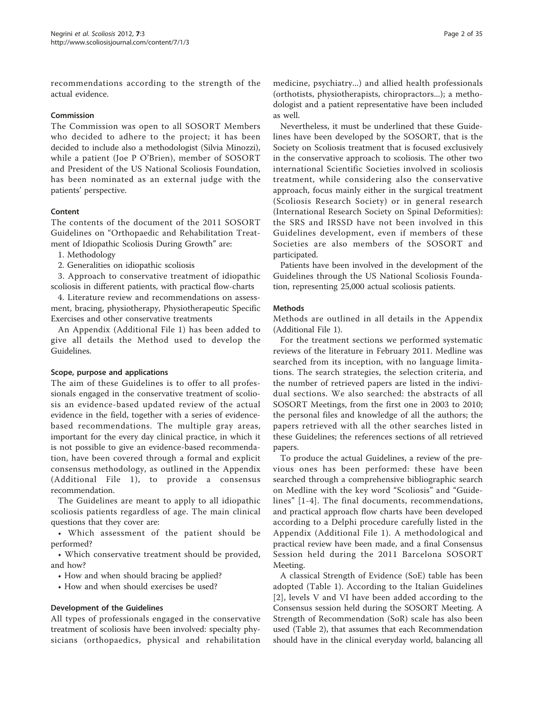recommendations according to the strength of the actual evidence.

### Commission

The Commission was open to all SOSORT Members who decided to adhere to the project; it has been decided to include also a methodologist (Silvia Minozzi), while a patient (Joe P O'Brien), member of SOSORT and President of the US National Scoliosis Foundation, has been nominated as an external judge with the patients' perspective.

# Content

The contents of the document of the 2011 SOSORT Guidelines on "Orthopaedic and Rehabilitation Treatment of Idiopathic Scoliosis During Growth" are:

- 1. Methodology
- 2. Generalities on idiopathic scoliosis

3. Approach to conservative treatment of idiopathic scoliosis in different patients, with practical flow-charts

4. Literature review and recommendations on assessment, bracing, physiotherapy, Physiotherapeutic Specific Exercises and other conservative treatments

An Appendix (Additional File [1\)](#page-25-0) has been added to give all details the Method used to develop the Guidelines.

# Scope, purpose and applications

The aim of these Guidelines is to offer to all professionals engaged in the conservative treatment of scoliosis an evidence-based updated review of the actual evidence in the field, together with a series of evidencebased recommendations. The multiple gray areas, important for the every day clinical practice, in which it is not possible to give an evidence-based recommendation, have been covered through a formal and explicit consensus methodology, as outlined in the Appendix (Additional File [1](#page-25-0)), to provide a consensus recommendation.

The Guidelines are meant to apply to all idiopathic scoliosis patients regardless of age. The main clinical questions that they cover are:

• Which assessment of the patient should be performed?

• Which conservative treatment should be provided, and how?

- How and when should bracing be applied?
- How and when should exercises be used?

# Development of the Guidelines

All types of professionals engaged in the conservative treatment of scoliosis have been involved: specialty physicians (orthopaedics, physical and rehabilitation Page 2 of 35

medicine, psychiatry...) and allied health professionals (orthotists, physiotherapists, chiropractors...); a methodologist and a patient representative have been included as well.

Nevertheless, it must be underlined that these Guidelines have been developed by the SOSORT, that is the Society on Scoliosis treatment that is focused exclusively in the conservative approach to scoliosis. The other two international Scientific Societies involved in scoliosis treatment, while considering also the conservative approach, focus mainly either in the surgical treatment (Scoliosis Research Society) or in general research (International Research Society on Spinal Deformities): the SRS and IRSSD have not been involved in this Guidelines development, even if members of these Societies are also members of the SOSORT and participated.

Patients have been involved in the development of the Guidelines through the US National Scoliosis Foundation, representing 25,000 actual scoliosis patients.

# Methods

Methods are outlined in all details in the Appendix (Additional File [1\)](#page-25-0).

For the treatment sections we performed systematic reviews of the literature in February 2011. Medline was searched from its inception, with no language limitations. The search strategies, the selection criteria, and the number of retrieved papers are listed in the individual sections. We also searched: the abstracts of all SOSORT Meetings, from the first one in 2003 to 2010; the personal files and knowledge of all the authors; the papers retrieved with all the other searches listed in these Guidelines; the references sections of all retrieved papers.

To produce the actual Guidelines, a review of the previous ones has been performed: these have been searched through a comprehensive bibliographic search on Medline with the key word "Scoliosis" and "Guidelines" [[1](#page-26-0)-[4\]](#page-26-0). The final documents, recommendations, and practical approach flow charts have been developed according to a Delphi procedure carefully listed in the Appendix (Additional File [1](#page-25-0)). A methodological and practical review have been made, and a final Consensus Session held during the 2011 Barcelona SOSORT Meeting.

A classical Strength of Evidence (SoE) table has been adopted (Table [1\)](#page-2-0). According to the Italian Guidelines [[2](#page-26-0)], levels V and VI have been added according to the Consensus session held during the SOSORT Meeting. A Strength of Recommendation (SoR) scale has also been used (Table [2\)](#page-2-0), that assumes that each Recommendation should have in the clinical everyday world, balancing all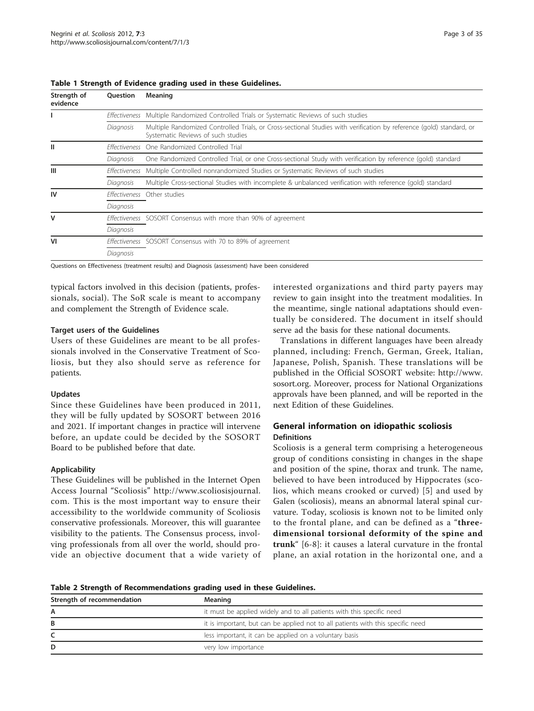| Strength of<br>evidence | <b>Ouestion</b> | Meaning                                                                                                                                                    |
|-------------------------|-----------------|------------------------------------------------------------------------------------------------------------------------------------------------------------|
|                         | Effectiveness   | Multiple Randomized Controlled Trials or Systematic Reviews of such studies                                                                                |
|                         | Diagnosis       | Multiple Randomized Controlled Trials, or Cross-sectional Studies with verification by reference (gold) standard, or<br>Systematic Reviews of such studies |
| Ш                       |                 | Effectiveness One Randomized Controlled Trial                                                                                                              |
|                         | Diagnosis       | One Randomized Controlled Trial, or one Cross-sectional Study with verification by reference (gold) standard                                               |
| Ш                       | Effectiveness   | Multiple Controlled nonrandomized Studies or Systematic Reviews of such studies                                                                            |
|                         | Diagnosis       | Multiple Cross-sectional Studies with incomplete & unbalanced verification with reference (gold) standard                                                  |
| IV                      |                 | Effectiveness Other studies                                                                                                                                |
|                         | Diagnosis       |                                                                                                                                                            |
| v                       |                 | <i>Effectiveness</i> SOSORT Consensus with more than 90% of agreement                                                                                      |
|                         | Diagnosis       |                                                                                                                                                            |
| VI                      |                 | Effectiveness SOSORT Consensus with 70 to 89% of agreement                                                                                                 |
|                         | Diagnosis       |                                                                                                                                                            |

<span id="page-2-0"></span>

|  |  |  |  |  |  |  |  |  | Table 1 Strength of Evidence grading used in these Guidelines. |
|--|--|--|--|--|--|--|--|--|----------------------------------------------------------------|
|--|--|--|--|--|--|--|--|--|----------------------------------------------------------------|

Questions on Effectiveness (treatment results) and Diagnosis (assessment) have been considered

typical factors involved in this decision (patients, professionals, social). The SoR scale is meant to accompany and complement the Strength of Evidence scale.

### Target users of the Guidelines

Users of these Guidelines are meant to be all professionals involved in the Conservative Treatment of Scoliosis, but they also should serve as reference for patients.

# Updates

Since these Guidelines have been produced in 2011, they will be fully updated by SOSORT between 2016 and 2021. If important changes in practice will intervene before, an update could be decided by the SOSORT Board to be published before that date.

# Applicability

These Guidelines will be published in the Internet Open Access Journal "Scoliosis" [http://www.scoliosisjournal.](http://www.scoliosisjournal.com) [com](http://www.scoliosisjournal.com). This is the most important way to ensure their accessibility to the worldwide community of Scoliosis conservative professionals. Moreover, this will guarantee visibility to the patients. The Consensus process, involving professionals from all over the world, should provide an objective document that a wide variety of interested organizations and third party payers may review to gain insight into the treatment modalities. In the meantime, single national adaptations should eventually be considered. The document in itself should serve ad the basis for these national documents.

Translations in different languages have been already planned, including: French, German, Greek, Italian, Japanese, Polish, Spanish. These translations will be published in the Official SOSORT website: [http://www.](http://www.sosort.org) [sosort.org.](http://www.sosort.org) Moreover, process for National Organizations approvals have been planned, and will be reported in the next Edition of these Guidelines.

# General information on idiopathic scoliosis **Definitions**

Scoliosis is a general term comprising a heterogeneous group of conditions consisting in changes in the shape and position of the spine, thorax and trunk. The name, believed to have been introduced by Hippocrates (scolios, which means crooked or curved) [[5\]](#page-26-0) and used by Galen (scoliosis), means an abnormal lateral spinal curvature. Today, scoliosis is known not to be limited only to the frontal plane, and can be defined as a "threedimensional torsional deformity of the spine and trunk" [[6-8](#page-26-0)]: it causes a lateral curvature in the frontal plane, an axial rotation in the horizontal one, and a

Table 2 Strength of Recommendations grading used in these Guidelines.

| Strength of recommendation | Meaning                                                                         |
|----------------------------|---------------------------------------------------------------------------------|
| А                          | it must be applied widely and to all patients with this specific need           |
| B                          | it is important, but can be applied not to all patients with this specific need |
|                            | less important, it can be applied on a voluntary basis                          |
| D                          | very low importance                                                             |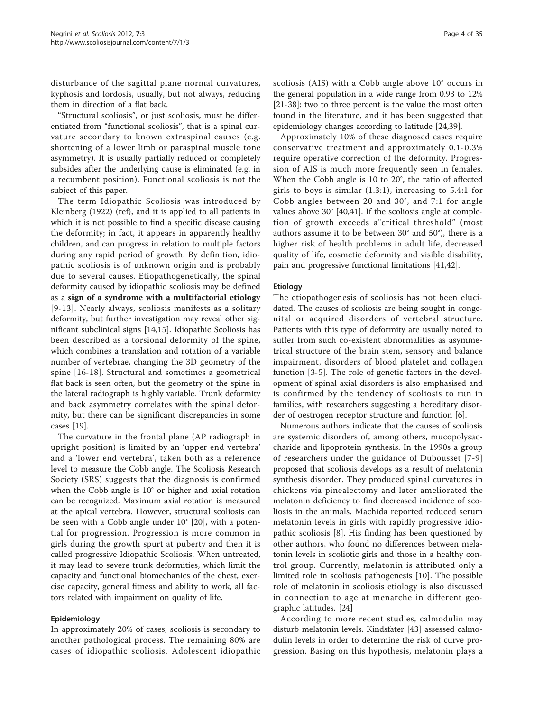disturbance of the sagittal plane normal curvatures, kyphosis and lordosis, usually, but not always, reducing them in direction of a flat back.

"Structural scoliosis", or just scoliosis, must be differentiated from "functional scoliosis", that is a spinal curvature secondary to known extraspinal causes (e.g. shortening of a lower limb or paraspinal muscle tone asymmetry). It is usually partially reduced or completely subsides after the underlying cause is eliminated (e.g. in a recumbent position). Functional scoliosis is not the subject of this paper.

The term Idiopathic Scoliosis was introduced by Kleinberg (1922) (ref), and it is applied to all patients in which it is not possible to find a specific disease causing the deformity; in fact, it appears in apparently healthy children, and can progress in relation to multiple factors during any rapid period of growth. By definition, idiopathic scoliosis is of unknown origin and is probably due to several causes. Etiopathogenetically, the spinal deformity caused by idiopathic scoliosis may be defined as a sign of a syndrome with a multifactorial etiology [[9](#page-26-0)-[13](#page-26-0)]. Nearly always, scoliosis manifests as a solitary deformity, but further investigation may reveal other significant subclinical signs [[14,15\]](#page-26-0). Idiopathic Scoliosis has been described as a torsional deformity of the spine, which combines a translation and rotation of a variable number of vertebrae, changing the 3D geometry of the spine [[16](#page-26-0)-[18\]](#page-26-0). Structural and sometimes a geometrical flat back is seen often, but the geometry of the spine in the lateral radiograph is highly variable. Trunk deformity and back asymmetry correlates with the spinal deformity, but there can be significant discrepancies in some cases [[19](#page-26-0)].

The curvature in the frontal plane (AP radiograph in upright position) is limited by an 'upper end vertebra' and a 'lower end vertebra', taken both as a reference level to measure the Cobb angle. The Scoliosis Research Society (SRS) suggests that the diagnosis is confirmed when the Cobb angle is 10° or higher and axial rotation can be recognized. Maximum axial rotation is measured at the apical vertebra. However, structural scoliosis can be seen with a Cobb angle under 10° [\[20](#page-26-0)], with a potential for progression. Progression is more common in girls during the growth spurt at puberty and then it is called progressive Idiopathic Scoliosis. When untreated, it may lead to severe trunk deformities, which limit the capacity and functional biomechanics of the chest, exercise capacity, general fitness and ability to work, all factors related with impairment on quality of life.

### Epidemiology

In approximately 20% of cases, scoliosis is secondary to another pathological process. The remaining 80% are cases of idiopathic scoliosis. Adolescent idiopathic scoliosis (AIS) with a Cobb angle above 10° occurs in the general population in a wide range from 0.93 to 12% [[21-](#page-26-0)[38](#page-27-0)]: two to three percent is the value the most often found in the literature, and it has been suggested that epidemiology changes according to latitude [[24,](#page-26-0)[39\]](#page-27-0).

Approximately 10% of these diagnosed cases require conservative treatment and approximately 0.1-0.3% require operative correction of the deformity. Progression of AIS is much more frequently seen in females. When the Cobb angle is 10 to 20°, the ratio of affected girls to boys is similar (1.3:1), increasing to 5.4:1 for Cobb angles between 20 and 30°, and 7:1 for angle values above 30° [\[40,41\]](#page-27-0). If the scoliosis angle at completion of growth exceeds a"critical threshold" (most authors assume it to be between 30° and 50°), there is a higher risk of health problems in adult life, decreased quality of life, cosmetic deformity and visible disability, pain and progressive functional limitations [\[41,42\]](#page-27-0).

### Etiology

The etiopathogenesis of scoliosis has not been elucidated. The causes of scoliosis are being sought in congenital or acquired disorders of vertebral structure. Patients with this type of deformity are usually noted to suffer from such co-existent abnormalities as asymmetrical structure of the brain stem, sensory and balance impairment, disorders of blood platelet and collagen function [[3-5](#page-26-0)]. The role of genetic factors in the development of spinal axial disorders is also emphasised and is confirmed by the tendency of scoliosis to run in families, with researchers suggesting a hereditary disorder of oestrogen receptor structure and function [[6\]](#page-26-0).

Numerous authors indicate that the causes of scoliosis are systemic disorders of, among others, mucopolysaccharide and lipoprotein synthesis. In the 1990s a group of researchers under the guidance of Dubousset [\[7](#page-26-0)-[9](#page-26-0)] proposed that scoliosis develops as a result of melatonin synthesis disorder. They produced spinal curvatures in chickens via pinealectomy and later ameliorated the melatonin deficiency to find decreased incidence of scoliosis in the animals. Machida reported reduced serum melatonin levels in girls with rapidly progressive idiopathic scoliosis [[8](#page-26-0)]. His finding has been questioned by other authors, who found no differences between melatonin levels in scoliotic girls and those in a healthy control group. Currently, melatonin is attributed only a limited role in scoliosis pathogenesis [[10\]](#page-26-0). The possible role of melatonin in scoliosis etiology is also discussed in connection to age at menarche in different geographic latitudes. [[24\]](#page-26-0)

According to more recent studies, calmodulin may disturb melatonin levels. Kindsfater [\[43](#page-27-0)] assessed calmodulin levels in order to determine the risk of curve progression. Basing on this hypothesis, melatonin plays a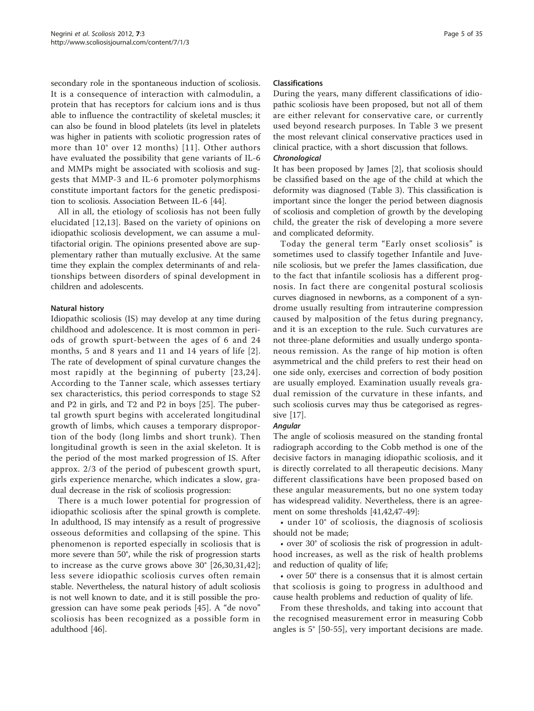secondary role in the spontaneous induction of scoliosis. It is a consequence of interaction with calmodulin, a protein that has receptors for calcium ions and is thus able to influence the contractility of skeletal muscles; it can also be found in blood platelets (its level in platelets was higher in patients with scoliotic progression rates of more than 10° over 12 months) [[11](#page-26-0)]. Other authors have evaluated the possibility that gene variants of IL-6 and MMPs might be associated with scoliosis and suggests that MMP-3 and IL-6 promoter polymorphisms constitute important factors for the genetic predisposition to scoliosis. Association Between IL-6 [[44\]](#page-27-0).

All in all, the etiology of scoliosis has not been fully elucidated [[12,13](#page-26-0)]. Based on the variety of opinions on idiopathic scoliosis development, we can assume a multifactorial origin. The opinions presented above are supplementary rather than mutually exclusive. At the same time they explain the complex determinants of and relationships between disorders of spinal development in children and adolescents.

### Natural history

Idiopathic scoliosis (IS) may develop at any time during childhood and adolescence. It is most common in periods of growth spurt-between the ages of 6 and 24 months, 5 and 8 years and 11 and 14 years of life [[2](#page-26-0)]. The rate of development of spinal curvature changes the most rapidly at the beginning of puberty [[23](#page-26-0),[24\]](#page-26-0). According to the Tanner scale, which assesses tertiary sex characteristics, this period corresponds to stage S2 and P2 in girls, and T2 and P2 in boys [[25\]](#page-26-0). The pubertal growth spurt begins with accelerated longitudinal growth of limbs, which causes a temporary disproportion of the body (long limbs and short trunk). Then longitudinal growth is seen in the axial skeleton. It is the period of the most marked progression of IS. After approx. 2/3 of the period of pubescent growth spurt, girls experience menarche, which indicates a slow, gradual decrease in the risk of scoliosis progression:

There is a much lower potential for progression of idiopathic scoliosis after the spinal growth is complete. In adulthood, IS may intensify as a result of progressive osseous deformities and collapsing of the spine. This phenomenon is reported especially in scoliosis that is more severe than 50°, while the risk of progression starts to increase as the curve grows above 30° [[26,](#page-26-0)[30](#page-27-0),[31,42](#page-27-0)]; less severe idiopathic scoliosis curves often remain stable. Nevertheless, the natural history of adult scoliosis is not well known to date, and it is still possible the progression can have some peak periods [\[45](#page-27-0)]. A "de novo" scoliosis has been recognized as a possible form in adulthood [\[46](#page-27-0)].

### Classifications

During the years, many different classifications of idiopathic scoliosis have been proposed, but not all of them are either relevant for conservative care, or currently used beyond research purposes. In Table [3](#page-5-0) we present the most relevant clinical conservative practices used in clinical practice, with a short discussion that follows.

### **Chronological**

It has been proposed by James [[2\]](#page-26-0), that scoliosis should be classified based on the age of the child at which the deformity was diagnosed (Table [3\)](#page-5-0). This classification is important since the longer the period between diagnosis of scoliosis and completion of growth by the developing child, the greater the risk of developing a more severe and complicated deformity.

Today the general term "Early onset scoliosis" is sometimes used to classify together Infantile and Juvenile scoliosis, but we prefer the James classification, due to the fact that infantile scoliosis has a different prognosis. In fact there are congenital postural scoliosis curves diagnosed in newborns, as a component of a syndrome usually resulting from intrauterine compression caused by malposition of the fetus during pregnancy, and it is an exception to the rule. Such curvatures are not three-plane deformities and usually undergo spontaneous remission. As the range of hip motion is often asymmetrical and the child prefers to rest their head on one side only, exercises and correction of body position are usually employed. Examination usually reveals gradual remission of the curvature in these infants, and such scoliosis curves may thus be categorised as regressive [\[17](#page-26-0)].

### Angular

The angle of scoliosis measured on the standing frontal radiograph according to the Cobb method is one of the decisive factors in managing idiopathic scoliosis, and it is directly correlated to all therapeutic decisions. Many different classifications have been proposed based on these angular measurements, but no one system today has widespread validity. Nevertheless, there is an agreement on some thresholds [[41,42](#page-27-0),[47](#page-27-0)-[49\]](#page-27-0):

• under 10° of scoliosis, the diagnosis of scoliosis should not be made;

• over 30° of scoliosis the risk of progression in adulthood increases, as well as the risk of health problems and reduction of quality of life;

• over 50° there is a consensus that it is almost certain that scoliosis is going to progress in adulthood and cause health problems and reduction of quality of life.

From these thresholds, and taking into account that the recognised measurement error in measuring Cobb angles is 5° [\[50](#page-27-0)-[55\]](#page-27-0), very important decisions are made.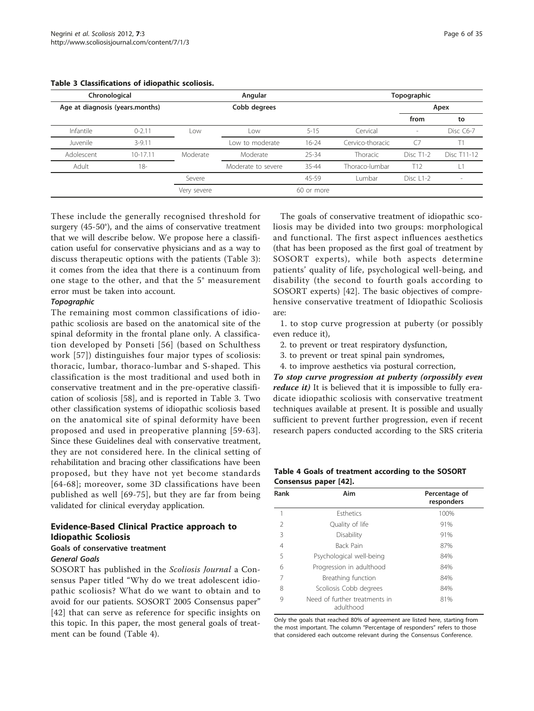| Chronological                   |              |             | Angular            | <b>Topographic</b> |                  |                          |             |  |
|---------------------------------|--------------|-------------|--------------------|--------------------|------------------|--------------------------|-------------|--|
| Age at diagnosis (years.months) | Cobb degrees |             |                    |                    |                  |                          | Apex        |  |
|                                 |              |             |                    |                    |                  | from                     | to          |  |
| Infantile                       | $0 - 2.11$   | Low         | Low                | $5 - 15$           | Cervical         | $\overline{\phantom{a}}$ | Disc C6-7   |  |
| Juvenile                        | $3 - 9.11$   |             | I ow to moderate   | $16 - 24$          | Cervico-thoracic | $C$ 7                    |             |  |
| Adolescent                      | 10-17.11     | Moderate    | Moderate           | 25-34              | Thoracic         | Disc T1-2                | Disc T11-12 |  |
| Adult                           | 18-          |             | Moderate to severe | 35-44              | Thoraco-lumbar   | T12                      |             |  |
|                                 |              | Severe      |                    | 45-59              | Lumbar           | Disc $\vert$ 1-2         | $\sim$      |  |
|                                 |              | Very severe |                    | 60 or more         |                  |                          |             |  |

### <span id="page-5-0"></span>Table 3 Classifications of idiopathic scoliosis.

These include the generally recognised threshold for surgery (45-50°), and the aims of conservative treatment that we will describe below. We propose here a classification useful for conservative physicians and as a way to discuss therapeutic options with the patients (Table 3): it comes from the idea that there is a continuum from one stage to the other, and that the 5° measurement error must be taken into account.

### Topographic

The remaining most common classifications of idiopathic scoliosis are based on the anatomical site of the spinal deformity in the frontal plane only. A classification developed by Ponseti [[56](#page-27-0)] (based on Schulthess work [[57](#page-27-0)]) distinguishes four major types of scoliosis: thoracic, lumbar, thoraco-lumbar and S-shaped. This classification is the most traditional and used both in conservative treatment and in the pre-operative classification of scoliosis [[58\]](#page-27-0), and is reported in Table 3. Two other classification systems of idiopathic scoliosis based on the anatomical site of spinal deformity have been proposed and used in preoperative planning [[59-63\]](#page-27-0). Since these Guidelines deal with conservative treatment, they are not considered here. In the clinical setting of rehabilitation and bracing other classifications have been proposed, but they have not yet become standards [[64-68\]](#page-27-0); moreover, some 3D classifications have been published as well [[69-75](#page-27-0)], but they are far from being validated for clinical everyday application.

# Evidence-Based Clinical Practice approach to Idiopathic Scoliosis

### Goals of conservative treatment General Goals

SOSORT has published in the Scoliosis Journal a Consensus Paper titled "Why do we treat adolescent idiopathic scoliosis? What do we want to obtain and to avoid for our patients. SOSORT 2005 Consensus paper" [[42](#page-27-0)] that can serve as reference for specific insights on this topic. In this paper, the most general goals of treatment can be found (Table 4).

The goals of conservative treatment of idiopathic scoliosis may be divided into two groups: morphological and functional. The first aspect influences aesthetics (that has been proposed as the first goal of treatment by SOSORT experts), while both aspects determine patients' quality of life, psychological well-being, and disability (the second to fourth goals according to SOSORT experts) [[42\]](#page-27-0). The basic objectives of comprehensive conservative treatment of Idiopathic Scoliosis are:

1. to stop curve progression at puberty (or possibly even reduce it),

- 2. to prevent or treat respiratory dysfunction,
- 3. to prevent or treat spinal pain syndromes,
- 4. to improve aesthetics via postural correction,

To stop curve progression at puberty (orpossibly even reduce it) It is believed that it is impossible to fully eradicate idiopathic scoliosis with conservative treatment techniques available at present. It is possible and usually sufficient to prevent further progression, even if recent research papers conducted according to the SRS criteria

### Table 4 Goals of treatment according to the SOSORT Consensus paper [\[42](#page-27-0)].

| Rank          | Aim                                        | Percentage of<br>responders |
|---------------|--------------------------------------------|-----------------------------|
|               | <b>Esthetics</b>                           | 100%                        |
| $\mathcal{P}$ | Quality of life                            | 91%                         |
| 3             | Disability                                 | 91%                         |
| 4             | <b>Back Pain</b>                           | 87%                         |
| 5             | Psychological well-being                   | 84%                         |
| 6             | Progression in adulthood                   | 84%                         |
| 7             | Breathing function                         | 84%                         |
| 8             | Scoliosis Cobb degrees                     | 84%                         |
| 9             | Need of further treatments in<br>adulthood | 81%                         |

Only the goals that reached 80% of agreement are listed here, starting from the most important. The column "Percentage of responders" refers to those that considered each outcome relevant during the Consensus Conference.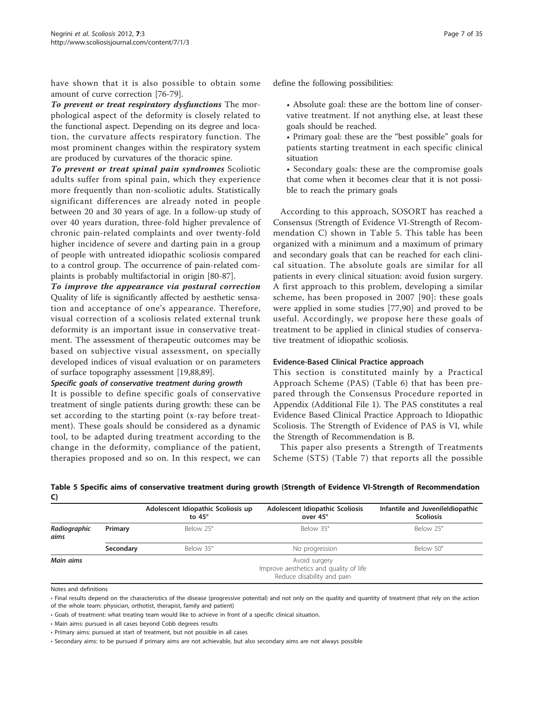have shown that it is also possible to obtain some amount of curve correction [\[76](#page-27-0)[-79](#page-28-0)].

To prevent or treat respiratory dysfunctions The morphological aspect of the deformity is closely related to the functional aspect. Depending on its degree and location, the curvature affects respiratory function. The most prominent changes within the respiratory system are produced by curvatures of the thoracic spine.

To prevent or treat spinal pain syndromes Scoliotic adults suffer from spinal pain, which they experience more frequently than non-scoliotic adults. Statistically significant differences are already noted in people between 20 and 30 years of age. In a follow-up study of over 40 years duration, three-fold higher prevalence of chronic pain-related complaints and over twenty-fold higher incidence of severe and darting pain in a group of people with untreated idiopathic scoliosis compared to a control group. The occurrence of pain-related complaints is probably multifactorial in origin [\[80](#page-28-0)-[87](#page-28-0)].

To improve the appearance via postural correction Quality of life is significantly affected by aesthetic sensation and acceptance of one's appearance. Therefore, visual correction of a scoliosis related external trunk deformity is an important issue in conservative treatment. The assessment of therapeutic outcomes may be based on subjective visual assessment, on specially developed indices of visual evaluation or on parameters of surface topography assessment [\[19](#page-26-0)[,88,89\]](#page-28-0).

### Specific goals of conservative treatment during growth

It is possible to define specific goals of conservative treatment of single patients during growth: these can be set according to the starting point (x-ray before treatment). These goals should be considered as a dynamic tool, to be adapted during treatment according to the change in the deformity, compliance of the patient, therapies proposed and so on. In this respect, we can define the following possibilities:

- Absolute goal: these are the bottom line of conservative treatment. If not anything else, at least these goals should be reached.
- Primary goal: these are the "best possible" goals for patients starting treatment in each specific clinical situation
- Secondary goals: these are the compromise goals that come when it becomes clear that it is not possible to reach the primary goals

According to this approach, SOSORT has reached a Consensus (Strength of Evidence VI-Strength of Recommendation C) shown in Table 5. This table has been organized with a minimum and a maximum of primary and secondary goals that can be reached for each clinical situation. The absolute goals are similar for all patients in every clinical situation: avoid fusion surgery. A first approach to this problem, developing a similar scheme, has been proposed in 2007 [[90\]](#page-28-0): these goals were applied in some studies [[77](#page-27-0)[,90](#page-28-0)] and proved to be useful. Accordingly, we propose here these goals of treatment to be applied in clinical studies of conservative treatment of idiopathic scoliosis.

# Evidence-Based Clinical Practice approach

This section is constituted mainly by a Practical Approach Scheme (PAS) (Table [6\)](#page-7-0) that has been prepared through the Consensus Procedure reported in Appendix (Additional File [1\)](#page-25-0). The PAS constitutes a real Evidence Based Clinical Practice Approach to Idiopathic Scoliosis. The Strength of Evidence of PAS is VI, while the Strength of Recommendation is B.

This paper also presents a Strength of Treatments Scheme (STS) (Table [7\)](#page-8-0) that reports all the possible

|                      |           | Adolescent Idiopathic Scoliosis up<br>to $45^\circ$ | Adolescent Idiopathic Scoliosis<br>over 45°                                           | Infantile and Juvenileldiopathic<br><b>Scoliosis</b> |
|----------------------|-----------|-----------------------------------------------------|---------------------------------------------------------------------------------------|------------------------------------------------------|
| Radiographic<br>aims | Primary   | Below 25°                                           | Below 35°                                                                             | Below 25°                                            |
|                      | Secondary | Below 35°                                           | No progression                                                                        | Below 50°                                            |
| Main aims            |           |                                                     | Avoid surgery<br>Improve aesthetics and quality of life<br>Reduce disability and pain |                                                      |

### Table 5 Specific aims of conservative treatment during growth (Strength of Evidence VI-Strength of Recommendation C)

Notes and definitions

<sup>•</sup> Final results depend on the characteristics of the disease (progressive potential) and not only on the quality and quantity of treatment (that rely on the action of the whole team: physician, orthotist, therapist, family and patient)

<sup>•</sup> Goals of treatment: what treating team would like to achieve in front of a specific clinical situation.

<sup>•</sup> Main aims: pursued in all cases beyond Cobb degrees results

<sup>•</sup> Primary aims: pursued at start of treatment, but not possible in all cases

<sup>•</sup> Secondary aims: to be pursued if primary aims are not achievable, but also secondary aims are not always possible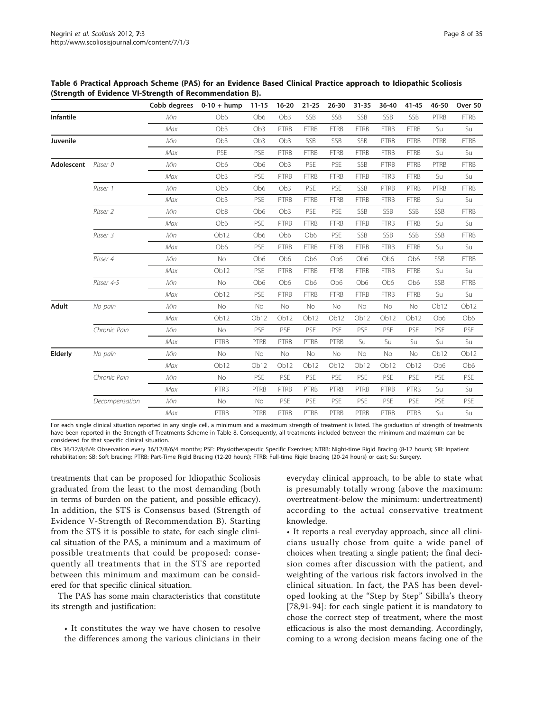|            |                | Cobb degrees $0-10 + hump$ |                 | $11 - 15$       | $16 - 20$       | $21 - 25$   | $26 - 30$   | $31 - 35$   | 36-40       | 41-45       | 46-50            | Over 50          |
|------------|----------------|----------------------------|-----------------|-----------------|-----------------|-------------|-------------|-------------|-------------|-------------|------------------|------------------|
| Infantile  |                | Min                        | Ob6             | Ob6             | Ob <sub>3</sub> | SSB         | SSB         | SSB         | SSB         | SSB         | PTRB             | <b>FTRB</b>      |
|            |                | Max                        | Ob <sub>3</sub> | Ob <sub>3</sub> | PTRB            | <b>FTRB</b> | <b>FTRB</b> | <b>FTRB</b> | <b>FTRB</b> | <b>FTRB</b> | Su               | Su               |
| Juvenile   |                | Min                        | Ob <sub>3</sub> | Ob <sub>3</sub> | Ob <sub>3</sub> | SSB         | SSB         | SSB         | PTRB        | PTRB        | PTRB             | <b>FTRB</b>      |
|            |                | Max                        | PSE             | PSE             | PTRB            | <b>FTRB</b> | <b>FTRB</b> | <b>FTRB</b> | <b>FTRB</b> | <b>FTRB</b> | Su               | Su               |
| Adolescent | Risser 0       | Min                        | Ob6             | Ob6             | Ob <sub>3</sub> | PSE         | PSE         | <b>SSB</b>  | PTRB        | PTRB        | PTRB             | <b>FTRB</b>      |
|            |                | Max                        | Ob <sub>3</sub> | PSE             | PTRB            | <b>FTRB</b> | <b>FTRB</b> | <b>FTRB</b> | <b>FTRB</b> | <b>FTRB</b> | Su               | Su               |
|            | Risser 1       | Min                        | Ob6             | Ob6             | Ob <sub>3</sub> | PSE         | PSE         | SSB         | PTRB        | PTRB        | PTRB             | <b>FTRB</b>      |
|            |                | Max                        | Ob <sub>3</sub> | <b>PSE</b>      | PTRB            | <b>FTRB</b> | <b>FTRB</b> | <b>FTRB</b> | <b>FTRB</b> | <b>FTRB</b> | Su               | Su               |
|            | Risser 2       | Min                        | Ob8             | Ob6             | Ob <sub>3</sub> | PSE         | PSE         | <b>SSB</b>  | SSB         | SSB         | <b>SSB</b>       | <b>FTRB</b>      |
|            |                | Max                        | Ob6             | PSE             | PTRB            | <b>FTRB</b> | <b>FTRB</b> | <b>FTRB</b> | <b>FTRB</b> | <b>FTRB</b> | Su               | Su               |
|            | Risser 3       | Min                        | Ob12            | Ob6             | Ob6             | Ob6         | PSE         | <b>SSB</b>  | SSB         | SSB         | <b>SSB</b>       | <b>FTRB</b>      |
|            |                | Max                        | Ob6             | PSE             | PTRB            | <b>FTRB</b> | <b>FTRB</b> | <b>FTRB</b> | <b>FTRB</b> | <b>FTRB</b> | Su               | Su               |
|            | Risser 4       | Min                        | No              | Ob6             | Ob6             | Ob6         | Ob6         | Ob6         | Ob6         | Ob6         | SSB              | <b>FTRB</b>      |
|            |                | Max                        | Ob12            | PSE             | PTRB            | <b>FTRB</b> | <b>FTRB</b> | <b>FTRB</b> | <b>FTRB</b> | <b>FTRB</b> | Su               | Su               |
|            | Risser 4-5     | Min                        | No              | Ob6             | Ob6             | Ob6         | Ob6         | Ob6         | Ob6         | Ob6         | SSB              | <b>FTRB</b>      |
|            |                | Max                        | Ob12            | PSE             | PTRB            | <b>FTRB</b> | <b>FTRB</b> | <b>FTRB</b> | <b>FTRB</b> | <b>FTRB</b> | Su               | Su               |
| Adult      | No pain        | Min                        | <b>No</b>       | No              | <b>No</b>       | <b>No</b>   | <b>No</b>   | No          | No          | <b>No</b>   | Ob <sub>12</sub> | Ob <sub>12</sub> |
|            |                | Max                        | Ob12            | Ob12            | Ob12            | Ob12        | Ob12        | Ob12        | Ob12        | Ob12        | Ob6              | Ob6              |
|            | Chronic Pain   | Min                        | No              | PSE             | PSE             | PSE         | PSE         | PSE         | PSE         | PSE         | PSE              | PSE              |
|            |                | Max                        | PTRB            | PTRB            | PTRB            | PTRB        | PTRB        | Su          | Su          | Su          | Su               | Su               |
| Elderly    | No pain        | Min                        | No              | No              | No              | No          | No          | No          | No          | No          | Ob <sub>12</sub> | Ob12             |
|            |                | Max                        | Ob12            | Ob12            | Ob12            | Ob12        | Ob12        | Ob12        | Ob12        | Ob12        | Ob6              | Ob6              |
|            | Chronic Pain   | Min                        | No              | PSE             | PSE             | PSE         | PSE         | PSE         | <b>PSE</b>  | PSE         | PSE              | PSE              |
|            |                | Max                        | PTRB            | PTRB            | PTRB            | PTRB        | PTRB        | PTRB        | PTRB        | PTRB        | Su               | Su               |
|            | Decompensation | Min                        | No              | No              | PSE             | PSE         | PSE         | PSE         | <b>PSE</b>  | PSE         | PSE              | PSE              |
|            |                | Max                        | PTRB            | PTRB            | PTRB            | PTRB        | PTRB        | PTRB        | PTRB        | PTRB        | Su               | Su               |

<span id="page-7-0"></span>Table 6 Practical Approach Scheme (PAS) for an Evidence Based Clinical Practice approach to Idiopathic Scoliosis (Strength of Evidence VI-Strength of Recommendation B).

For each single clinical situation reported in any single cell, a minimum and a maximum strength of treatment is listed. The graduation of strength of treatments have been reported in the Strength of Treatments Scheme in Table 8. Consequently, all treatments included between the minimum and maximum can be considered for that specific clinical situation.

Obs 36/12/8/6/4: Observation every 36/12/8/6/4 months; PSE: Physiotherapeutic Specific Exercises; NTRB: Night-time Rigid Bracing (8-12 hours); SIR: Inpatient rehabilitation; SB: Soft bracing; PTRB: Part-Time Rigid Bracing (12-20 hours); FTRB: Full-time Rigid bracing (20-24 hours) or cast; Su: Surgery.

treatments that can be proposed for Idiopathic Scoliosis graduated from the least to the most demanding (both in terms of burden on the patient, and possible efficacy). In addition, the STS is Consensus based (Strength of Evidence V-Strength of Recommendation B). Starting from the STS it is possible to state, for each single clinical situation of the PAS, a minimum and a maximum of possible treatments that could be proposed: consequently all treatments that in the STS are reported between this minimum and maximum can be considered for that specific clinical situation.

The PAS has some main characteristics that constitute its strength and justification:

• It constitutes the way we have chosen to resolve the differences among the various clinicians in their everyday clinical approach, to be able to state what is presumably totally wrong (above the maximum: overtreatment-below the minimum: undertreatment) according to the actual conservative treatment knowledge.

• It reports a real everyday approach, since all clinicians usually chose from quite a wide panel of choices when treating a single patient; the final decision comes after discussion with the patient, and weighting of the various risk factors involved in the clinical situation. In fact, the PAS has been developed looking at the "Step by Step" Sibilla's theory [[78,91-94](#page-28-0)]: for each single patient it is mandatory to chose the correct step of treatment, where the most efficacious is also the most demanding. Accordingly, coming to a wrong decision means facing one of the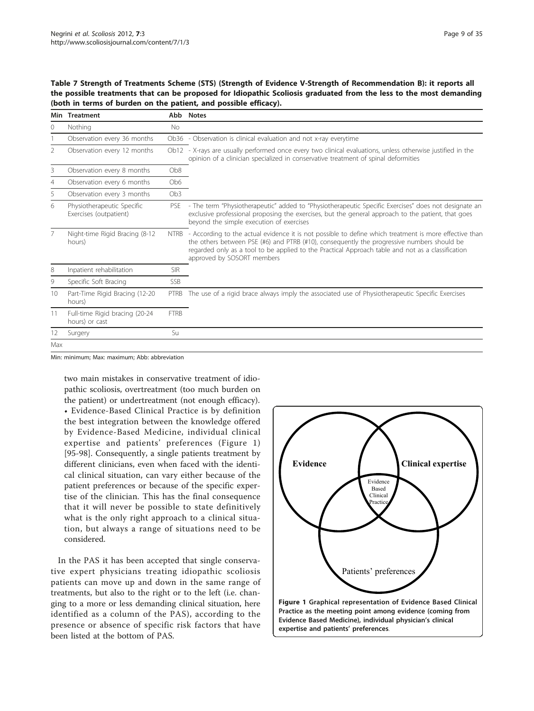<span id="page-8-0"></span>Table 7 Strength of Treatments Scheme (STS) (Strength of Evidence V-Strength of Recommendation B): it reports all the possible treatments that can be proposed for Idiopathic Scoliosis graduated from the less to the most demanding (both in terms of burden on the patient, and possible efficacy).

|     | Min Treatment                                        |                 | Abb Notes                                                                                                                                                                                                                                                                                                                               |
|-----|------------------------------------------------------|-----------------|-----------------------------------------------------------------------------------------------------------------------------------------------------------------------------------------------------------------------------------------------------------------------------------------------------------------------------------------|
| 0   | Nothing                                              | <b>No</b>       |                                                                                                                                                                                                                                                                                                                                         |
|     | Observation every 36 months                          |                 | Ob36 - Observation is clinical evaluation and not x-ray everytime                                                                                                                                                                                                                                                                       |
| 2   | Observation every 12 months                          |                 | Ob12 - X-rays are usually performed once every two clinical evaluations, unless otherwise justified in the<br>opinion of a clinician specialized in conservative treatment of spinal deformities                                                                                                                                        |
| 3   | Observation every 8 months                           | Ob <sub>8</sub> |                                                                                                                                                                                                                                                                                                                                         |
| 4   | Observation every 6 months                           | Ob6             |                                                                                                                                                                                                                                                                                                                                         |
| 5   | Observation every 3 months                           | Ob3             |                                                                                                                                                                                                                                                                                                                                         |
| 6   | Physiotherapeutic Specific<br>Exercises (outpatient) | PSE.            | - The term "Physiotherapeutic" added to "Physiotherapeutic Specific Exercises" does not designate an<br>exclusive professional proposing the exercises, but the general approach to the patient, that goes<br>beyond the simple execution of exercises                                                                                  |
| 7   | Night-time Rigid Bracing (8-12<br>hours)             | <b>NTRB</b>     | - According to the actual evidence it is not possible to define which treatment is more effective than<br>the others between PSE (#6) and PTRB (#10), consequently the progressive numbers should be<br>regarded only as a tool to be applied to the Practical Approach table and not as a classification<br>approved by SOSORT members |
| 8   | Inpatient rehabilitation                             | <b>SIR</b>      |                                                                                                                                                                                                                                                                                                                                         |
| 9   | Specific Soft Bracing                                | <b>SSB</b>      |                                                                                                                                                                                                                                                                                                                                         |
| 10  | Part-Time Rigid Bracing (12-20<br>hours)             | <b>PTRB</b>     | The use of a rigid brace always imply the associated use of Physiotherapeutic Specific Exercises                                                                                                                                                                                                                                        |
| 11  | Full-time Rigid bracing (20-24<br>hours) or cast     | <b>FTRB</b>     |                                                                                                                                                                                                                                                                                                                                         |
| 12  | Surgery                                              | Su              |                                                                                                                                                                                                                                                                                                                                         |
| Max |                                                      |                 |                                                                                                                                                                                                                                                                                                                                         |
|     |                                                      |                 |                                                                                                                                                                                                                                                                                                                                         |

Min: minimum; Max: maximum; Abb: abbreviation

two main mistakes in conservative treatment of idiopathic scoliosis, overtreatment (too much burden on the patient) or undertreatment (not enough efficacy). • Evidence-Based Clinical Practice is by definition the best integration between the knowledge offered by Evidence-Based Medicine, individual clinical expertise and patients' preferences (Figure 1) [[95-98\]](#page-28-0). Consequently, a single patients treatment by different clinicians, even when faced with the identical clinical situation, can vary either because of the patient preferences or because of the specific expertise of the clinician. This has the final consequence that it will never be possible to state definitively what is the only right approach to a clinical situation, but always a range of situations need to be considered.

In the PAS it has been accepted that single conservative expert physicians treating idiopathic scoliosis patients can move up and down in the same range of treatments, but also to the right or to the left (i.e. changing to a more or less demanding clinical situation, here identified as a column of the PAS), according to the presence or absence of specific risk factors that have been listed at the bottom of PAS.

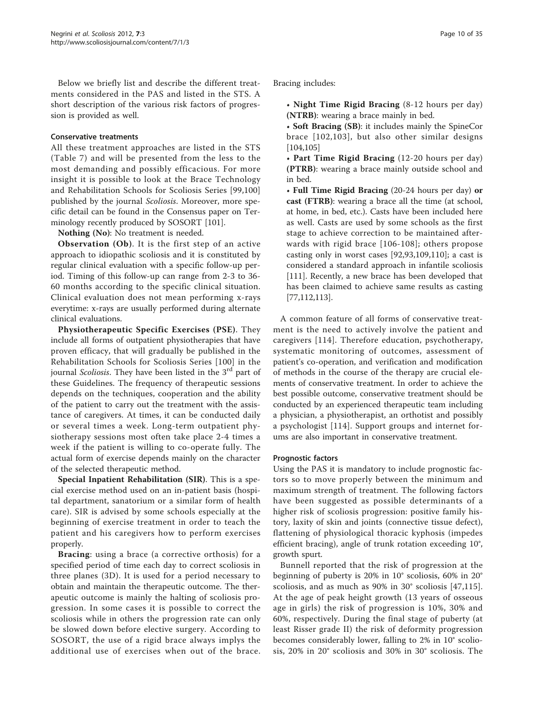Below we briefly list and describe the different treatments considered in the PAS and listed in the STS. A short description of the various risk factors of progression is provided as well.

### Conservative treatments

All these treatment approaches are listed in the STS (Table [7](#page-8-0)) and will be presented from the less to the most demanding and possibly efficacious. For more insight it is possible to look at the Brace Technology and Rehabilitation Schools for Scoliosis Series [[99,100](#page-28-0)] published by the journal Scoliosis. Moreover, more specific detail can be found in the Consensus paper on Terminology recently produced by SOSORT [[101](#page-28-0)].

Nothing (No): No treatment is needed.

Observation (Ob). It is the first step of an active approach to idiopathic scoliosis and it is constituted by regular clinical evaluation with a specific follow-up period. Timing of this follow-up can range from 2-3 to 36- 60 months according to the specific clinical situation. Clinical evaluation does not mean performing x-rays everytime: x-rays are usually performed during alternate clinical evaluations.

Physiotherapeutic Specific Exercises (PSE). They include all forms of outpatient physiotherapies that have proven efficacy, that will gradually be published in the Rehabilitation Schools for Scoliosis Series [\[100\]](#page-28-0) in the journal Scoliosis. They have been listed in the 3<sup>rd</sup> part of these Guidelines. The frequency of therapeutic sessions depends on the techniques, cooperation and the ability of the patient to carry out the treatment with the assistance of caregivers. At times, it can be conducted daily or several times a week. Long-term outpatient physiotherapy sessions most often take place 2-4 times a week if the patient is willing to co-operate fully. The actual form of exercise depends mainly on the character of the selected therapeutic method.

Special Inpatient Rehabilitation (SIR). This is a special exercise method used on an in-patient basis (hospital department, sanatorium or a similar form of health care). SIR is advised by some schools especially at the beginning of exercise treatment in order to teach the patient and his caregivers how to perform exercises properly.

Bracing: using a brace (a corrective orthosis) for a specified period of time each day to correct scoliosis in three planes (3D). It is used for a period necessary to obtain and maintain the therapeutic outcome. The therapeutic outcome is mainly the halting of scoliosis progression. In some cases it is possible to correct the scoliosis while in others the progression rate can only be slowed down before elective surgery. According to SOSORT, the use of a rigid brace always implys the additional use of exercises when out of the brace. Bracing includes:

• Night Time Rigid Bracing (8-12 hours per day) (NTRB): wearing a brace mainly in bed.

• Soft Bracing (SB): it includes mainly the SpineCor brace [[102,103](#page-28-0)], but also other similar designs [[104](#page-28-0),[105](#page-28-0)]

• Part Time Rigid Bracing (12-20 hours per day) (PTRB): wearing a brace mainly outside school and in bed.

• Full Time Rigid Bracing (20-24 hours per day) or cast (FTRB): wearing a brace all the time (at school, at home, in bed, etc.). Casts have been included here as well. Casts are used by some schools as the first stage to achieve correction to be maintained afterwards with rigid brace [[106](#page-28-0)-[108\]](#page-28-0); others propose casting only in worst cases [\[92,93](#page-28-0),[109,110\]](#page-28-0); a cast is considered a standard approach in infantile scoliosis [[111](#page-28-0)]. Recently, a new brace has been developed that has been claimed to achieve same results as casting [[77,](#page-27-0)[112,113](#page-28-0)].

A common feature of all forms of conservative treatment is the need to actively involve the patient and caregivers [[114](#page-28-0)]. Therefore education, psychotherapy, systematic monitoring of outcomes, assessment of patient's co-operation, and verification and modification of methods in the course of the therapy are crucial elements of conservative treatment. In order to achieve the best possible outcome, conservative treatment should be conducted by an experienced therapeutic team including a physician, a physiotherapist, an orthotist and possibly a psychologist [[114](#page-28-0)]. Support groups and internet forums are also important in conservative treatment.

### Prognostic factors

Using the PAS it is mandatory to include prognostic factors so to move properly between the minimum and maximum strength of treatment. The following factors have been suggested as possible determinants of a higher risk of scoliosis progression: positive family history, laxity of skin and joints (connective tissue defect), flattening of physiological thoracic kyphosis (impedes efficient bracing), angle of trunk rotation exceeding 10°, growth spurt.

Bunnell reported that the risk of progression at the beginning of puberty is 20% in 10° scoliosis, 60% in 20° scoliosis, and as much as 90% in 30° scoliosis [[47,](#page-27-0)[115](#page-28-0)]. At the age of peak height growth (13 years of osseous age in girls) the risk of progression is 10%, 30% and 60%, respectively. During the final stage of puberty (at least Risser grade II) the risk of deformity progression becomes considerably lower, falling to 2% in 10° scoliosis, 20% in 20° scoliosis and 30% in 30° scoliosis. The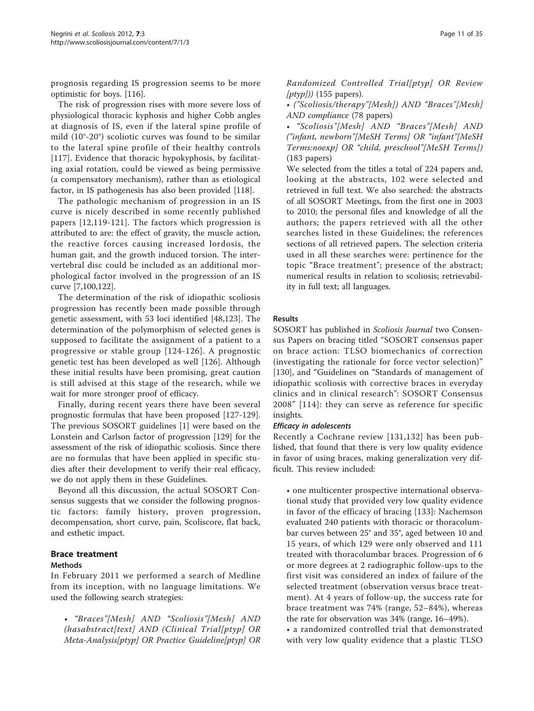prognosis regarding IS progression seems to be more optimistic for boys. [\[116\]](#page-28-0).

The risk of progression rises with more severe loss of physiological thoracic kyphosis and higher Cobb angles at diagnosis of IS, even if the lateral spine profile of mild (10°-20°) scoliotic curves was found to be similar to the lateral spine profile of their healthy controls [[117\]](#page-28-0). Evidence that thoracic hypokyphosis, by facilitating axial rotation, could be viewed as being permissive (a compensatory mechanism), rather than as etiological factor, in IS pathogenesis has also been provided [[118](#page-28-0)].

The pathologic mechanism of progression in an IS curve is nicely described in some recently published papers [[12](#page-26-0)[,119-121\]](#page-28-0). The factors which progression is attributed to are: the effect of gravity, the muscle action, the reactive forces causing increased lordosis, the human gait, and the growth induced torsion. The intervertebral disc could be included as an additional morphological factor involved in the progression of an IS curve [\[7](#page-26-0)[,100,122\]](#page-28-0).

The determination of the risk of idiopathic scoliosis progression has recently been made possible through genetic assessment, with 53 loci identified [[48](#page-27-0),[123](#page-28-0)]. The determination of the polymorphism of selected genes is supposed to facilitate the assignment of a patient to a progressive or stable group [[124-126\]](#page-28-0). A prognostic genetic test has been developed as well [[126\]](#page-28-0). Although these initial results have been promising, great caution is still advised at this stage of the research, while we wait for more stronger proof of efficacy.

Finally, during recent years there have been several prognostic formulas that have been proposed [[127-129](#page-29-0)]. The previous SOSORT guidelines [\[1](#page-26-0)] were based on the Lonstein and Carlson factor of progression [\[129](#page-29-0)] for the assessment of the risk of idiopathic scoliosis. Since there are no formulas that have been applied in specific studies after their development to verify their real efficacy, we do not apply them in these Guidelines.

Beyond all this discussion, the actual SOSORT Consensus suggests that we consider the following prognostic factors: family history, proven progression, decompensation, short curve, pain, Scoliscore, flat back, and esthetic impact.

# Brace treatment

### Methods

In February 2011 we performed a search of Medline from its inception, with no language limitations. We used the following search strategies:

• "Braces"[Mesh] AND "Scoliosis"[Mesh] AND (hasabstract[text] AND (Clinical Trial[ptyp] OR Meta-Analysis[ptyp] OR Practice Guideline[ptyp] OR Randomized Controlled Trial[ptyp] OR Review  $[ptyp])$  (155 papers).

• ("Scoliosis/therapy"[Mesh]) AND "Braces"[Mesh] AND compliance (78 papers)

• "Scoliosis"[Mesh] AND "Braces"[Mesh] AND ("infant, newborn"[MeSH Terms] OR "infant"[MeSH Terms:noexp] OR "child, preschool"[MeSH Terms]) (183 papers)

We selected from the titles a total of 224 papers and, looking at the abstracts, 102 were selected and retrieved in full text. We also searched: the abstracts of all SOSORT Meetings, from the first one in 2003 to 2010; the personal files and knowledge of all the authors; the papers retrieved with all the other searches listed in these Guidelines; the references sections of all retrieved papers. The selection criteria used in all these searches were: pertinence for the topic "Brace treatment"; presence of the abstract; numerical results in relation to scoliosis; retrievability in full text; all languages.

### Results

SOSORT has published in Scoliosis Journal two Consensus Papers on bracing titled "SOSORT consensus paper on brace action: TLSO biomechanics of correction (investigating the rationale for force vector selection)" [[130\]](#page-29-0), and "Guidelines on "Standards of management of idiopathic scoliosis with corrective braces in everyday clinics and in clinical research": SOSORT Consensus 2008" [[114](#page-28-0)]: they can serve as reference for specific insights.

### Efficacy in adolescents

Recently a Cochrane review [[131,132\]](#page-29-0) has been published, that found that there is very low quality evidence in favor of using braces, making generalization very difficult. This review included:

• one multicenter prospective international observational study that provided very low quality evidence in favor of the efficacy of bracing [\[133\]](#page-29-0): Nachemson evaluated 240 patients with thoracic or thoracolumbar curves between 25° and 35°, aged between 10 and 15 years, of which 129 were only observed and 111 treated with thoracolumbar braces. Progression of 6 or more degrees at 2 radiographic follow-ups to the first visit was considered an index of failure of the selected treatment (observation versus brace treatment). At 4 years of follow-up, the success rate for brace treatment was 74% (range, 52–84%), whereas the rate for observation was 34% (range, 16–49%).

• a randomized controlled trial that demonstrated with very low quality evidence that a plastic TLSO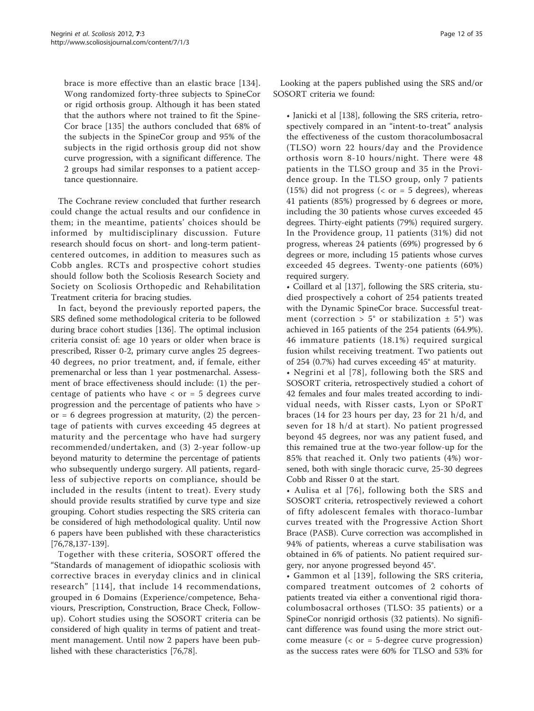brace is more effective than an elastic brace [[134](#page-29-0)]. Wong randomized forty-three subjects to SpineCor or rigid orthosis group. Although it has been stated that the authors where not trained to fit the Spine-Cor brace [[135\]](#page-29-0) the authors concluded that 68% of the subjects in the SpineCor group and 95% of the subjects in the rigid orthosis group did not show curve progression, with a significant difference. The 2 groups had similar responses to a patient acceptance questionnaire.

The Cochrane review concluded that further research could change the actual results and our confidence in them; in the meantime, patients' choices should be informed by multidisciplinary discussion. Future research should focus on short- and long-term patientcentered outcomes, in addition to measures such as Cobb angles. RCTs and prospective cohort studies should follow both the Scoliosis Research Society and Society on Scoliosis Orthopedic and Rehabilitation Treatment criteria for bracing studies.

In fact, beyond the previously reported papers, the SRS defined some methodological criteria to be followed during brace cohort studies [\[136](#page-29-0)]. The optimal inclusion criteria consist of: age 10 years or older when brace is prescribed, Risser 0-2, primary curve angles 25 degrees-40 degrees, no prior treatment, and, if female, either premenarchal or less than 1 year postmenarchal. Assessment of brace effectiveness should include: (1) the percentage of patients who have  $\langle$  or = 5 degrees curve progression and the percentage of patients who have > or  $= 6$  degrees progression at maturity, (2) the percentage of patients with curves exceeding 45 degrees at maturity and the percentage who have had surgery recommended/undertaken, and (3) 2-year follow-up beyond maturity to determine the percentage of patients who subsequently undergo surgery. All patients, regardless of subjective reports on compliance, should be included in the results (intent to treat). Every study should provide results stratified by curve type and size grouping. Cohort studies respecting the SRS criteria can be considered of high methodological quality. Until now 6 papers have been published with these characteristics [[76,](#page-27-0)[78,](#page-28-0)[137](#page-29-0)-[139\]](#page-29-0).

Together with these criteria, SOSORT offered the "Standards of management of idiopathic scoliosis with corrective braces in everyday clinics and in clinical research" [[114\]](#page-28-0), that include 14 recommendations, grouped in 6 Domains (Experience/competence, Behaviours, Prescription, Construction, Brace Check, Followup). Cohort studies using the SOSORT criteria can be considered of high quality in terms of patient and treatment management. Until now 2 papers have been published with these characteristics [\[76,](#page-27-0)[78\]](#page-28-0).

Looking at the papers published using the SRS and/or SOSORT criteria we found:

• Janicki et al [\[138](#page-29-0)], following the SRS criteria, retrospectively compared in an "intent-to-treat" analysis the effectiveness of the custom thoracolumbosacral (TLSO) worn 22 hours/day and the Providence orthosis worn 8-10 hours/night. There were 48 patients in the TLSO group and 35 in the Providence group. In the TLSO group, only 7 patients (15%) did not progress ( $\langle$  or = 5 degrees), whereas 41 patients (85%) progressed by 6 degrees or more, including the 30 patients whose curves exceeded 45 degrees. Thirty-eight patients (79%) required surgery. In the Providence group, 11 patients (31%) did not progress, whereas 24 patients (69%) progressed by 6 degrees or more, including 15 patients whose curves exceeded 45 degrees. Twenty-one patients (60%) required surgery.

• Coillard et al [[137](#page-29-0)], following the SRS criteria, studied prospectively a cohort of 254 patients treated with the Dynamic SpineCor brace. Successful treatment (correction  $> 5^{\circ}$  or stabilization  $\pm 5^{\circ}$ ) was achieved in 165 patients of the 254 patients (64.9%). 46 immature patients (18.1%) required surgical fusion whilst receiving treatment. Two patients out of 254 (0.7%) had curves exceeding 45° at maturity.

• Negrini et al [[78\]](#page-28-0), following both the SRS and SOSORT criteria, retrospectively studied a cohort of 42 females and four males treated according to individual needs, with Risser casts, Lyon or SPoRT braces (14 for 23 hours per day, 23 for 21 h/d, and seven for 18 h/d at start). No patient progressed beyond 45 degrees, nor was any patient fused, and this remained true at the two-year follow-up for the 85% that reached it. Only two patients (4%) worsened, both with single thoracic curve, 25-30 degrees Cobb and Risser 0 at the start.

• Aulisa et al [[76](#page-27-0)], following both the SRS and SOSORT criteria, retrospectively reviewed a cohort of fifty adolescent females with thoraco-lumbar curves treated with the Progressive Action Short Brace (PASB). Curve correction was accomplished in 94% of patients, whereas a curve stabilisation was obtained in 6% of patients. No patient required surgery, nor anyone progressed beyond 45°.

• Gammon et al [[139\]](#page-29-0), following the SRS criteria, compared treatment outcomes of 2 cohorts of patients treated via either a conventional rigid thoracolumbosacral orthoses (TLSO: 35 patients) or a SpineCor nonrigid orthosis (32 patients). No significant difference was found using the more strict outcome measure (< or = 5-degree curve progression) as the success rates were 60% for TLSO and 53% for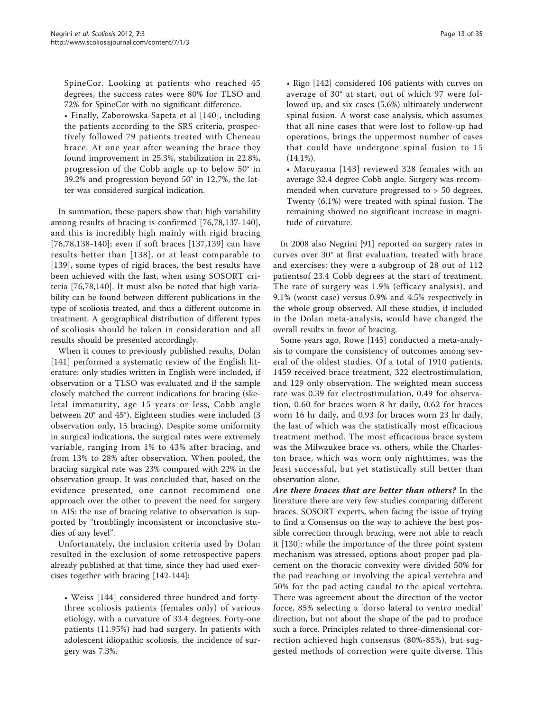SpineCor. Looking at patients who reached 45 degrees, the success rates were 80% for TLSO and 72% for SpineCor with no significant difference.

• Finally, Zaborowska-Sapeta et al [[140](#page-29-0)], including the patients according to the SRS criteria, prospectively followed 79 patients treated with Cheneau brace. At one year after weaning the brace they found improvement in 25.3%, stabilization in 22.8%, progression of the Cobb angle up to below 50° in 39.2% and progression beyond 50° in 12.7%, the latter was considered surgical indication.

In summation, these papers show that: high variability among results of bracing is confirmed [[76](#page-27-0),[78,](#page-28-0)[137](#page-29-0)-[140](#page-29-0)], and this is incredibly high mainly with rigid bracing [[76](#page-27-0),[78,](#page-28-0)[138](#page-29-0)-[140](#page-29-0)]; even if soft braces [[137,139](#page-29-0)] can have results better than [[138\]](#page-29-0), or at least comparable to [[139](#page-29-0)], some types of rigid braces, the best results have been achieved with the last, when using SOSORT criteria [[76](#page-27-0)[,78](#page-28-0),[140\]](#page-29-0). It must also be noted that high variability can be found between different publications in the type of scoliosis treated, and thus a different outcome in treatment. A geographical distribution of different types of scoliosis should be taken in consideration and all results should be presented accordingly.

When it comes to previously published results, Dolan [[141](#page-29-0)] performed a systematic review of the English literature: only studies written in English were included, if observation or a TLSO was evaluated and if the sample closely matched the current indications for bracing (skeletal immaturity, age 15 years or less, Cobb angle between 20° and 45°). Eighteen studies were included (3 observation only, 15 bracing). Despite some uniformity in surgical indications, the surgical rates were extremely variable, ranging from 1% to 43% after bracing, and from 13% to 28% after observation. When pooled, the bracing surgical rate was 23% compared with 22% in the observation group. It was concluded that, based on the evidence presented, one cannot recommend one approach over the other to prevent the need for surgery in AIS: the use of bracing relative to observation is supported by "troublingly inconsistent or inconclusive studies of any level".

Unfortunately, the inclusion criteria used by Dolan resulted in the exclusion of some retrospective papers already published at that time, since they had used exercises together with bracing [\[142-144](#page-29-0)]:

• Weiss [\[144\]](#page-29-0) considered three hundred and fortythree scoliosis patients (females only) of various etiology, with a curvature of 33.4 degrees. Forty-one patients (11.95%) had had surgery. In patients with adolescent idiopathic scoliosis, the incidence of surgery was 7.3%.

• Rigo [\[142](#page-29-0)] considered 106 patients with curves on average of 30° at start, out of which 97 were followed up, and six cases (5.6%) ultimately underwent spinal fusion. A worst case analysis, which assumes that all nine cases that were lost to follow-up had operations, brings the uppermost number of cases that could have undergone spinal fusion to 15  $(14.1\%)$ .

• Maruyama [[143](#page-29-0)] reviewed 328 females with an average 32.4 degree Cobb angle. Surgery was recommended when curvature progressed to > 50 degrees. Twenty (6.1%) were treated with spinal fusion. The remaining showed no significant increase in magnitude of curvature.

In 2008 also Negrini [[91\]](#page-28-0) reported on surgery rates in curves over 30° at first evaluation, treated with brace and exercises: they were a subgroup of 28 out of 112 patientsof 23.4 Cobb degrees at the start of treatment. The rate of surgery was 1.9% (efficacy analysis), and 9.1% (worst case) versus 0.9% and 4.5% respectively in the whole group observed. All these studies, if included in the Dolan meta-analysis, would have changed the overall results in favor of bracing.

Some years ago, Rowe [[145\]](#page-29-0) conducted a meta-analysis to compare the consistency of outcomes among several of the oldest studies. Of a total of 1910 patients, 1459 received brace treatment, 322 electrostimulation, and 129 only observation. The weighted mean success rate was 0.39 for electrostimulation, 0.49 for observation, 0.60 for braces worn 8 hr daily, 0.62 for braces worn 16 hr daily, and 0.93 for braces worn 23 hr daily, the last of which was the statistically most efficacious treatment method. The most efficacious brace system was the Milwaukee brace vs. others, while the Charleston brace, which was worn only nighttimes, was the least successful, but yet statistically still better than observation alone.

Are there braces that are better than others? In the literature there are very few studies comparing different braces. SOSORT experts, when facing the issue of trying to find a Consensus on the way to achieve the best possible correction through bracing, were not able to reach it [\[130](#page-29-0)]: while the importance of the three point system mechanism was stressed, options about proper pad placement on the thoracic convexity were divided 50% for the pad reaching or involving the apical vertebra and 50% for the pad acting caudal to the apical vertebra. There was agreement about the direction of the vector force, 85% selecting a 'dorso lateral to ventro medial' direction, but not about the shape of the pad to produce such a force. Principles related to three-dimensional correction achieved high consensus (80%-85%), but suggested methods of correction were quite diverse. This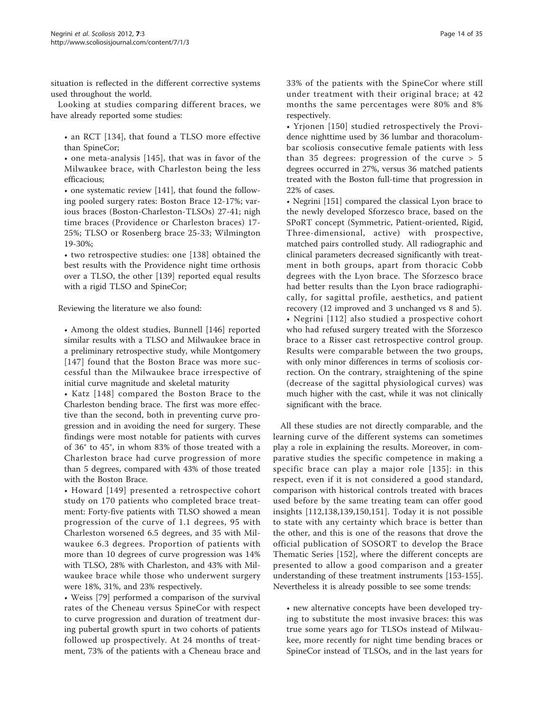situation is reflected in the different corrective systems used throughout the world.

Looking at studies comparing different braces, we have already reported some studies:

• an RCT [[134\]](#page-29-0), that found a TLSO more effective than SpineCor;

• one meta-analysis [\[145\]](#page-29-0), that was in favor of the Milwaukee brace, with Charleston being the less efficacious;

• one systematic review [[141](#page-29-0)], that found the following pooled surgery rates: Boston Brace 12-17%; various braces (Boston-Charleston-TLSOs) 27-41; nigh time braces (Providence or Charleston braces) 17- 25%; TLSO or Rosenberg brace 25-33; Wilmington 19-30%;

• two retrospective studies: one [[138](#page-29-0)] obtained the best results with the Providence night time orthosis over a TLSO, the other [[139](#page-29-0)] reported equal results with a rigid TLSO and SpineCor;

Reviewing the literature we also found:

• Among the oldest studies, Bunnell [[146\]](#page-29-0) reported similar results with a TLSO and Milwaukee brace in a preliminary retrospective study, while Montgomery [[147\]](#page-29-0) found that the Boston Brace was more successful than the Milwaukee brace irrespective of initial curve magnitude and skeletal maturity

• Katz [[148](#page-29-0)] compared the Boston Brace to the Charleston bending brace. The first was more effective than the second, both in preventing curve progression and in avoiding the need for surgery. These findings were most notable for patients with curves of 36° to 45°, in whom 83% of those treated with a Charleston brace had curve progression of more than 5 degrees, compared with 43% of those treated with the Boston Brace.

• Howard [[149\]](#page-29-0) presented a retrospective cohort study on 170 patients who completed brace treatment: Forty-five patients with TLSO showed a mean progression of the curve of 1.1 degrees, 95 with Charleston worsened 6.5 degrees, and 35 with Milwaukee 6.3 degrees. Proportion of patients with more than 10 degrees of curve progression was 14% with TLSO, 28% with Charleston, and 43% with Milwaukee brace while those who underwent surgery were 18%, 31%, and 23% respectively.

• Weiss [[79\]](#page-28-0) performed a comparison of the survival rates of the Cheneau versus SpineCor with respect to curve progression and duration of treatment during pubertal growth spurt in two cohorts of patients followed up prospectively. At 24 months of treatment, 73% of the patients with a Cheneau brace and 33% of the patients with the SpineCor where still under treatment with their original brace; at 42 months the same percentages were 80% and 8% respectively.

• Yrjonen [[150\]](#page-29-0) studied retrospectively the Providence nighttime used by 36 lumbar and thoracolumbar scoliosis consecutive female patients with less than 35 degrees: progression of the curve  $> 5$ degrees occurred in 27%, versus 36 matched patients treated with the Boston full-time that progression in 22% of cases.

• Negrini [\[151\]](#page-29-0) compared the classical Lyon brace to the newly developed Sforzesco brace, based on the SPoRT concept (Symmetric, Patient-oriented, Rigid, Three-dimensional, active) with prospective, matched pairs controlled study. All radiographic and clinical parameters decreased significantly with treatment in both groups, apart from thoracic Cobb degrees with the Lyon brace. The Sforzesco brace had better results than the Lyon brace radiographically, for sagittal profile, aesthetics, and patient recovery (12 improved and 3 unchanged vs 8 and 5). • Negrini [[112\]](#page-28-0) also studied a prospective cohort who had refused surgery treated with the Sforzesco brace to a Risser cast retrospective control group. Results were comparable between the two groups, with only minor differences in terms of scoliosis correction. On the contrary, straightening of the spine (decrease of the sagittal physiological curves) was much higher with the cast, while it was not clinically significant with the brace.

All these studies are not directly comparable, and the learning curve of the different systems can sometimes play a role in explaining the results. Moreover, in comparative studies the specific competence in making a specific brace can play a major role [[135\]](#page-29-0): in this respect, even if it is not considered a good standard, comparison with historical controls treated with braces used before by the same treating team can offer good insights [[112](#page-28-0)[,138,139,150,151](#page-29-0)]. Today it is not possible to state with any certainty which brace is better than the other, and this is one of the reasons that drove the official publication of SOSORT to develop the Brace Thematic Series [[152\]](#page-29-0), where the different concepts are presented to allow a good comparison and a greater understanding of these treatment instruments [\[153](#page-29-0)-[155](#page-29-0)]. Nevertheless it is already possible to see some trends:

• new alternative concepts have been developed trying to substitute the most invasive braces: this was true some years ago for TLSOs instead of Milwaukee, more recently for night time bending braces or SpineCor instead of TLSOs, and in the last years for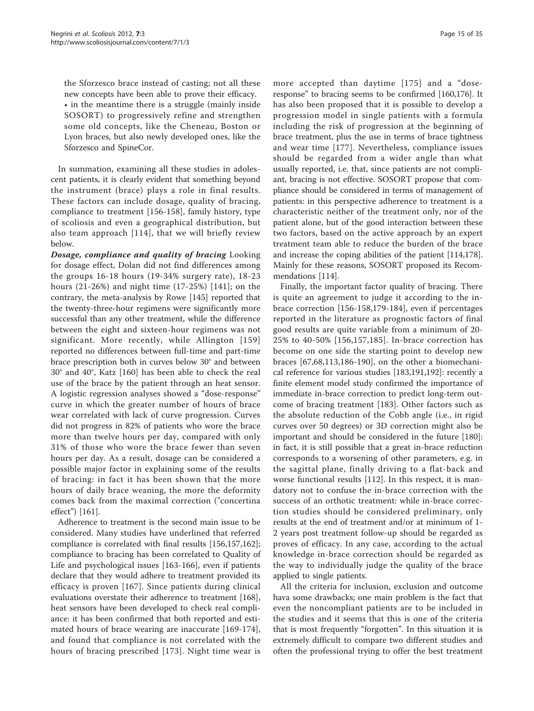the Sforzesco brace instead of casting; not all these new concepts have been able to prove their efficacy. • in the meantime there is a struggle (mainly inside SOSORT) to progressively refine and strengthen some old concepts, like the Cheneau, Boston or Lyon braces, but also newly developed ones, like the Sforzesco and SpineCor.

In summation, examining all these studies in adolescent patients, it is clearly evident that something beyond the instrument (brace) plays a role in final results. These factors can include dosage, quality of bracing, compliance to treatment [[156](#page-29-0)-[158\]](#page-29-0), family history, type of scoliosis and even a geographical distribution, but also team approach [[114\]](#page-28-0), that we will briefly review below.

Dosage, compliance and quality of bracing Looking for dosage effect, Dolan did not find differences among the groups 16-18 hours (19-34% surgery rate), 18-23 hours (21-26%) and night time (17-25%) [[141\]](#page-29-0); on the contrary, the meta-analysis by Rowe [\[145](#page-29-0)] reported that the twenty-three-hour regimens were significantly more successful than any other treatment, while the difference between the eight and sixteen-hour regimens was not significant. More recently, while Allington [[159](#page-29-0)] reported no differences between full-time and part-time brace prescription both in curves below 30° and between 30° and 40°, Katz [\[160](#page-29-0)] has been able to check the real use of the brace by the patient through an heat sensor. A logistic regression analyses showed a "dose-response" curve in which the greater number of hours of brace wear correlated with lack of curve progression. Curves did not progress in 82% of patients who wore the brace more than twelve hours per day, compared with only 31% of those who wore the brace fewer than seven hours per day. As a result, dosage can be considered a possible major factor in explaining some of the results of bracing: in fact it has been shown that the more hours of daily brace weaning, the more the deformity comes back from the maximal correction ("concertina effect") [[161](#page-29-0)].

Adherence to treatment is the second main issue to be considered. Many studies have underlined that referred compliance is correlated with final results [[156](#page-29-0),[157,162](#page-29-0)]; compliance to bracing has been correlated to Quality of Life and psychological issues [[163-166\]](#page-29-0), even if patients declare that they would adhere to treatment provided its efficacy is proven [\[167\]](#page-29-0). Since patients during clinical evaluations overstate their adherence to treatment [[168](#page-29-0)], heat sensors have been developed to check real compliance: it has been confirmed that both reported and estimated hours of brace wearing are inaccurate [[169-](#page-29-0)[174](#page-30-0)], and found that compliance is not correlated with the hours of bracing prescribed [\[173\]](#page-30-0). Night time wear is

more accepted than daytime [[175](#page-30-0)] and a "doseresponse" to bracing seems to be confirmed [\[160,](#page-29-0)[176\]](#page-30-0). It has also been proposed that it is possible to develop a progression model in single patients with a formula including the risk of progression at the beginning of brace treatment, plus the use in terms of brace tightness and wear time [[177](#page-30-0)]. Nevertheless, compliance issues should be regarded from a wider angle than what usually reported, i.e. that, since patients are not compliant, bracing is not effective. SOSORT propose that compliance should be considered in terms of management of patients: in this perspective adherence to treatment is a characteristic neither of the treatment only, nor of the patient alone, but of the good interaction between these two factors, based on the active approach by an expert treatment team able to reduce the burden of the brace and increase the coping abilities of the patient [[114,](#page-28-0)[178](#page-30-0)]. Mainly for these reasons, SOSORT proposed its Recommendations [[114](#page-28-0)].

Finally, the important factor quality of bracing. There is quite an agreement to judge it according to the inbrace correction [[156-158,](#page-29-0)[179-184](#page-30-0)], even if percentages reported in the literature as prognostic factors of final good results are quite variable from a minimum of 20- 25% to 40-50% [\[156,157,](#page-29-0)[185\]](#page-30-0). In-brace correction has become on one side the starting point to develop new braces [[67,68](#page-27-0)[,113](#page-28-0),[186-190](#page-30-0)], on the other a biomechanical reference for various studies [[183,191,192](#page-30-0)]: recently a finite element model study confirmed the importance of immediate in-brace correction to predict long-term outcome of bracing treatment [[183](#page-30-0)]. Other factors such as the absolute reduction of the Cobb angle (i.e., in rigid curves over 50 degrees) or 3D correction might also be important and should be considered in the future [\[180](#page-30-0)]: in fact, it is still possible that a great in-brace reduction corresponds to a worsening of other parameters, e.g. in the sagittal plane, finally driving to a flat-back and worse functional results [[112\]](#page-28-0). In this respect, it is mandatory not to confuse the in-brace correction with the success of an orthotic treatment: while in-brace correction studies should be considered preliminary, only results at the end of treatment and/or at minimum of 1- 2 years post treatment follow-up should be regarded as proves of efficacy. In any case, according to the actual knowledge in-brace correction should be regarded as the way to individually judge the quality of the brace applied to single patients.

All the criteria for inclusion, exclusion and outcome hava some drawbacks; one main problem is the fact that even the noncompliant patients are to be included in the studies and it seems that this is one of the criteria that is most frequently "forgotten". In this situation it is extremely difficult to compare two different studies and often the professional trying to offer the best treatment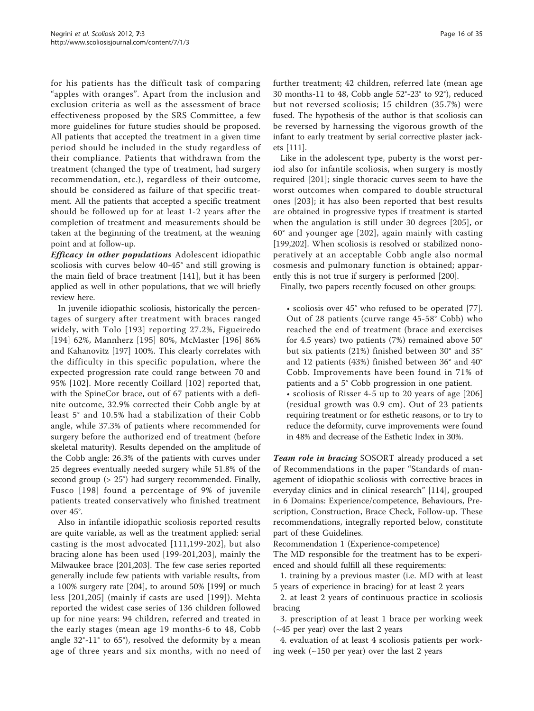for his patients has the difficult task of comparing "apples with oranges". Apart from the inclusion and exclusion criteria as well as the assessment of brace effectiveness proposed by the SRS Committee, a few more guidelines for future studies should be proposed. All patients that accepted the treatment in a given time period should be included in the study regardless of their compliance. Patients that withdrawn from the treatment (changed the type of treatment, had surgery recommendation, etc.), regardless of their outcome, should be considered as failure of that specific treatment. All the patients that accepted a specific treatment should be followed up for at least 1-2 years after the completion of treatment and measurements should be taken at the beginning of the treatment, at the weaning point and at follow-up.

**Efficacy in other populations** Adolescent idiopathic scoliosis with curves below 40-45° and still growing is the main field of brace treatment [[141](#page-29-0)], but it has been applied as well in other populations, that we will briefly review here.

In juvenile idiopathic scoliosis, historically the percentages of surgery after treatment with braces ranged widely, with Tolo [[193\]](#page-30-0) reporting 27.2%, Figueiredo [[194](#page-30-0)] 62%, Mannherz [[195](#page-30-0)] 80%, McMaster [\[196\]](#page-30-0) 86% and Kahanovitz [\[197](#page-30-0)] 100%. This clearly correlates with the difficulty in this specific population, where the expected progression rate could range between 70 and 95% [[102\]](#page-28-0). More recently Coillard [[102](#page-28-0)] reported that, with the SpineCor brace, out of 67 patients with a definite outcome, 32.9% corrected their Cobb angle by at least 5° and 10.5% had a stabilization of their Cobb angle, while 37.3% of patients where recommended for surgery before the authorized end of treatment (before skeletal maturity). Results depended on the amplitude of the Cobb angle: 26.3% of the patients with curves under 25 degrees eventually needed surgery while 51.8% of the second group (> 25°) had surgery recommended. Finally, Fusco [[198](#page-30-0)] found a percentage of 9% of juvenile patients treated conservatively who finished treatment over 45°.

Also in infantile idiopathic scoliosis reported results are quite variable, as well as the treatment applied: serial casting is the most advocated [[111](#page-28-0),[199-202](#page-30-0)], but also bracing alone has been used [[199-201,203](#page-30-0)], mainly the Milwaukee brace [[201](#page-30-0),[203](#page-30-0)]. The few case series reported generally include few patients with variable results, from a 100% surgery rate [\[204\]](#page-30-0), to around 50% [\[199\]](#page-30-0) or much less [\[201,205](#page-30-0)] (mainly if casts are used [\[199](#page-30-0)]). Mehta reported the widest case series of 136 children followed up for nine years: 94 children, referred and treated in the early stages (mean age 19 months-6 to 48, Cobb angle 32°-11° to 65°), resolved the deformity by a mean age of three years and six months, with no need of further treatment; 42 children, referred late (mean age 30 months-11 to 48, Cobb angle 52°-23° to 92°), reduced but not reversed scoliosis; 15 children (35.7%) were fused. The hypothesis of the author is that scoliosis can be reversed by harnessing the vigorous growth of the infant to early treatment by serial corrective plaster jackets [\[111](#page-28-0)].

Like in the adolescent type, puberty is the worst period also for infantile scoliosis, when surgery is mostly required [[201](#page-30-0)]; single thoracic curves seem to have the worst outcomes when compared to double structural ones [\[203\]](#page-30-0); it has also been reported that best results are obtained in progressive types if treatment is started when the angulation is still under 30 degrees [\[205](#page-30-0)], or 60° and younger age [[202\]](#page-30-0), again mainly with casting [[199,202\]](#page-30-0). When scoliosis is resolved or stabilized nonoperatively at an acceptable Cobb angle also normal cosmesis and pulmonary function is obtained; apparently this is not true if surgery is performed [\[200\]](#page-30-0).

Finally, two papers recently focused on other groups:

• scoliosis over 45° who refused to be operated [\[77](#page-27-0)]. Out of 28 patients (curve range 45-58° Cobb) who reached the end of treatment (brace and exercises for 4.5 years) two patients (7%) remained above 50° but six patients (21%) finished between 30° and 35° and 12 patients (43%) finished between 36° and 40° Cobb. Improvements have been found in 71% of patients and a 5° Cobb progression in one patient. • scoliosis of Risser 4-5 up to 20 years of age [[206](#page-30-0)] (residual growth was 0.9 cm). Out of 23 patients requiring treatment or for esthetic reasons, or to try to reduce the deformity, curve improvements were found in 48% and decrease of the Esthetic Index in 30%.

Team role in bracing SOSORT already produced a set of Recommendations in the paper "Standards of management of idiopathic scoliosis with corrective braces in everyday clinics and in clinical research" [[114\]](#page-28-0), grouped in 6 Domains: Experience/competence, Behaviours, Prescription, Construction, Brace Check, Follow-up. These recommendations, integrally reported below, constitute part of these Guidelines.

Recommendation 1 (Experience-competence)

The MD responsible for the treatment has to be experienced and should fulfill all these requirements:

1. training by a previous master (i.e. MD with at least 5 years of experience in bracing) for at least 2 years

2. at least 2 years of continuous practice in scoliosis bracing

3. prescription of at least 1 brace per working week (~45 per year) over the last 2 years

4. evaluation of at least 4 scoliosis patients per working week  $(\sim 150$  per year) over the last 2 years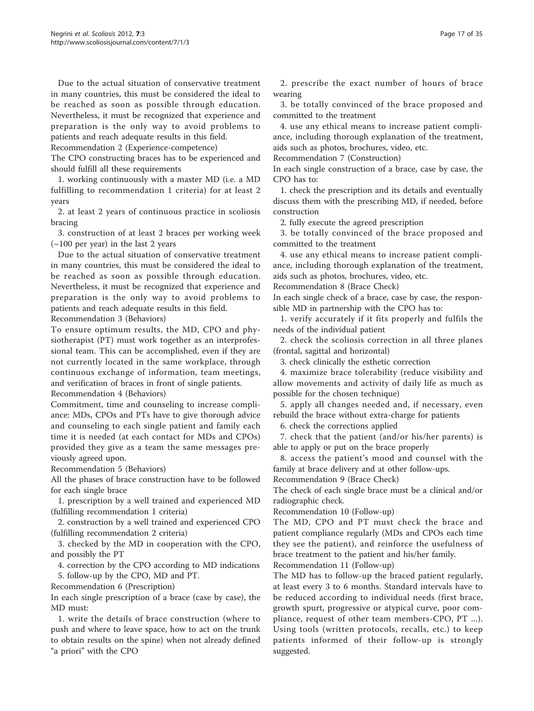Due to the actual situation of conservative treatment in many countries, this must be considered the ideal to be reached as soon as possible through education. Nevertheless, it must be recognized that experience and preparation is the only way to avoid problems to patients and reach adequate results in this field.

Recommendation 2 (Experience-competence)

The CPO constructing braces has to be experienced and should fulfill all these requirements

1. working continuously with a master MD (i.e. a MD fulfilling to recommendation 1 criteria) for at least 2 years

2. at least 2 years of continuous practice in scoliosis bracing

3. construction of at least 2 braces per working week  $({\sim}100$  per year) in the last 2 years

Due to the actual situation of conservative treatment in many countries, this must be considered the ideal to be reached as soon as possible through education. Nevertheless, it must be recognized that experience and preparation is the only way to avoid problems to patients and reach adequate results in this field.

Recommendation 3 (Behaviors)

To ensure optimum results, the MD, CPO and physiotherapist (PT) must work together as an interprofessional team. This can be accomplished, even if they are not currently located in the same workplace, through continuous exchange of information, team meetings, and verification of braces in front of single patients.

Recommendation 4 (Behaviors)

Commitment, time and counseling to increase compliance: MDs, CPOs and PTs have to give thorough advice and counseling to each single patient and family each time it is needed (at each contact for MDs and CPOs) provided they give as a team the same messages previously agreed upon.

Recommendation 5 (Behaviors)

All the phases of brace construction have to be followed for each single brace

1. prescription by a well trained and experienced MD (fulfilling recommendation 1 criteria)

2. construction by a well trained and experienced CPO (fulfilling recommendation 2 criteria)

3. checked by the MD in cooperation with the CPO, and possibly the PT

4. correction by the CPO according to MD indications

5. follow-up by the CPO, MD and PT.

Recommendation 6 (Prescription)

In each single prescription of a brace (case by case), the MD must:

1. write the details of brace construction (where to push and where to leave space, how to act on the trunk to obtain results on the spine) when not already defined "a priori" with the CPO

2. prescribe the exact number of hours of brace wearing

3. be totally convinced of the brace proposed and committed to the treatment

4. use any ethical means to increase patient compliance, including thorough explanation of the treatment, aids such as photos, brochures, video, etc.

Recommendation 7 (Construction)

In each single construction of a brace, case by case, the CPO has to:

1. check the prescription and its details and eventually discuss them with the prescribing MD, if needed, before construction

2. fully execute the agreed prescription

3. be totally convinced of the brace proposed and committed to the treatment

4. use any ethical means to increase patient compliance, including thorough explanation of the treatment, aids such as photos, brochures, video, etc.

Recommendation 8 (Brace Check)

In each single check of a brace, case by case, the responsible MD in partnership with the CPO has to:

1. verify accurately if it fits properly and fulfils the needs of the individual patient

2. check the scoliosis correction in all three planes (frontal, sagittal and horizontal)

3. check clinically the esthetic correction

4. maximize brace tolerability (reduce visibility and allow movements and activity of daily life as much as possible for the chosen technique)

5. apply all changes needed and, if necessary, even rebuild the brace without extra-charge for patients

6. check the corrections applied

7. check that the patient (and/or his/her parents) is able to apply or put on the brace properly

8. access the patient's mood and counsel with the family at brace delivery and at other follow-ups.

Recommendation 9 (Brace Check)

The check of each single brace must be a clinical and/or radiographic check.

Recommendation 10 (Follow-up)

The MD, CPO and PT must check the brace and patient compliance regularly (MDs and CPOs each time they see the patient), and reinforce the usefulness of brace treatment to the patient and his/her family.

Recommendation 11 (Follow-up)

The MD has to follow-up the braced patient regularly, at least every 3 to 6 months. Standard intervals have to be reduced according to individual needs (first brace, growth spurt, progressive or atypical curve, poor compliance, request of other team members-CPO, PT ...). Using tools (written protocols, recalls, etc.) to keep patients informed of their follow-up is strongly suggested.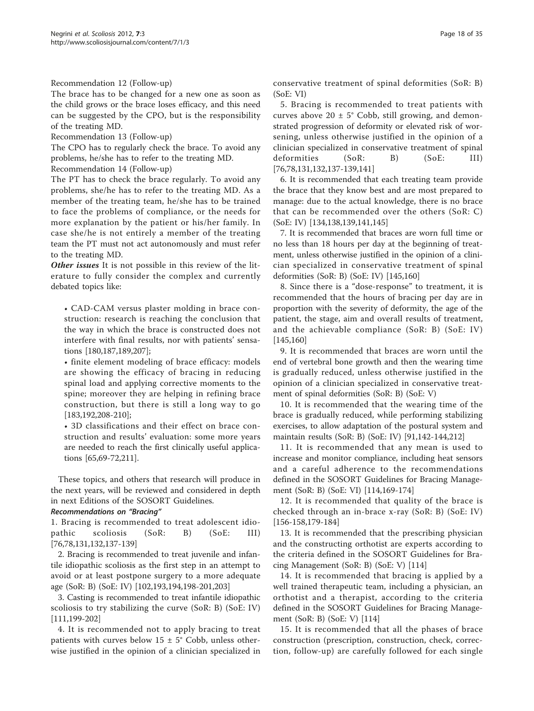### Recommendation 12 (Follow-up)

The brace has to be changed for a new one as soon as the child grows or the brace loses efficacy, and this need can be suggested by the CPO, but is the responsibility of the treating MD.

Recommendation 13 (Follow-up)

The CPO has to regularly check the brace. To avoid any problems, he/she has to refer to the treating MD.

Recommendation 14 (Follow-up)

The PT has to check the brace regularly. To avoid any problems, she/he has to refer to the treating MD. As a member of the treating team, he/she has to be trained to face the problems of compliance, or the needs for more explanation by the patient or his/her family. In case she/he is not entirely a member of the treating team the PT must not act autonomously and must refer to the treating MD.

Other issues It is not possible in this review of the literature to fully consider the complex and currently debated topics like:

• CAD-CAM versus plaster molding in brace construction: research is reaching the conclusion that the way in which the brace is constructed does not interfere with final results, nor with patients' sensations [[180,187](#page-30-0),[189,207\]](#page-30-0);

• finite element modeling of brace efficacy: models are showing the efficacy of bracing in reducing spinal load and applying corrective moments to the spine; moreover they are helping in refining brace construction, but there is still a long way to go [[183](#page-30-0),[192,208-210](#page-30-0)];

• 3D classifications and their effect on brace construction and results' evaluation: some more years are needed to reach the first clinically useful applications [[65,69-72](#page-27-0)[,211\]](#page-30-0).

These topics, and others that research will produce in the next years, will be reviewed and considered in depth in next Editions of the SOSORT Guidelines.

### Recommendations on "Bracing"

1. Bracing is recommended to treat adolescent idiopathic scoliosis (SoR: B) (SoE: III) [[76,](#page-27-0)[78,](#page-28-0)[131,132,137-139](#page-29-0)]

2. Bracing is recommended to treat juvenile and infantile idiopathic scoliosis as the first step in an attempt to avoid or at least postpone surgery to a more adequate age (SoR: B) (SoE: IV) [[102](#page-28-0),[193,194,198-201,203\]](#page-30-0)

3. Casting is recommended to treat infantile idiopathic scoliosis to try stabilizing the curve (SoR: B) (SoE: IV) [[111](#page-28-0),[199](#page-30-0)-[202](#page-30-0)]

4. It is recommended not to apply bracing to treat patients with curves below  $15 \pm 5^{\circ}$  Cobb, unless otherwise justified in the opinion of a clinician specialized in conservative treatment of spinal deformities (SoR: B) (SoE: VI)

5. Bracing is recommended to treat patients with curves above  $20 \pm 5^{\circ}$  Cobb, still growing, and demonstrated progression of deformity or elevated risk of worsening, unless otherwise justified in the opinion of a clinician specialized in conservative treatment of spinal deformities (SoR: B) (SoE: III) [[76,](#page-27-0)[78,](#page-28-0)[131,132,137-139,141\]](#page-29-0)

6. It is recommended that each treating team provide the brace that they know best and are most prepared to manage: due to the actual knowledge, there is no brace that can be recommended over the others (SoR: C) (SoE: IV) [\[134,138,139,141,145](#page-29-0)]

7. It is recommended that braces are worn full time or no less than 18 hours per day at the beginning of treatment, unless otherwise justified in the opinion of a clinician specialized in conservative treatment of spinal deformities (SoR: B) (SoE: IV) [\[145,160\]](#page-29-0)

8. Since there is a "dose-response" to treatment, it is recommended that the hours of bracing per day are in proportion with the severity of deformity, the age of the patient, the stage, aim and overall results of treatment, and the achievable compliance (SoR: B) (SoE: IV) [[145,160](#page-29-0)]

9. It is recommended that braces are worn until the end of vertebral bone growth and then the wearing time is gradually reduced, unless otherwise justified in the opinion of a clinician specialized in conservative treatment of spinal deformities (SoR: B) (SoE: V)

10. It is recommended that the wearing time of the brace is gradually reduced, while performing stabilizing exercises, to allow adaptation of the postural system and maintain results (SoR: B) (SoE: IV) [\[91,](#page-28-0)[142-144,](#page-29-0)[212\]](#page-30-0)

11. It is recommended that any mean is used to increase and monitor compliance, including heat sensors and a careful adherence to the recommendations defined in the SOSORT Guidelines for Bracing Management (SoR: B) (SoE: VI) [\[114](#page-28-0)[,169](#page-29-0)[-174](#page-30-0)]

12. It is recommended that quality of the brace is checked through an in-brace x-ray (SoR: B) (SoE: IV) [[156-158,](#page-29-0)[179-184\]](#page-30-0)

13. It is recommended that the prescribing physician and the constructing orthotist are experts according to the criteria defined in the SOSORT Guidelines for Bracing Management (SoR: B) (SoE: V) [[114](#page-28-0)]

14. It is recommended that bracing is applied by a well trained therapeutic team, including a physician, an orthotist and a therapist, according to the criteria defined in the SOSORT Guidelines for Bracing Management (SoR: B) (SoE: V) [\[114\]](#page-28-0)

15. It is recommended that all the phases of brace construction (prescription, construction, check, correction, follow-up) are carefully followed for each single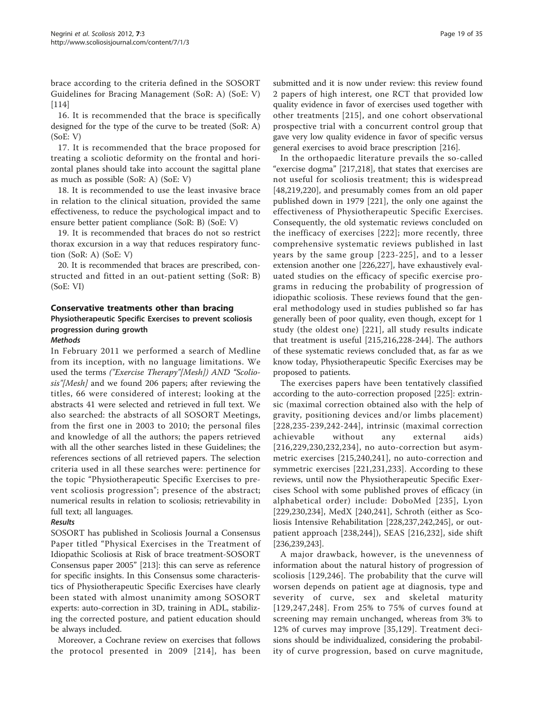brace according to the criteria defined in the SOSORT Guidelines for Bracing Management (SoR: A) (SoE: V) [[114](#page-28-0)]

16. It is recommended that the brace is specifically designed for the type of the curve to be treated (SoR: A) (SoE: V)

17. It is recommended that the brace proposed for treating a scoliotic deformity on the frontal and horizontal planes should take into account the sagittal plane as much as possible (SoR: A) (SoE: V)

18. It is recommended to use the least invasive brace in relation to the clinical situation, provided the same effectiveness, to reduce the psychological impact and to ensure better patient compliance (SoR: B) (SoE: V)

19. It is recommended that braces do not so restrict thorax excursion in a way that reduces respiratory function (SoR: A) (SoE: V)

20. It is recommended that braces are prescribed, constructed and fitted in an out-patient setting (SoR: B) (SoE: VI)

# Conservative treatments other than bracing

# Physiotherapeutic Specific Exercises to prevent scoliosis progression during growth

### Methods

In February 2011 we performed a search of Medline from its inception, with no language limitations. We used the terms ("Exercise Therapy"[Mesh]) AND "Scoliosis"[Mesh] and we found 206 papers; after reviewing the titles, 66 were considered of interest; looking at the abstracts 41 were selected and retrieved in full text. We also searched: the abstracts of all SOSORT Meetings, from the first one in 2003 to 2010; the personal files and knowledge of all the authors; the papers retrieved with all the other searches listed in these Guidelines; the references sections of all retrieved papers. The selection criteria used in all these searches were: pertinence for the topic "Physiotherapeutic Specific Exercises to prevent scoliosis progression"; presence of the abstract; numerical results in relation to scoliosis; retrievability in full text; all languages.

# Results

SOSORT has published in Scoliosis Journal a Consensus Paper titled "Physical Exercises in the Treatment of Idiopathic Scoliosis at Risk of brace treatment-SOSORT Consensus paper 2005" [\[213\]](#page-30-0): this can serve as reference for specific insights. In this Consensus some characteristics of Physiotherapeutic Specific Exercises have clearly been stated with almost unanimity among SOSORT experts: auto-correction in 3D, training in ADL, stabilizing the corrected posture, and patient education should be always included.

Moreover, a Cochrane review on exercises that follows the protocol presented in 2009 [[214\]](#page-30-0), has been

submitted and it is now under review: this review found 2 papers of high interest, one RCT that provided low quality evidence in favor of exercises used together with other treatments [[215\]](#page-30-0), and one cohort observational prospective trial with a concurrent control group that gave very low quality evidence in favor of specific versus general exercises to avoid brace prescription [\[216](#page-30-0)].

In the orthopaedic literature prevails the so-called "exercise dogma" [[217](#page-31-0),[218](#page-31-0)], that states that exercises are not useful for scoliosis treatment; this is widespread [[48](#page-27-0)[,219](#page-31-0),[220\]](#page-31-0), and presumably comes from an old paper published down in 1979 [[221\]](#page-31-0), the only one against the effectiveness of Physiotherapeutic Specific Exercises. Consequently, the old systematic reviews concluded on the inefficacy of exercises [[222](#page-31-0)]; more recently, three comprehensive systematic reviews published in last years by the same group [[223-225](#page-31-0)], and to a lesser extension another one [[226](#page-31-0),[227](#page-31-0)], have exhaustively evaluated studies on the efficacy of specific exercise programs in reducing the probability of progression of idiopathic scoliosis. These reviews found that the general methodology used in studies published so far has generally been of poor quality, even though, except for 1 study (the oldest one) [\[221\]](#page-31-0), all study results indicate that treatment is useful [\[215,216](#page-30-0),[228-244](#page-31-0)]. The authors of these systematic reviews concluded that, as far as we know today, Physiotherapeutic Specific Exercises may be proposed to patients.

The exercises papers have been tentatively classified according to the auto-correction proposed [\[225](#page-31-0)]: extrinsic (maximal correction obtained also with the help of gravity, positioning devices and/or limbs placement) [[228,235](#page-31-0)-[239,242-244\]](#page-31-0), intrinsic (maximal correction achievable without any external aids) [[216](#page-30-0),[229](#page-31-0),[230,232,234](#page-31-0)], no auto-correction but asymmetric exercises [[215](#page-30-0),[240,241](#page-31-0)], no auto-correction and symmetric exercises [\[221,231](#page-31-0),[233\]](#page-31-0). According to these reviews, until now the Physiotherapeutic Specific Exercises School with some published proves of efficacy (in alphabetical order) include: DoboMed [[235\]](#page-31-0), Lyon [[229,230](#page-31-0),[234\]](#page-31-0), MedX [[240,241\]](#page-31-0), Schroth (either as Scoliosis Intensive Rehabilitation [[228,237,242,245](#page-31-0)], or outpatient approach [\[238,244](#page-31-0)]), SEAS [\[216,](#page-30-0)[232](#page-31-0)], side shift [[236,239,243](#page-31-0)].

A major drawback, however, is the unevenness of information about the natural history of progression of scoliosis [[129](#page-29-0),[246](#page-31-0)]. The probability that the curve will worsen depends on patient age at diagnosis, type and severity of curve, sex and skeletal maturity [[129](#page-29-0),[247](#page-31-0),[248\]](#page-31-0). From 25% to 75% of curves found at screening may remain unchanged, whereas from 3% to 12% of curves may improve [[35,](#page-27-0)[129](#page-29-0)]. Treatment decisions should be individualized, considering the probability of curve progression, based on curve magnitude,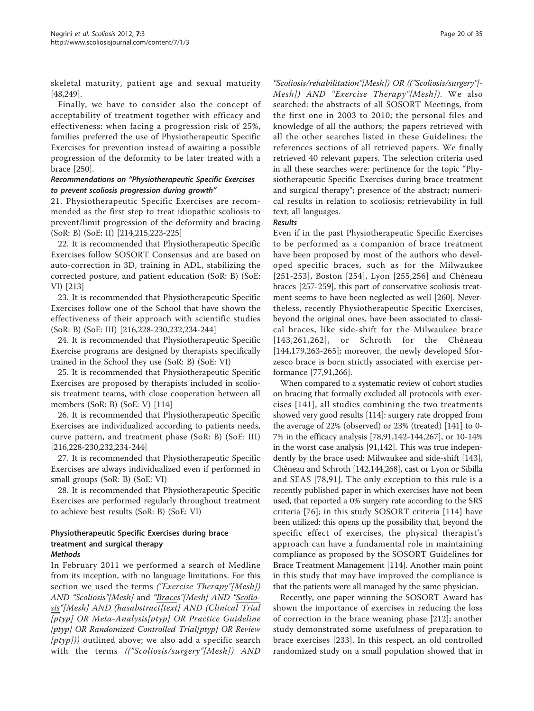skeletal maturity, patient age and sexual maturity [[48,](#page-27-0)[249](#page-31-0)].

Finally, we have to consider also the concept of acceptability of treatment together with efficacy and effectiveness: when facing a progression risk of 25%, families preferred the use of Physiotherapeutic Specific Exercises for prevention instead of awaiting a possible progression of the deformity to be later treated with a brace [[250\]](#page-31-0).

# Recommendations on "Physiotherapeutic Specific Exercises to prevent scoliosis progression during growth"

21. Physiotherapeutic Specific Exercises are recommended as the first step to treat idiopathic scoliosis to prevent/limit progression of the deformity and bracing (SoR: B) (SoE: II) [[214,215](#page-30-0)[,223-225](#page-31-0)]

22. It is recommended that Physiotherapeutic Specific Exercises follow SOSORT Consensus and are based on auto-correction in 3D, training in ADL, stabilizing the corrected posture, and patient education (SoR: B) (SoE: VI) [\[213\]](#page-30-0)

23. It is recommended that Physiotherapeutic Specific Exercises follow one of the School that have shown the effectiveness of their approach with scientific studies (SoR: B) (SoE: III) [[216,](#page-30-0)[228](#page-31-0)-[230,232,234](#page-31-0)-[244](#page-31-0)]

24. It is recommended that Physiotherapeutic Specific Exercise programs are designed by therapists specifically trained in the School they use (SoR: B) (SoE: VI)

25. It is recommended that Physiotherapeutic Specific Exercises are proposed by therapists included in scoliosis treatment teams, with close cooperation between all members (SoR: B) (SoE: V) [[114](#page-28-0)]

26. It is recommended that Physiotherapeutic Specific Exercises are individualized according to patients needs, curve pattern, and treatment phase (SoR: B) (SoE: III) [[216](#page-30-0),[228](#page-31-0)-[230](#page-31-0),[232,234](#page-31-0)-[244](#page-31-0)]

27. It is recommended that Physiotherapeutic Specific Exercises are always individualized even if performed in small groups (SoR: B) (SoE: VI)

28. It is recommended that Physiotherapeutic Specific Exercises are performed regularly throughout treatment to achieve best results (SoR: B) (SoE: VI)

# Physiotherapeutic Specific Exercises during brace treatment and surgical therapy Methods

In February 2011 we performed a search of Medline from its inception, with no language limitations. For this section we used the terms ("Exercise Therapy"[Mesh]) AND "Scoliosis"[Mesh] and "Braces"[Mesh] AND "Scoliosis"[Mesh] AND (hasabstract[text] AND (Clinical Trial [ptyp] OR Meta-Analysis[ptyp] OR Practice Guideline [ptyp] OR Randomized Controlled Trial[ptyp] OR Review  $[ptyp])$  outlined above; we also add a specific search with the terms (("Scoliosis/surgery"[Mesh]) AND

"Scoliosis/rehabilitation"[Mesh]) OR (("Scoliosis/surgery"[- Mesh]) AND "Exercise Therapy"[Mesh]). We also searched: the abstracts of all SOSORT Meetings, from the first one in 2003 to 2010; the personal files and knowledge of all the authors; the papers retrieved with all the other searches listed in these Guidelines; the references sections of all retrieved papers. We finally retrieved 40 relevant papers. The selection criteria used in all these searches were: pertinence for the topic "Physiotherapeutic Specific Exercises during brace treatment and surgical therapy"; presence of the abstract; numerical results in relation to scoliosis; retrievability in full text; all languages.

# Results

Even if in the past Physiotherapeutic Specific Exercises to be performed as a companion of brace treatment have been proposed by most of the authors who developed specific braces, such as for the Milwaukee [[251-253\]](#page-31-0), Boston [[254](#page-31-0)], Lyon [[255](#page-31-0),[256](#page-31-0)] and Chêneau braces [[257](#page-31-0)-[259\]](#page-31-0), this part of conservative scoliosis treatment seems to have been neglected as well [[260](#page-31-0)]. Nevertheless, recently Physiotherapeutic Specific Exercises, beyond the original ones, have been associated to classical braces, like side-shift for the Milwaukee brace [[143](#page-29-0),[261](#page-31-0),[262\]](#page-31-0), or Schroth for the Chêneau [[144,](#page-29-0)[179](#page-30-0)[,263-265\]](#page-31-0); moreover, the newly developed Sforzesco brace is born strictly associated with exercise performance [\[77](#page-27-0)[,91](#page-28-0)[,266\]](#page-31-0).

When compared to a systematic review of cohort studies on bracing that formally excluded all protocols with exercises [[141](#page-29-0)], all studies combining the two treatments showed very good results [\[114](#page-28-0)]: surgery rate dropped from the average of 22% (observed) or 23% (treated) [[141](#page-29-0)] to 0- 7% in the efficacy analysis [[78](#page-28-0),[91](#page-28-0)[,142](#page-29-0)-[144](#page-29-0)[,267](#page-32-0)], or 10-14% in the worst case analysis [[91](#page-28-0)[,142\]](#page-29-0). This was true independently by the brace used: Milwaukee and side-shift [[143](#page-29-0)], Chêneau and Schroth [[142,144](#page-29-0)[,268\]](#page-32-0), cast or Lyon or Sibilla and SEAS [[78](#page-28-0),[91\]](#page-28-0). The only exception to this rule is a recently published paper in which exercises have not been used, that reported a 0% surgery rate according to the SRS criteria [[76](#page-27-0)]; in this study SOSORT criteria [\[114\]](#page-28-0) have been utilized: this opens up the possibility that, beyond the specific effect of exercises, the physical therapist's approach can have a fundamental role in maintaining compliance as proposed by the SOSORT Guidelines for Brace Treatment Management [[114](#page-28-0)]. Another main point in this study that may have improved the compliance is that the patients were all managed by the same physician.

Recently, one paper winning the SOSORT Award has shown the importance of exercises in reducing the loss of correction in the brace weaning phase [[212\]](#page-30-0); another study demonstrated some usefulness of preparation to brace exercises [[233\]](#page-31-0). In this respect, an old controlled randomized study on a small population showed that in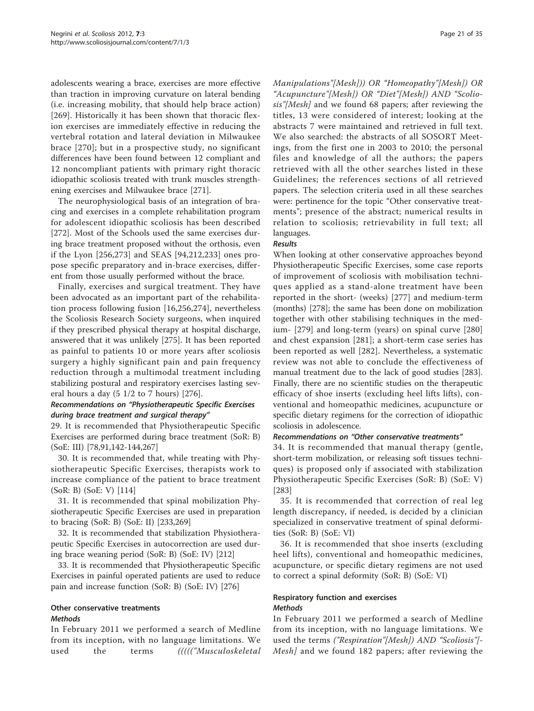adolescents wearing a brace, exercises are more effective than traction in improving curvature on lateral bending (i.e. increasing mobility, that should help brace action) [[269\]](#page-32-0). Historically it has been shown that thoracic flexion exercises are immediately effective in reducing the vertebral rotation and lateral deviation in Milwaukee brace [[270](#page-32-0)]; but in a prospective study, no significant differences have been found between 12 compliant and 12 noncompliant patients with primary right thoracic idiopathic scoliosis treated with trunk muscles strengthening exercises and Milwaukee brace [[271](#page-32-0)].

The neurophysiological basis of an integration of bracing and exercises in a complete rehabilitation program for adolescent idiopathic scoliosis has been described [[272\]](#page-32-0). Most of the Schools used the same exercises during brace treatment proposed without the orthosis, even if the Lyon [\[256](#page-31-0),[273\]](#page-32-0) and SEAS [[94](#page-28-0),[212,](#page-30-0)[233](#page-31-0)] ones propose specific preparatory and in-brace exercises, different from those usually performed without the brace.

Finally, exercises and surgical treatment. They have been advocated as an important part of the rehabilitation process following fusion [[16](#page-26-0)[,256](#page-31-0),[274\]](#page-32-0), nevertheless the Scoliosis Research Society surgeons, when inquired if they prescribed physical therapy at hospital discharge, answered that it was unlikely [\[275\]](#page-32-0). It has been reported as painful to patients 10 or more years after scoliosis surgery a highly significant pain and pain frequency reduction through a multimodal treatment including stabilizing postural and respiratory exercises lasting several hours a day (5 1/2 to 7 hours) [\[276\]](#page-32-0).

# Recommendations on "Physiotherapeutic Specific Exercises during brace treatment and surgical therapy"

29. It is recommended that Physiotherapeutic Specific Exercises are performed during brace treatment (SoR: B) (SoE: III) [\[78,91,](#page-28-0)[142-144,](#page-29-0)[267\]](#page-32-0)

30. It is recommended that, while treating with Physiotherapeutic Specific Exercises, therapists work to increase compliance of the patient to brace treatment (SoR: B) (SoE: V) [[114\]](#page-28-0)

31. It is recommended that spinal mobilization Physiotherapeutic Specific Exercises are used in preparation to bracing (SoR: B) (SoE: II) [[233](#page-31-0)[,269\]](#page-32-0)

32. It is recommended that stabilization Physiotherapeutic Specific Exercises in autocorrection are used during brace weaning period (SoR: B) (SoE: IV) [\[212\]](#page-30-0)

33. It is recommended that Physiotherapeutic Specific Exercises in painful operated patients are used to reduce pain and increase function (SoR: B) (SoE: IV) [[276](#page-32-0)]

# Other conservative treatments **Methods**

In February 2011 we performed a search of Medline from its inception, with no language limitations. We used the terms  $(((\n ("Musculoskeletal$  Manipulations"[Mesh])) OR "Homeopathy"[Mesh]) OR "Acupuncture"[Mesh]) OR "Diet"[Mesh]) AND "Scoliosis"[Mesh] and we found 68 papers; after reviewing the titles, 13 were considered of interest; looking at the abstracts 7 were maintained and retrieved in full text. We also searched: the abstracts of all SOSORT Meetings, from the first one in 2003 to 2010; the personal files and knowledge of all the authors; the papers retrieved with all the other searches listed in these Guidelines; the references sections of all retrieved papers. The selection criteria used in all these searches were: pertinence for the topic "Other conservative treatments"; presence of the abstract; numerical results in relation to scoliosis; retrievability in full text; all languages.

# Results

When looking at other conservative approaches beyond Physiotherapeutic Specific Exercises, some case reports of improvement of scoliosis with mobilisation techniques applied as a stand-alone treatment have been reported in the short- (weeks) [[277\]](#page-32-0) and medium-term (months) [\[278\]](#page-32-0); the same has been done on mobilization together with other stabilising techniques in the medium- [[279\]](#page-32-0) and long-term (years) on spinal curve [\[280](#page-32-0)] and chest expansion [[281](#page-32-0)]; a short-term case series has been reported as well [\[282\]](#page-32-0). Nevertheless, a systematic review was not able to conclude the effectiveness of manual treatment due to the lack of good studies [\[283](#page-32-0)]. Finally, there are no scientific studies on the therapeutic efficacy of shoe inserts (excluding heel lifts lifts), conventional and homeopathic medicines, acupuncture or specific dietary regimens for the correction of idiopathic scoliosis in adolescence.

### Recommendations on "Other conservative treatments"

34. It is recommended that manual therapy (gentle, short-term mobilization, or releasing soft tissues techniques) is proposed only if associated with stabilization Physiotherapeutic Specific Exercises (SoR: B) (SoE: V) [[283\]](#page-32-0)

35. It is recommended that correction of real leg length discrepancy, if needed, is decided by a clinician specialized in conservative treatment of spinal deformities (SoR: B) (SoE: VI)

36. It is recommended that shoe inserts (excluding heel lifts), conventional and homeopathic medicines, acupuncture, or specific dietary regimens are not used to correct a spinal deformity (SoR: B) (SoE: VI)

# Respiratory function and exercises Methods

In February 2011 we performed a search of Medline from its inception, with no language limitations. We used the terms ("Respiration"[Mesh]) AND "Scoliosis"[- Mesh] and we found 182 papers; after reviewing the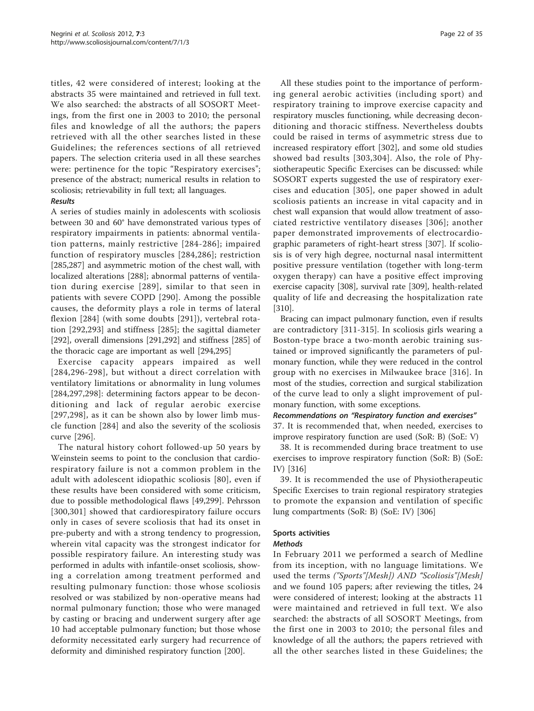titles, 42 were considered of interest; looking at the abstracts 35 were maintained and retrieved in full text. We also searched: the abstracts of all SOSORT Meetings, from the first one in 2003 to 2010; the personal files and knowledge of all the authors; the papers retrieved with all the other searches listed in these Guidelines; the references sections of all retrieved papers. The selection criteria used in all these searches were: pertinence for the topic "Respiratory exercises"; presence of the abstract; numerical results in relation to scoliosis; retrievability in full text; all languages. Results

A series of studies mainly in adolescents with scoliosis between 30 and 60° have demonstrated various types of respiratory impairments in patients: abnormal ventilation patterns, mainly restrictive [[284-286\]](#page-32-0); impaired function of respiratory muscles [[284,286\]](#page-32-0); restriction [[285,287](#page-32-0)] and asymmetric motion of the chest wall, with localized alterations [\[288](#page-32-0)]; abnormal patterns of ventilation during exercise [[289](#page-32-0)], similar to that seen in patients with severe COPD [\[290\]](#page-32-0). Among the possible causes, the deformity plays a role in terms of lateral flexion [\[284\]](#page-32-0) (with some doubts [\[291](#page-32-0)]), vertebral rotation [\[292](#page-32-0),[293\]](#page-32-0) and stiffness [\[285](#page-32-0)]; the sagittal diameter [[292\]](#page-32-0), overall dimensions [\[291,292\]](#page-32-0) and stiffness [\[285](#page-32-0)] of the thoracic cage are important as well [[294,295\]](#page-32-0)

Exercise capacity appears impaired as well [[284](#page-32-0),[296-298](#page-32-0)], but without a direct correlation with ventilatory limitations or abnormality in lung volumes [[284,297](#page-32-0),[298\]](#page-32-0): determining factors appear to be deconditioning and lack of regular aerobic exercise [[297](#page-32-0),[298\]](#page-32-0), as it can be shown also by lower limb muscle function [[284](#page-32-0)] and also the severity of the scoliosis curve [[296\]](#page-32-0).

The natural history cohort followed-up 50 years by Weinstein seems to point to the conclusion that cardiorespiratory failure is not a common problem in the adult with adolescent idiopathic scoliosis [[80](#page-28-0)], even if these results have been considered with some criticism, due to possible methodological flaws [\[49](#page-27-0)[,299](#page-32-0)]. Pehrsson [[300](#page-32-0),[301](#page-32-0)] showed that cardiorespiratory failure occurs only in cases of severe scoliosis that had its onset in pre-puberty and with a strong tendency to progression, wherein vital capacity was the strongest indicator for possible respiratory failure. An interesting study was performed in adults with infantile-onset scoliosis, showing a correlation among treatment performed and resulting pulmonary function: those whose scoliosis resolved or was stabilized by non-operative means had normal pulmonary function; those who were managed by casting or bracing and underwent surgery after age 10 had acceptable pulmonary function; but those whose deformity necessitated early surgery had recurrence of deformity and diminished respiratory function [\[200\]](#page-30-0).

All these studies point to the importance of performing general aerobic activities (including sport) and respiratory training to improve exercise capacity and respiratory muscles functioning, while decreasing deconditioning and thoracic stiffness. Nevertheless doubts could be raised in terms of asymmetric stress due to increased respiratory effort [\[302](#page-32-0)], and some old studies showed bad results [\[303](#page-32-0),[304\]](#page-32-0). Also, the role of Physiotherapeutic Specific Exercises can be discussed: while SOSORT experts suggested the use of respiratory exercises and education [[305\]](#page-32-0), one paper showed in adult scoliosis patients an increase in vital capacity and in chest wall expansion that would allow treatment of associated restrictive ventilatory diseases [[306\]](#page-32-0); another paper demonstrated improvements of electrocardiographic parameters of right-heart stress [[307\]](#page-32-0). If scoliosis is of very high degree, nocturnal nasal intermittent positive pressure ventilation (together with long-term oxygen therapy) can have a positive effect improving exercise capacity [\[308](#page-32-0)], survival rate [\[309\]](#page-32-0), health-related quality of life and decreasing the hospitalization rate [[310\]](#page-32-0).

Bracing can impact pulmonary function, even if results are contradictory [[311](#page-32-0)[-315](#page-33-0)]. In scoliosis girls wearing a Boston-type brace a two-month aerobic training sustained or improved significantly the parameters of pulmonary function, while they were reduced in the control group with no exercises in Milwaukee brace [[316](#page-33-0)]. In most of the studies, correction and surgical stabilization of the curve lead to only a slight improvement of pulmonary function, with some exceptions.

# Recommendations on "Respiratory function and exercises" 37. It is recommended that, when needed, exercises to improve respiratory function are used (SoR: B) (SoE: V)

38. It is recommended during brace treatment to use exercises to improve respiratory function (SoR: B) (SoE: IV) [\[316\]](#page-33-0)

39. It is recommended the use of Physiotherapeutic Specific Exercises to train regional respiratory strategies to promote the expansion and ventilation of specific lung compartments (SoR: B) (SoE: IV) [\[306\]](#page-32-0)

# Sports activities

# **Methods**

In February 2011 we performed a search of Medline from its inception, with no language limitations. We used the terms ("Sports"[Mesh]) AND "Scoliosis"[Mesh] and we found 105 papers; after reviewing the titles, 24 were considered of interest; looking at the abstracts 11 were maintained and retrieved in full text. We also searched: the abstracts of all SOSORT Meetings, from the first one in 2003 to 2010; the personal files and knowledge of all the authors; the papers retrieved with all the other searches listed in these Guidelines; the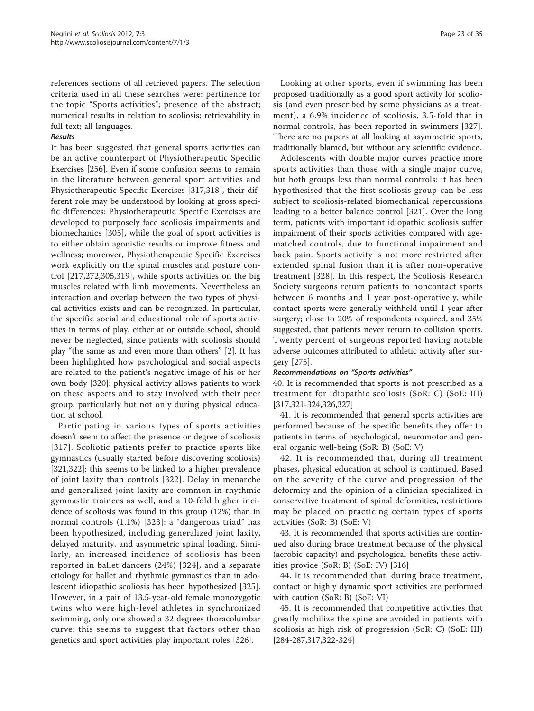references sections of all retrieved papers. The selection criteria used in all these searches were: pertinence for the topic "Sports activities"; presence of the abstract; numerical results in relation to scoliosis; retrievability in full text; all languages.

### Results

It has been suggested that general sports activities can be an active counterpart of Physiotherapeutic Specific Exercises [\[256\]](#page-31-0). Even if some confusion seems to remain in the literature between general sport activities and Physiotherapeutic Specific Exercises [[317,318\]](#page-33-0), their different role may be understood by looking at gross specific differences: Physiotherapeutic Specific Exercises are developed to purposely face scoliosis impairments and biomechanics [\[305](#page-32-0)], while the goal of sport activities is to either obtain agonistic results or improve fitness and wellness; moreover, Physiotherapeutic Specific Exercises work explicitly on the spinal muscles and posture control [\[217](#page-31-0)[,272](#page-32-0),[305,](#page-32-0)[319\]](#page-33-0), while sports activities on the big muscles related with limb movements. Nevertheless an interaction and overlap between the two types of physical activities exists and can be recognized. In particular, the specific social and educational role of sports activities in terms of play, either at or outside school, should never be neglected, since patients with scoliosis should play "the same as and even more than others" [[2\]](#page-26-0). It has been highlighted how psychological and social aspects are related to the patient's negative image of his or her own body [\[320](#page-33-0)]: physical activity allows patients to work on these aspects and to stay involved with their peer group, particularly but not only during physical education at school.

Participating in various types of sports activities doesn't seem to affect the presence or degree of scoliosis [[317\]](#page-33-0). Scoliotic patients prefer to practice sports like gymnastics (usually started before discovering scoliosis) [[321,322](#page-33-0)]: this seems to be linked to a higher prevalence of joint laxity than controls [[322\]](#page-33-0). Delay in menarche and generalized joint laxity are common in rhythmic gymnastic trainees as well, and a 10-fold higher incidence of scoliosis was found in this group (12%) than in normal controls (1.1%) [[323](#page-33-0)]: a "dangerous triad" has been hypothesized, including generalized joint laxity, delayed maturity, and asymmetric spinal loading. Similarly, an increased incidence of scoliosis has been reported in ballet dancers (24%) [\[324\]](#page-33-0), and a separate etiology for ballet and rhythmic gymnastics than in adolescent idiopathic scoliosis has been hypothesized [\[325](#page-33-0)]. However, in a pair of 13.5-year-old female monozygotic twins who were high-level athletes in synchronized swimming, only one showed a 32 degrees thoracolumbar curve: this seems to suggest that factors other than genetics and sport activities play important roles [[326\]](#page-33-0).

Looking at other sports, even if swimming has been proposed traditionally as a good sport activity for scoliosis (and even prescribed by some physicians as a treatment), a 6.9% incidence of scoliosis, 3.5-fold that in normal controls, has been reported in swimmers [[327](#page-33-0)]. There are no papers at all looking at asymmetric sports, traditionally blamed, but without any scientific evidence.

Adolescents with double major curves practice more sports activities than those with a single major curve, but both groups less than normal controls: it has been hypothesised that the first scoliosis group can be less subject to scoliosis-related biomechanical repercussions leading to a better balance control [\[321](#page-33-0)]. Over the long term, patients with important idiopathic scoliosis suffer impairment of their sports activities compared with agematched controls, due to functional impairment and back pain. Sports activity is not more restricted after extended spinal fusion than it is after non-operative treatment [[328](#page-33-0)]. In this respect, the Scoliosis Research Society surgeons return patients to noncontact sports between 6 months and 1 year post-operatively, while contact sports were generally withheld until 1 year after surgery; close to 20% of respondents required, and 35% suggested, that patients never return to collision sports. Twenty percent of surgeons reported having notable adverse outcomes attributed to athletic activity after surgery [\[275\]](#page-32-0).

### Recommendations on "Sports activities"

40. It is recommended that sports is not prescribed as a treatment for idiopathic scoliosis (SoR: C) (SoE: III) [[317,321](#page-33-0)-[324,326,327](#page-33-0)]

41. It is recommended that general sports activities are performed because of the specific benefits they offer to patients in terms of psychological, neuromotor and general organic well-being (SoR: B) (SoE: V)

42. It is recommended that, during all treatment phases, physical education at school is continued. Based on the severity of the curve and progression of the deformity and the opinion of a clinician specialized in conservative treatment of spinal deformities, restrictions may be placed on practicing certain types of sports activities (SoR: B) (SoE: V)

43. It is recommended that sports activities are continued also during brace treatment because of the physical (aerobic capacity) and psychological benefits these activities provide (SoR: B) (SoE: IV) [[316](#page-33-0)]

44. It is recommended that, during brace treatment, contact or highly dynamic sport activities are performed with caution (SoR: B) (SoE: VI)

45. It is recommended that competitive activities that greatly mobilize the spine are avoided in patients with scoliosis at high risk of progression (SoR: C) (SoE: III) [[284-287,](#page-32-0)[317,322](#page-33-0)-[324](#page-33-0)]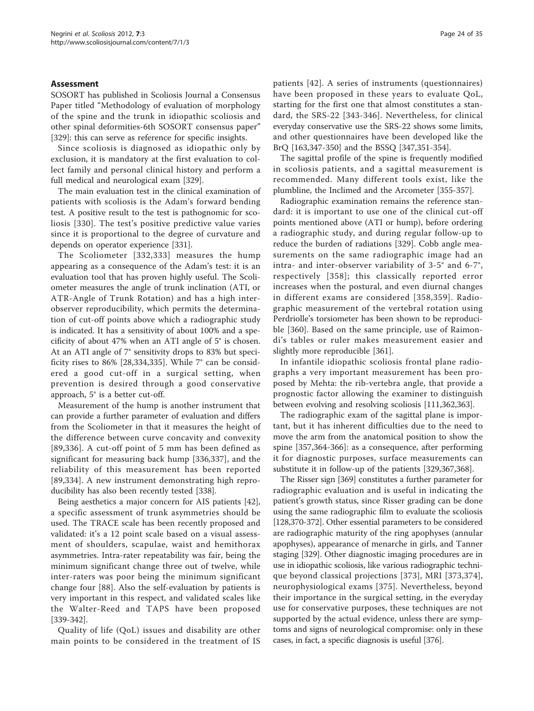### Assessment

SOSORT has published in Scoliosis Journal a Consensus Paper titled "Methodology of evaluation of morphology of the spine and the trunk in idiopathic scoliosis and other spinal deformities-6th SOSORT consensus paper" [[329](#page-33-0)]: this can serve as reference for specific insights.

Since scoliosis is diagnosed as idiopathic only by exclusion, it is mandatory at the first evaluation to collect family and personal clinical history and perform a full medical and neurological exam [\[329](#page-33-0)].

The main evaluation test in the clinical examination of patients with scoliosis is the Adam's forward bending test. A positive result to the test is pathognomic for scoliosis [[330](#page-33-0)]. The test's positive predictive value varies since it is proportional to the degree of curvature and depends on operator experience [[331](#page-33-0)].

The Scoliometer [[332](#page-33-0),[333\]](#page-33-0) measures the hump appearing as a consequence of the Adam's test: it is an evaluation tool that has proven highly useful. The Scoliometer measures the angle of trunk inclination (ATI, or ATR-Angle of Trunk Rotation) and has a high interobserver reproducibility, which permits the determination of cut-off points above which a radiographic study is indicated. It has a sensitivity of about 100% and a specificity of about 47% when an ATI angle of 5° is chosen. At an ATI angle of 7° sensitivity drops to 83% but specificity rises to 86% [\[28](#page-27-0)[,334,335](#page-33-0)]. While 7° can be considered a good cut-off in a surgical setting, when prevention is desired through a good conservative approach, 5° is a better cut-off.

Measurement of the hump is another instrument that can provide a further parameter of evaluation and differs from the Scoliometer in that it measures the height of the difference between curve concavity and convexity [[89](#page-28-0),[336\]](#page-33-0). A cut-off point of 5 mm has been defined as significant for measuring back hump [[336,337\]](#page-33-0), and the reliability of this measurement has been reported [[89](#page-28-0)[,334\]](#page-33-0). A new instrument demonstrating high reproducibility has also been recently tested [[338](#page-33-0)].

Being aesthetics a major concern for AIS patients [\[42](#page-27-0)], a specific assessment of trunk asymmetries should be used. The TRACE scale has been recently proposed and validated: it's a 12 point scale based on a visual assessment of shoulders, scapulae, waist and hemithorax asymmetries. Intra-rater repeatability was fair, being the minimum significant change three out of twelve, while inter-raters was poor being the minimum significant change four [\[88](#page-28-0)]. Also the self-evaluation by patients is very important in this respect, and validated scales like the Walter-Reed and TAPS have been proposed [[339-342\]](#page-33-0).

Quality of life (QoL) issues and disability are other main points to be considered in the treatment of IS patients [\[42\]](#page-27-0). A series of instruments (questionnaires) have been proposed in these years to evaluate QoL, starting for the first one that almost constitutes a standard, the SRS-22 [[343-346\]](#page-33-0). Nevertheless, for clinical everyday conservative use the SRS-22 shows some limits, and other questionnaires have been developed like the BrQ [\[163,](#page-29-0)[347-350\]](#page-33-0) and the BSSQ [\[347,351-354\]](#page-33-0).

The sagittal profile of the spine is frequently modified in scoliosis patients, and a sagittal measurement is recommended. Many different tools exist, like the plumbline, the Inclimed and the Arcometer [[355](#page-33-0)-[357\]](#page-33-0).

Radiographic examination remains the reference standard: it is important to use one of the clinical cut-off points mentioned above (ATI or hump), before ordering a radiographic study, and during regular follow-up to reduce the burden of radiations [[329\]](#page-33-0). Cobb angle measurements on the same radiographic image had an intra- and inter-observer variability of 3-5° and 6-7°, respectively [[358\]](#page-33-0); this classically reported error increases when the postural, and even diurnal changes in different exams are considered [[358,](#page-33-0)[359\]](#page-34-0). Radiographic measurement of the vertebral rotation using Perdriolle's torsiometer has been shown to be reproducible [[360\]](#page-34-0). Based on the same principle, use of Raimondi's tables or ruler makes measurement easier and slightly more reproducible [\[361\]](#page-34-0).

In infantile idiopathic scoliosis frontal plane radiographs a very important measurement has been proposed by Mehta: the rib-vertebra angle, that provide a prognostic factor allowing the examiner to distinguish between evolving and resolving scoliosis [\[111,](#page-28-0)[362,363](#page-34-0)].

The radiographic exam of the sagittal plane is important, but it has inherent difficulties due to the need to move the arm from the anatomical position to show the spine [[357,](#page-33-0)[364-366](#page-34-0)]: as a consequence, after performing it for diagnostic purposes, surface measurements can substitute it in follow-up of the patients [\[329](#page-33-0)[,367,368\]](#page-34-0).

The Risser sign [[369](#page-34-0)] constitutes a further parameter for radiographic evaluation and is useful in indicating the patient's growth status, since Risser grading can be done using the same radiographic film to evaluate the scoliosis [[128](#page-29-0)[,370-372](#page-34-0)]. Other essential parameters to be considered are radiographic maturity of the ring apophyses (annular apophyses), appearance of menarche in girls, and Tanner staging [\[329\]](#page-33-0). Other diagnostic imaging procedures are in use in idiopathic scoliosis, like various radiographic technique beyond classical projections [[373](#page-34-0)], MRI [[373](#page-34-0),[374](#page-34-0)], neurophysiological exams [[375](#page-34-0)]. Nevertheless, beyond their importance in the surgical setting, in the everyday use for conservative purposes, these techniques are not supported by the actual evidence, unless there are symptoms and signs of neurological compromise: only in these cases, in fact, a specific diagnosis is useful [[376\]](#page-34-0).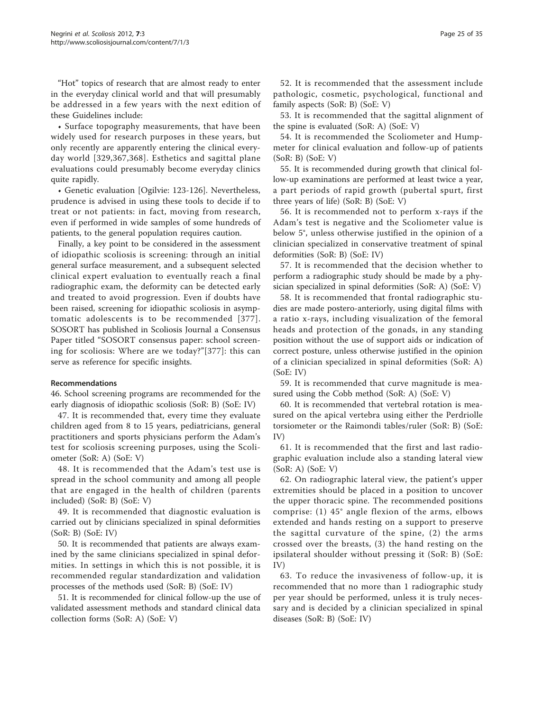"Hot" topics of research that are almost ready to enter in the everyday clinical world and that will presumably be addressed in a few years with the next edition of these Guidelines include:

• Surface topography measurements, that have been widely used for research purposes in these years, but only recently are apparently entering the clinical everyday world [[329](#page-33-0),[367,368\]](#page-34-0). Esthetics and sagittal plane evaluations could presumably become everyday clinics quite rapidly.

• Genetic evaluation [Ogilvie: 123-126]. Nevertheless, prudence is advised in using these tools to decide if to treat or not patients: in fact, moving from research, even if performed in wide samples of some hundreds of patients, to the general population requires caution.

Finally, a key point to be considered in the assessment of idiopathic scoliosis is screening: through an initial general surface measurement, and a subsequent selected clinical expert evaluation to eventually reach a final radiographic exam, the deformity can be detected early and treated to avoid progression. Even if doubts have been raised, screening for idiopathic scoliosis in asymptomatic adolescents is to be recommended [[377\]](#page-34-0). SOSORT has published in Scoliosis Journal a Consensus Paper titled "SOSORT consensus paper: school screening for scoliosis: Where are we today?"[\[377\]](#page-34-0): this can serve as reference for specific insights.

### Recommendations

46. School screening programs are recommended for the early diagnosis of idiopathic scoliosis (SoR: B) (SoE: IV)

47. It is recommended that, every time they evaluate children aged from 8 to 15 years, pediatricians, general practitioners and sports physicians perform the Adam's test for scoliosis screening purposes, using the Scoliometer (SoR: A) (SoE: V)

48. It is recommended that the Adam's test use is spread in the school community and among all people that are engaged in the health of children (parents included) (SoR: B) (SoE: V)

49. It is recommended that diagnostic evaluation is carried out by clinicians specialized in spinal deformities (SoR: B) (SoE: IV)

50. It is recommended that patients are always examined by the same clinicians specialized in spinal deformities. In settings in which this is not possible, it is recommended regular standardization and validation processes of the methods used (SoR: B) (SoE: IV)

51. It is recommended for clinical follow-up the use of validated assessment methods and standard clinical data collection forms (SoR: A) (SoE: V)

52. It is recommended that the assessment include pathologic, cosmetic, psychological, functional and family aspects (SoR: B) (SoE: V)

53. It is recommended that the sagittal alignment of the spine is evaluated (SoR: A) (SoE: V)

54. It is recommended the Scoliometer and Humpmeter for clinical evaluation and follow-up of patients (SoR: B) (SoE: V)

55. It is recommended during growth that clinical follow-up examinations are performed at least twice a year, a part periods of rapid growth (pubertal spurt, first three years of life) (SoR: B) (SoE: V)

56. It is recommended not to perform x-rays if the Adam's test is negative and the Scoliometer value is below 5°, unless otherwise justified in the opinion of a clinician specialized in conservative treatment of spinal deformities (SoR: B) (SoE: IV)

57. It is recommended that the decision whether to perform a radiographic study should be made by a physician specialized in spinal deformities (SoR: A) (SoE: V)

58. It is recommended that frontal radiographic studies are made postero-anteriorly, using digital films with a ratio x-rays, including visualization of the femoral heads and protection of the gonads, in any standing position without the use of support aids or indication of correct posture, unless otherwise justified in the opinion of a clinician specialized in spinal deformities (SoR: A) (SoE: IV)

59. It is recommended that curve magnitude is measured using the Cobb method (SoR: A) (SoE: V)

60. It is recommended that vertebral rotation is measured on the apical vertebra using either the Perdriolle torsiometer or the Raimondi tables/ruler (SoR: B) (SoE: IV)

61. It is recommended that the first and last radiographic evaluation include also a standing lateral view (SoR: A) (SoE: V)

62. On radiographic lateral view, the patient's upper extremities should be placed in a position to uncover the upper thoracic spine. The recommended positions comprise: (1) 45° angle flexion of the arms, elbows extended and hands resting on a support to preserve the sagittal curvature of the spine, (2) the arms crossed over the breasts, (3) the hand resting on the ipsilateral shoulder without pressing it (SoR: B) (SoE: IV)

63. To reduce the invasiveness of follow-up, it is recommended that no more than 1 radiographic study per year should be performed, unless it is truly necessary and is decided by a clinician specialized in spinal diseases (SoR: B) (SoE: IV)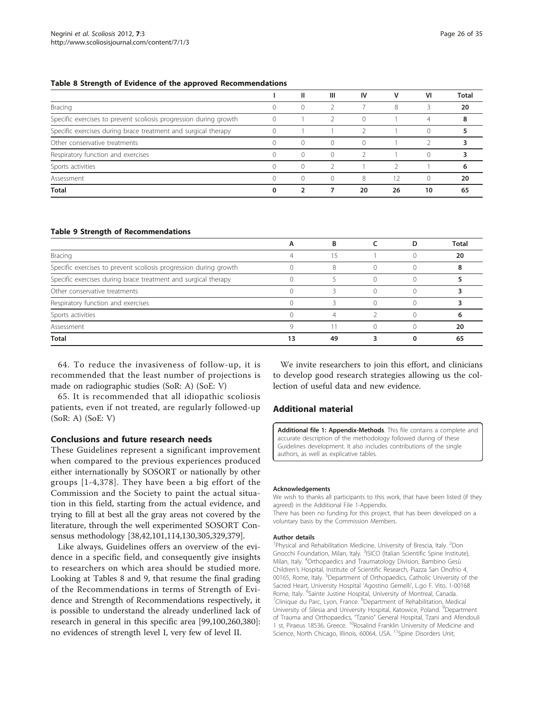### <span id="page-25-0"></span>Table 8 Strength of Evidence of the approved Recommendations

|                                                                   |          | Ш        | Ш | IV | v  | VI | Total |
|-------------------------------------------------------------------|----------|----------|---|----|----|----|-------|
| <b>Bracing</b>                                                    |          |          |   |    | 8  |    | 20    |
| Specific exercises to prevent scoliosis progression during growth |          |          |   |    |    |    |       |
| Specific exercises during brace treatment and surgical therapy    |          |          |   |    |    |    |       |
| Other conservative treatments                                     |          |          |   |    |    |    |       |
| Respiratory function and exercises                                |          | $\Omega$ |   |    |    |    |       |
| Sports activities                                                 |          |          |   |    |    |    |       |
| Assessment                                                        |          |          |   | 8  |    |    | 20    |
| <b>Total</b>                                                      | $\Omega$ | ว        |   | 20 | 26 | 10 | 65    |

### Table 9 Strength of Recommendations

| Δ | 5  |  | <b>Total</b><br>20 |
|---|----|--|--------------------|
|   |    |  |                    |
|   |    |  |                    |
|   |    |  |                    |
|   |    |  |                    |
|   |    |  |                    |
|   |    |  |                    |
|   |    |  |                    |
|   |    |  |                    |
|   | 49 |  | 65                 |
|   |    |  |                    |

64. To reduce the invasiveness of follow-up, it is recommended that the least number of projections is made on radiographic studies (SoR: A) (SoE: V)

65. It is recommended that all idiopathic scoliosis patients, even if not treated, are regularly followed-up (SoR: A) (SoE: V)

# Conclusions and future research needs

These Guidelines represent a significant improvement when compared to the previous experiences produced either internationally by SOSORT or nationally by other groups [[1](#page-26-0)-[4,](#page-26-0)[378\]](#page-34-0). They have been a big effort of the Commission and the Society to paint the actual situation in this field, starting from the actual evidence, and trying to fill at best all the gray areas not covered by the literature, through the well experimented SOSORT Consensus methodology [[38](#page-27-0),[42](#page-27-0)[,101,114,](#page-28-0)[130,](#page-29-0)[305](#page-32-0),[329](#page-33-0)[,379](#page-34-0)].

Like always, Guidelines offers an overview of the evidence in a specific field, and consequently give insights to researchers on which area should be studied more. Looking at Tables 8 and 9, that resume the final grading of the Recommendations in terms of Strength of Evidence and Strength of Recommendations respectively, it is possible to understand the already underlined lack of research in general in this specific area [[99,100](#page-28-0),[260](#page-31-0)[,380](#page-34-0)]: no evidences of strength level I, very few of level II.

We invite researchers to join this effort, and clinicians to develop good research strategies allowing us the collection of useful data and new evidence.

# Additional material

[Additional file 1: A](http://www.biomedcentral.com/content/supplementary/1748-7161-7-3-S1.DOC)ppendix-Methods. This file contains a complete and accurate description of the methodology followed during of these Guidelines development. It also includes contributions of the single authors, as well as explicative tables.

### Acknowledgements

We wish to thanks all participants to this work, that have been listed (if they agreed) in the Additional File 1-Appendix.

There has been no funding for this project, that has been developed on a voluntary basis by the Commission Members.

### Author details

<sup>1</sup> Physical and Rehabilitation Medicine, University of Brescia, Italy. <sup>2</sup> Don Gnocchi Foundation, Milan, Italy. <sup>3</sup>ISICO (Italian Scientific Spine Institute) Milan, Italy. <sup>4</sup>Orthopaedics and Traumatology Division, Bambino Gesù Children's Hospital, Institute of Scientific Research, Piazza San Onofrio 4, 00165, Rome, Italy. <sup>5</sup>Department of Orthopaedics, Catholic University of the Sacred Heart, University Hospital 'Agostino Gemelli', L.go F. Vito, 1-00168 Rome, Italy. <sup>6</sup> Sainte Justine Hospital, University of Montreal, Canada.<br><sup>7</sup> Clinique du Pars Juon France. <sup>8</sup> Department of Pobabilitation. Med Clinique du Parc, Lyon, France. <sup>8</sup>Department of Rehabilitation, Medical University of Silesia and University Hospital, Katowice, Poland. <sup>9</sup>Department of Trauma and Orthopaedics, "Tzanio" General Hospital, Tzani and Afendouli 1 st, Piraeus 18536, Greece. <sup>10</sup>Rosalind Franklin University of Medicine and Science, North Chicago, Illinois, 60064, USA. <sup>11</sup>Spine Disorders Unit,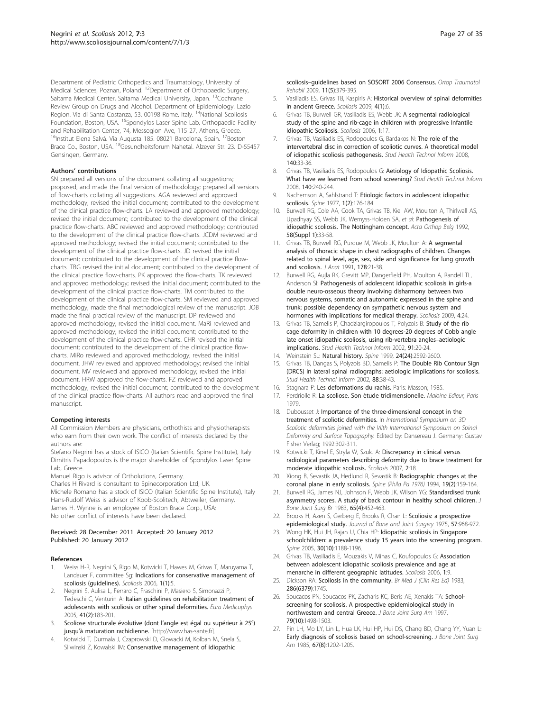<span id="page-26-0"></span>Department of Pediatric Orthopedics and Traumatology, University of Medical Sciences, Poznan, Poland. <sup>12</sup>Department of Orthopaedic Surgery, Saitama Medical Center, Saitama Medical University, Japan. 13Cochrane Review Group on Drugs and Alcohol. Department of Epidemiology. Lazio Region. Via di Santa Costanza, 53. 00198 Rome. Italy. <sup>14</sup>National Scoliosis Foundation, Boston, USA. <sup>15</sup>Spondylos Laser Spine Lab, Orthopaedic Facility and Rehabilitation Center, 74, Messogion Ave, 115 27, Athens, Greece. <sup>16</sup>Institut Elena Salvá. Vía Augusta 185. 08021 Barcelona, Spain. <sup>17</sup>Boston Brace Co., Boston, USA. <sup>18</sup>Gesundheitsforum Nahetal. Alzeyer Str. 23. D-55457 Gensingen, Germany.

### Authors' contributions

SN prepared all versions of the document collating all suggestions; proposed, and made the final version of methodology; prepared all versions of flow-charts collating all suggestions. AGA reviewed and approved methodology; revised the initial document; contributed to the development of the clinical practice flow-charts. LA reviewed and approved methodology; revised the initial document; contributed to the development of the clinical practice flow-charts. ABC reviewed and approved methodology; contributed to the development of the clinical practice flow-charts. JCDM reviewed and approved methodology; revised the initial document; contributed to the development of the clinical practice flow-charts. JD revised the initial document; contributed to the development of the clinical practice flowcharts. TBG revised the initial document; contributed to the development of the clinical practice flow-charts. PK approved the flow-charts. TK reviewed and approved methodology; revised the initial document; contributed to the development of the clinical practice flow-charts. TM contributed to the development of the clinical practice flow-charts. SM reviewed and approved methodology; made the final methodological review of the manuscript. JOB made the final practical review of the manuscript. DP reviewed and approved methodology; revised the initial document. MaRi reviewed and approved methodology; revised the initial document; contributed to the development of the clinical practice flow-charts. CHR revised the initial document; contributed to the development of the clinical practice flowcharts. MiRo reviewed and approved methodology; revised the initial document. JHW reviewed and approved methodology; revised the initial document. MV reviewed and approved methodology; revised the initial document. HRW approved the flow-charts. FZ reviewed and approved methodology; revised the initial document; contributed to the development of the clinical practice flow-charts. All authors read and approved the final manuscript.

#### Competing interests

All Commission Members are physicians, orthothists and physiotherapists who earn from their own work. The conflict of interests declared by the authors are:

Stefano Negrini has a stock of ISICO (Italian Scientific Spine Institute), Italy Dimitris Papadopoulos is the major shareholder of Spondylos Laser Spine Lab, Greece.

Manuel Rigo is advisor of Ortholutions, Germany.

Charles H Rivard is consultant to Spinecorporation Ltd, UK. Michele Romano has a stock of ISICO (Italian Scientific Spine Institute), Italy Hans-Rudolf Weiss is advisor of Koob-Scolitech, Abtweiler, Germany. James H. Wynne is an employee of Boston Brace Corp., USA:

No other conflict of interests have been declared.

### Received: 28 December 2011 Accepted: 20 January 2012 Published: 20 January 2012

### References

- 1. Weiss H-R, Negrini S, Rigo M, Kotwicki T, Hawes M, Grivas T, Maruyama T, Landauer F, committee Sg: Indications for conservative management of scoliosis (guidelines). Scoliosis 2006, 1(1):5.
- 2. Negrini S, Aulisa L, Ferraro C, Fraschini P, Masiero S, Simonazzi P, Tedeschi C, Venturin A: Italian guidelines on rehabilitation treatment of adolescents with scoliosis or other spinal deformities. Eura Medicophys 2005, 41(2):183-201.
- 3. Scoliose structurale évolutive (dont l'angle est égal ou supérieur à 25°) jusqu'à maturation rachidienne. [[http://www.has-sante.fr\]](http://www.has-sante.fr).
- Kotwicki T, Durmala J, Czaprowski D, Glowacki M, Kolban M, Snela S, Sliwinski Z, Kowalski IM: Conservative management of idiopathic

scoliosis-guidelines based on SOSORT 2006 Consensus. Ortop Traumatol Rehabil 2009, 11(5):379-395.

- 5. Vasiliadis ES, Grivas TB, Kaspiris A: Historical overview of spinal deformities in ancient Greece. Scoliosis 2009, 4(1):6.
- 6. Grivas TB, Burwell GR, Vasiliadis ES, Webb JK: A segmental radiological study of the spine and rib-cage in children with progressive Infantile Idiopathic Scoliosis. Scoliosis 2006, 1:17.
- 7. Grivas TB, Vasiliadis ES, Rodopoulos G, Bardakos N: The role of the intervertebral disc in correction of scoliotic curves. A theoretical model of idiopathic scoliosis pathogenesis. Stud Health Technol Inform 2008, 140:33-36.
- 8. Grivas TB, Vasiliadis ES, Rodopoulos G: Aetiology of Idiopathic Scoliosis. What have we learned from school screening? Stud Health Technol Inform 2008, 140:240-244.
- 9. Nachemson A, Sahlstrand T: Etiologic factors in adolescent idiopathic scoliosis. Spine 1977, 1(2):176-184.
- 10. Burwell RG, Cole AA, Cook TA, Grivas TB, Kiel AW, Moulton A, Thirlwall AS, Upadhyay SS, Webb JK, Wemyss-Holden SA, et al: Pathogenesis of idiopathic scoliosis. The Nottingham concept. Acta Orthop Belg 1992, 58(Suppl 1):33-58.
- 11. Grivas TB, Burwell RG, Purdue M, Webb JK, Moulton A: A segmental analysis of thoracic shape in chest radiographs of children. Changes related to spinal level, age, sex, side and significance for lung growth and scoliosis. J Anat 1991, 178:21-38.
- 12. Burwell RG, Aujla RK, Grevitt MP, Dangerfield PH, Moulton A, Randell TL, Anderson SI: Pathogenesis of adolescent idiopathic scoliosis in girls-a double neuro-osseous theory involving disharmony between two nervous systems, somatic and autonomic expressed in the spine and trunk: possible dependency on sympathetic nervous system and hormones with implications for medical therapy. Scoliosis 2009, 4:24.
- 13. Grivas TB, Samelis P, Chadziargiropoulos T, Polyzois B: Study of the rib cage deformity in children with 10 degrees-20 degrees of Cobb angle late onset idiopathic scoliosis, using rib-vertebra angles–aetiologic implications. Stud Health Technol Inform 2002, 91:20-24.
- 14. Weinstein SL: Natural history. Spine 1999, 24(24):2592-2600
- 15. Grivas TB, Dangas S, Polyzois BD, Samelis P: The Double Rib Contour Sign (DRCS) in lateral spinal radiographs: aetiologic implications for scoliosis. Stud Health Technol Inform 2002, 88:38-43.
- 16. Stagnara P: Les deformations du rachis. Paris: Masson; 1985.
- 17. Perdriolle R: La scoliose. Son ètude tridimensionelle. Maloine Edieur, Paris 1979.
- 18. Dubousset J: Importance of the three-dimensional concept in the treatment of scoliotic deformities. In International Symposium on 3D Scoliotic deformities joined with the VIIth International Symposium on Spinal Deformity and Surface Topography. Edited by: Dansereau J. Germany: Gustav Fisher Verlag; 1992:302-311.
- 19. Kotwicki T, Kinel E, Stryla W, Szulc A: Discrepancy in clinical versus radiological parameters describing deformity due to brace treatment for moderate idiopathic scoliosis. Scoliosis 2007, 2:18.
- 20. Xiong B, Sevastik JA, Hedlund R, Sevastik B: Radiographic changes at the coronal plane in early scoliosis. Spine (Phila Pa 1976) 1994, 19(2):159-164.
- 21. Burwell RG, James NJ, Johnson F, Webb JK, Wilson YG: Standardised trunk asymmetry scores. A study of back contour in healthy school children. J Bone Joint Surg Br 1983, 65(4):452-463.
- 22. Brooks H, Azen S, Gerberg E, Brooks R, Chan L: Scoliosis: a prospective epidemiological study. Journal of Bone and Joint Surgery 1975, 57:968-972.
- 23. Wong HK, Hui JH, Rajan U, Chia HP: Idiopathic scoliosis in Singapore schoolchildren: a prevalence study 15 years into the screening program. Spine 2005, 30(10):1188-1196.
- 24. Grivas TB, Vasiliadis E, Mouzakis V, Mihas C, Koufopoulos G: Association between adolescent idiopathic scoliosis prevalence and age at menarche in different geographic latitudes. Scoliosis 2006, 1:9.
- 25. Dickson RA: Scoliosis in the community. Br Med J (Clin Res Ed) 1983, 286(6379):1745.
- 26. Soucacos PN, Soucacos PK, Zacharis KC, Beris AE, Xenakis TA: Schoolscreening for scoliosis. A prospective epidemiological study in northwestern and central Greece. J Bone Joint Surg Am 1997, 79(10):1498-1503.
- 27. Pin LH, Mo LY, Lin L, Hua LK, Hui HP, Hui DS, Chang BD, Chang YY, Yuan L: Early diagnosis of scoliosis based on school-screening. J Bone Joint Surg Am 1985, 67(8):1202-1205.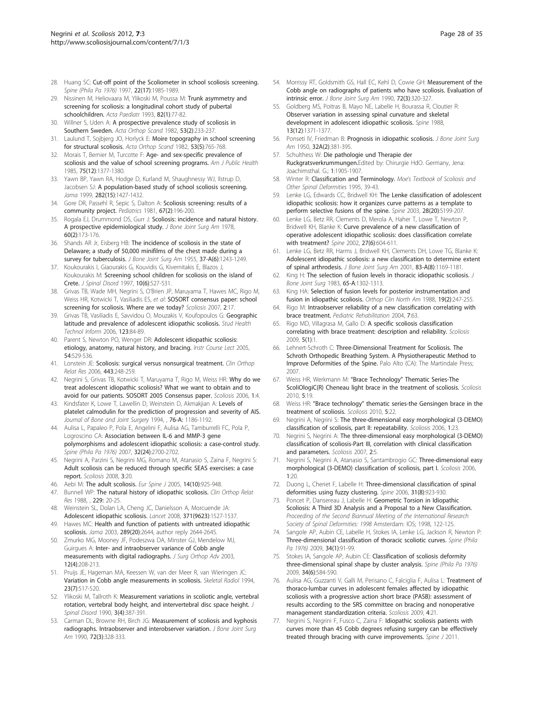- <span id="page-27-0"></span>28. Huang SC: Cut-off point of the Scoliometer in school scoliosis screening. Spine (Phila Pa 1976) 1997, 22(17):1985-1989.
- 29. Nissinen M, Heliovaara M, Ylikoski M, Poussa M: Trunk asymmetry and screening for scoliosis: a longitudinal cohort study of pubertal schoolchildren. Acta Paediatr 1993, 82(1):77-82.
- 30. Willner S, Uden A: A prospective prevalence study of scoliosis in Southern Sweden. Acta Orthop Scand 1982, 53(2):233-237.
- 31. Laulund T, Sojbjerg JO, Horlyck E: Moire topography in school screening for structural scoliosis. Acta Orthop Scand 1982, 53(5):765-768.
- 32. Morais T, Bernier M, Turcotte F: Age- and sex-specific prevalence of scoliosis and the value of school screening programs. Am J Public Health 1985, 75(12):1377-1380.
- 33. Yawn BP, Yawn RA, Hodge D, Kurland M, Shaughnessy WJ, Ilstrup D, Jacobsen SJ: A population-based study of school scoliosis screening. Jama 1999, 282(15):1427-1432.
- 34. Gore DR, Passehl R, Sepic S, Dalton A: Scoliosis screening: results of a community project. Pediatrics 1981, 67(2):196-200.
- 35. Rogala EJ, Drummond DS, Gurr J: Scoliosis: incidence and natural history. A prospective epidemiological study. J Bone Joint Surg Am 1978, 60(2):173-176.
- 36. Shands AR Jr, Eisberg HB: The incidence of scoliosis in the state of Delaware; a study of 50,000 minifilms of the chest made during a survey for tuberculosis. J Bone Joint Surg Am 1955, 37-A(6):1243-1249.
- 37. Koukourakis I, Giaourakis G, Kouvidis G, Kivernitakis E, Blazos J, Koukourakis M: Screening school children for scoliosis on the island of Crete. J Spinal Disord 1997, 10(6):527-531.
- 38. Grivas TB, Wade MH, Negrini S, O'Brien JP, Maruyama T, Hawes MC, Rigo M, Weiss HR, Kotwicki T, Vasiliadis ES, et al: SOSORT consensus paper: school screening for scoliosis. Where are we today? Scoliosis 2007, 2:17.
- 39. Grivas TB, Vasiliadis E, Savvidou O, Mouzakis V, Koufopoulos G: Geographic latitude and prevalence of adolescent idiopathic scoliosis. Stud Health Technol Inform 2006, 123:84-89.
- 40. Parent S, Newton PO, Wenger DR: Adolescent idiopathic scoliosis: etiology, anatomy, natural history, and bracing. Instr Course Lect 2005, 54:529-536.
- 41. Lonstein JE: Scoliosis: surgical versus nonsurgical treatment. Clin Orthop Relat Res 2006, 443:248-259.
- 42. Negrini S, Grivas TB, Kotwicki T, Maruyama T, Rigo M, Weiss HR: Why do we treat adolescent idiopathic scoliosis? What we want to obtain and to avoid for our patients. SOSORT 2005 Consensus paper. Scoliosis 2006, 1:4.
- 43. Kindsfater K, Lowe T, Lawellin D, Weinstein D, Akmakjian A: Levels of platelet calmodulin for the prediction of progression and severity of AIS. Journal of Bone and Joint Surgery 1994, , 76-A: 1186-1192.
- 44. Aulisa L, Papaleo P, Pola E, Angelini F, Aulisa AG, Tamburrelli FC, Pola P, Logroscino CA: Association between IL-6 and MMP-3 gene polymorphisms and adolescent idiopathic scoliosis: a case-control study. Spine (Phila Pa 1976) 2007, 32(24):2700-2702.
- 45. Negrini A, Parzini S, Negrini MG, Romano M, Atanasio S, Zaina F, Negrini S: Adult scoliosis can be reduced through specific SEAS exercises: a case report. Scoliosis 2008, 3:20.
- 46. Aebi M: The adult scoliosis. Eur Spine J 2005, 14(10):925-948.
- 47. Bunnell WP: The natural history of idiopathic scoliosis. Clin Orthop Relat Res 1988, , 229: 20-25.
- 48. Weinstein SL, Dolan LA, Cheng JC, Danielsson A, Morcuende JA: Adolescent idiopathic scoliosis. Lancet 2008, 371(9623):1527-1537.
- 49. Hawes MC: Health and function of patients with untreated idiopathic scoliosis. Jama 2003, 289(20):2644, author reply 2644-2645.
- 50. Zmurko MG, Mooney JF, Podeszwa DA, Minster GJ, Mendelow MJ, Guirgues A: Inter- and intraobserver variance of Cobb angle measurements with digital radiographs. J Surg Orthop Adv 2003, 12(4):208-213.
- 51. Pruijs JE, Hageman MA, Keessen W, van der Meer R, van Wieringen JC: Variation in Cobb angle measurements in scoliosis. Skeletal Radiol 1994, 23(7):517-520.
- 52. Ylikoski M, Tallroth K: Measurement variations in scoliotic angle, vertebral rotation, vertebral body height, and intervertebral disc space height. J Spinal Disord 1990, 3(4):387-391.
- 53. Carman DL, Browne RH, Birch JG: Measurement of scoliosis and kyphosis radiographs. Intraobserver and interobserver variation. J Bone Joint Surg Am 1990, 72(3):328-333.
- 54. Morrissy RT, Goldsmith GS, Hall EC, Kehl D, Cowie GH: Measurement of the Cobb angle on radiographs of patients who have scoliosis. Evaluation of intrinsic error. J Bone Joint Surg Am 1990, 72(3):320-327.
- 55. Goldberg MS, Poitras B, Mayo NE, Labelle H, Bourassa R, Cloutier R: Observer variation in assessing spinal curvature and skeletal development in adolescent idiopathic scoliosis. Spine 1988, 13(12):1371-1377.
- 56. Ponseti IV, Friedman B: Prognosis in idiopathic scoliosis. J Bone Joint Surg Am 1950, 32A(2):381-395.
- 57. Schulthess W: Die pathologie und Therapie der Ruckgratsverkrummungen.Edited by: Chirurgie HdO. Germany, Jena: Joachimsthal. G.; 1:1905-1907.
- 58. Winter R: Classification and Terminology. Moe's Textbook of Scoliosis and Other Spinal Deformities 1995, 39-43.
- 59. Lenke LG, Edwards CC, Bridwell KH: The Lenke classification of adolescent idiopathic scoliosis: how it organizes curve patterns as a template to perform selective fusions of the spine. Spine 2003, 28(20):S199-207.
- 60. Lenke LG, Betz RR, Clements D, Merola A, Haher T, Lowe T, Newton P, Bridwell KH, Blanke K: Curve prevalence of a new classification of operative adolescent idiopathic scoliosis: does classification correlate with treatment? Spine 2002, 27(6):604-611.
- 61. Lenke LG, Betz RR, Harms J, Bridwell KH, Clements DH, Lowe TG, Blanke K: Adolescent idiopathic scoliosis: a new classification to determine extent of spinal arthrodesis. J Bone Joint Surg Am 2001, 83-A(8):1169-1181.
- 62. King H: The selection of fusion levels in thoracic idiopathic scoliosis. J Bone Joint Surg 1983, 65-A:1302-1313.
- King HA: Selection of fusion levels for posterior instrumentation and fusion in idiopathic scoliosis. Orthop Clin North Am 1988, 19(2):247-255.
- Rigo M: Intraobserver reliability of a new classification correlating with brace treatment. Pediatric Rehabilitation 2004, 7:63.
- 65. Rigo MD, Villagrasa M, Gallo D: A specific scoliosis classification correlating with brace treatment: description and reliability. Scoliosis 2009, 5(1):1.
- 66. Lehnert-Schroth C: Three-Dimensional Treatment for Scoliosis. The Schroth Orthopedic Breathing System. A Physiotherapeutic Method to Improve Deformities of the Spine. Palo Alto (CA): The Martindale Press; 2007.
- 67. Weiss HR, Werkmann M: "Brace Technology" Thematic Series-The ScoliOlogiC(R) Cheneau light brace in the treatment of scoliosis. Scoliosis 2010, 5:19.
- 68. Weiss HR: "Brace technology" thematic series-the Gensingen brace in the treatment of scoliosis. Scoliosis 2010, 5:22.
- 69. Negrini A, Negrini S: The three-dimensional easy morphological (3-DEMO) classification of scoliosis, part II: repeatability. Scoliosis 2006, 1:23.
- 70. Negrini S, Negrini A: The three-dimensional easy morphological (3-DEMO) classification of scoliosis-Part III, correlation with clinical classification and parameters. Scoliosis 2007, 2:5.
- 71. Negrini S, Negrini A, Atanasio S, Santambrogio GC: Three-dimensional easy morphological (3-DEMO) classification of scoliosis, part I. Scoliosis 2006, 1:20.
- 72. Duong L, Cheriet F, Labelle H: Three-dimensional classification of spinal deformities using fuzzy clustering. Spine 2006, 31(8):923-930.
- 73. Poncet P, Dansereau J, Labelle H: Geometric Torsion in Idiopathic Scoliosis: A Third 3D Analysis and a Proposal to a New Classification. Proceeding of the Second Biannual Meeting of the International Research Society of Spinal Deformities: 1998 Amsterdam: IOS; 1998, 122-125.
- 74. Sangole AP, Aubin CE, Labelle H, Stokes IA, Lenke LG, Jackson R, Newton P: Three-dimensional classification of thoracic scoliotic curves. Spine (Phila Pa 1976) 2009, 34(1):91-99.
- 75. Stokes IA, Sangole AP, Aubin CE: Classification of scoliosis deformity three-dimensional spinal shape by cluster analysis. Spine (Phila Pa 1976) 2009, 34(6):584-590.
- 76. Aulisa AG, Guzzanti V, Galli M, Perisano C, Falciglia F, Aulisa L: Treatment of thoraco-lumbar curves in adolescent females affected by idiopathic scoliosis with a progressive action short brace (PASB): assessment of results according to the SRS committee on bracing and nonoperative management standardization criteria. Scoliosis 2009, 4:21.
- 77. Negrini S, Negrini F, Fusco C, Zaina F: Idiopathic scoliosis patients with curves more than 45 Cobb degrees refusing surgery can be effectively treated through bracing with curve improvements. Spine J 2011.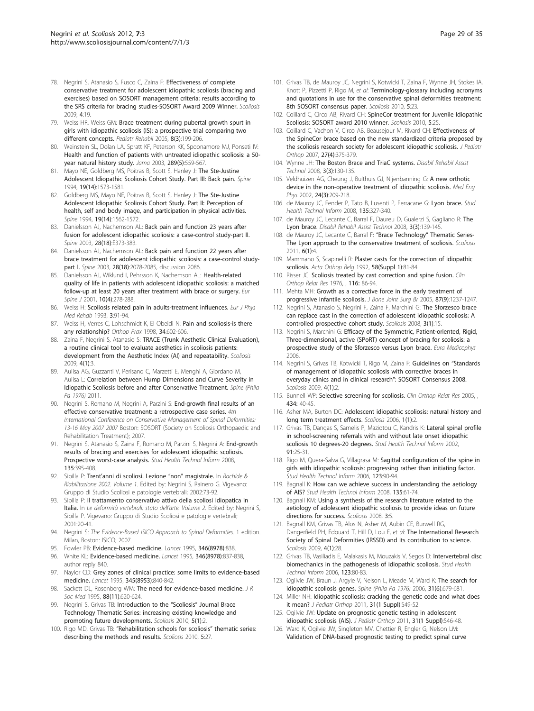- <span id="page-28-0"></span>78. Negrini S, Atanasio S, Fusco C, Zaina F: Effectiveness of complete conservative treatment for adolescent idiopathic scoliosis (bracing and exercises) based on SOSORT management criteria: results according to the SRS criteria for bracing studies-SOSORT Award 2009 Winner. Scoliosis 2009, 4:19.
- 79. Weiss HR, Weiss GM: Brace treatment during pubertal growth spurt in girls with idiopathic scoliosis (IS): a prospective trial comparing two different concepts. Pediatr Rehabil 2005, 8(3):199-206.
- 80. Weinstein SL, Dolan LA, Spratt KF, Peterson KK, Spoonamore MJ, Ponseti IV: Health and function of patients with untreated idiopathic scoliosis: a 50 year natural history study. Jama 2003, 289(5):559-567.
- 81. Mayo NE, Goldberg MS, Poitras B, Scott S, Hanley J: The Ste-Justine Adolescent Idiopathic Scoliosis Cohort Study. Part III: Back pain. Spine 1994, 19(14):1573-1581.
- 82. Goldberg MS, Mayo NE, Poitras B, Scott S, Hanley J: The Ste-Justine Adolescent Idiopathic Scoliosis Cohort Study. Part II: Perception of health, self and body image, and participation in physical activities. Spine 1994, 19(14):1562-1572.
- 83. Danielsson AJ, Nachemson AL: Back pain and function 23 years after fusion for adolescent idiopathic scoliosis: a case-control study-part II. Spine 2003, 28(18):E373-383.
- 84. Danielsson AJ, Nachemson AL: Back pain and function 22 years after brace treatment for adolescent idiopathic scoliosis: a case-control studypart I. Spine 2003, 28(18):2078-2085, discussion 2086.
- 85. Danielsson AJ, Wiklund I, Pehrsson K, Nachemson AL: Health-related quality of life in patients with adolescent idiopathic scoliosis: a matched follow-up at least 20 years after treatment with brace or surgery. Eur Spine 1 2001, **10(4)**:278-288.
- 86. Weiss H: Scoliosis related pain in adults-treatment influences. Eur J Phys Med Rehab 1993, 3:91-94.
- 87. Weiss H, Verres C, Lohschmidt K, El Obeidi N: Pain and scoliosis-is there any relationship? Orthop Prax 1998, 34:602-606.
- 88. Zaina F, Negrini S, Atanasio S: TRACE (Trunk Aesthetic Clinical Evaluation), a routine clinical tool to evaluate aesthetics in scoliosis patients: development from the Aesthetic Index (AI) and repeatability. Scoliosis 2009, 4(1):3.
- 89. Aulisa AG, Guzzanti V, Perisano C, Marzetti E, Menghi A, Giordano M, Aulisa L: Correlation between Hump Dimensions and Curve Severity in Idiopathic Scoliosis before and after Conservative Treatment. Spine (Phila Pa 1976) 2011.
- 90. Negrini S, Romano M, Negrini A, Parzini S: End-growth final results of an effective conservative treatment: a retrospective case series. 4th International Conference on Conservative Management of Spinal Deformities: 13-16 May 2007 2007 Boston: SOSORT (Society on Scoliosis Orthopaedic and Rehabilitation Treatment); 2007.
- 91. Negrini S, Atanasio S, Zaina F, Romano M, Parzini S, Negrini A: End-growth results of bracing and exercises for adolescent idiopathic scoliosis. Prospective worst-case analysis. Stud Health Technol Inform 2008, 135:395-408.
- 92. Sibilla P: Trent'anni di scoliosi. Lezione "non" magistrale. In Rachide & Riabilitazione 2002. Volume 1. Edited by: Negrini S, Rainero G. Vigevano: Gruppo di Studio Scoliosi e patologie vertebrali; 2002:73-92.
- 93. Sibilla P: Il trattamento conservativo attivo della scoliosi idiopatica in Italia. In Le deformità vertebrali: stato dell'arte. Volume 2. Edited by: Negrini S. Sibilla P. Vigevano: Gruppo di Studio Scoliosi e patologie vertebrali; 2001:20-41.
- 94. Negrini S: The Evidence-Based ISICO Approach to Spinal Deformities. 1 edition. Milan, Boston: ISICO; 2007.
- 95. Fowler PB: Evidence-based medicine. Lancet 1995, 346(8978):838.
- 96. White KL: Evidence-based medicine. Lancet 1995, 346(8978):837-838, author reply 840.
- 97. Naylor CD: Grey zones of clinical practice: some limits to evidence-based medicine. Lancet 1995, 345(8953):840-842.
- 98. Sackett DL, Rosenberg WM: The need for evidence-based medicine.  $J \, R$ Soc Med 1995, 88(11):620-624.
- 99. Negrini S, Grivas TB: Introduction to the "Scoliosis" Journal Brace Technology Thematic Series: increasing existing knowledge and promoting future developments. Scoliosis 2010, 5(1):2.
- 100. Rigo MD, Grivas TB: "Rehabilitation schools for scoliosis" thematic series: describing the methods and results. Scoliosis 2010, 5:27.
- 101. Grivas TB, de Mauroy JC, Negrini S, Kotwicki T, Zaina F, Wynne JH, Stokes IA, Knott P, Pizzetti P, Rigo M, et al: Terminology-glossary including acronyms and quotations in use for the conservative spinal deformities treatment: 8th SOSORT consensus paper. Scoliosis 2010, 5:23.
- 102. Coillard C, Circo AB, Rivard CH: SpineCor treatment for Juvenile Idiopathic Scoliosis: SOSORT award 2010 winner. Scoliosis 2010, 5:25.
- 103. Coillard C, Vachon V, Circo AB, Beausejour M, Rivard CH: Effectiveness of the SpineCor brace based on the new standardized criteria proposed by the scoliosis research society for adolescent idiopathic scoliosis. J Pediatr Orthop 2007, 27(4):375-379.
- 104. Wynne JH: The Boston Brace and TriaC systems. Disabil Rehabil Assist Technol 2008, 3(3):130-135.
- 105. Veldhuizen AG, Cheung J, Bulthuis GJ, Nijenbanning G: A new orthotic device in the non-operative treatment of idiopathic scoliosis. Med Eng Phys 2002, 24(3):209-218.
- 106. de Mauroy JC, Fender P, Tato B, Lusenti P, Ferracane G: Lyon brace. Stud Health Technol Inform 2008, 135:327-340.
- 107. de Mauroy JC, Lecante C, Barral F, Daureu D, Gualerzi S, Gagliano R: The Lyon brace. Disabil Rehabil Assist Technol 2008, 3(3):139-145.
- 108. de Mauroy JC, Lecante C, Barral F: "Brace Technology" Thematic Series-The Lyon approach to the conservative treatment of scoliosis. Scoliosis 2011, 6(1):4.
- 109. Mammano S, Scapinelli R: Plaster casts for the correction of idiopathic scoliosis. Acta Orthop Belg 1992, 58(Suppl 1):81-84.
- 110. Risser JC: Scoliosis treated by cast correction and spine fusion. Clin Orthop Relat Res 1976, , 116: 86-94.
- 111. Mehta MH: Growth as a corrective force in the early treatment of progressive infantile scoliosis. J Bone Joint Surg Br 2005, 87(9):1237-1247.
- 112. Negrini S, Atanasio S, Negrini F, Zaina F, Marchini G: The Sforzesco brace can replace cast in the correction of adolescent idiopathic scoliosis: A controlled prospective cohort study. Scoliosis 2008, 3(1):15.
- 113. Negrini S, Marchini G: Efficacy of the Symmetric, Patient-oriented, Rigid, Three-dimensional, active (SPoRT) concept of bracing for scoliosis: a prospective study of the Sforzesco versus Lyon brace. Eura Medicophys 2006.
- 114. Negrini S, Grivas TB, Kotwicki T, Rigo M, Zaina F: Guidelines on "Standards of management of idiopathic scoliosis with corrective braces in everyday clinics and in clinical research": SOSORT Consensus 2008. Scoliosis 2009, 4(1):2
- 115. Bunnell WP: Selective screening for scoliosis. Clin Orthop Relat Res 2005, , 434: 40-45.
- 116. Asher MA, Burton DC: Adolescent idiopathic scoliosis: natural history and long term treatment effects. Scoliosis 2006, 1(1):2.
- 117. Grivas TB, Dangas S, Samelis P, Maziotou C, Kandris K: Lateral spinal profile in school-screening referrals with and without late onset idiopathic scoliosis 10 degrees-20 degrees. Stud Health Technol Inform 2002, 91:25-31.
- 118. Rigo M, Quera-Salva G, Villagrasa M: Sagittal configuration of the spine in girls with idiopathic scoliosis: progressing rather than initiating factor. Stud Health Technol Inform 2006, 123:90-94.
- 119. Bagnall K: How can we achieve success in understanding the aetiology of AIS? Stud Health Technol Inform 2008, 135:61-74.
- 120. Bagnall KM: Using a synthesis of the research literature related to the aetiology of adolescent idiopathic scoliosis to provide ideas on future directions for success. Scoliosis 2008, 3:5.
- 121. Bagnall KM, Grivas TB, Alos N, Asher M, Aubin CE, Burwell RG, Dangerfield PH, Edouard T, Hill D, Lou E, et al: The International Research Society of Spinal Deformities (IRSSD) and its contribution to science. Scoliosis 2009, 4(1):28.
- 122. Grivas TB, Vasiliadis E, Malakasis M, Mouzakis V, Segos D: Intervertebral disc biomechanics in the pathogenesis of idiopathic scoliosis. Stud Health Technol Inform 2006, 123:80-83.
- 123. Ogilvie JW, Braun J, Argyle V, Nelson L, Meade M, Ward K: The search for idiopathic scoliosis genes. Spine (Phila Pa 1976) 2006, 31(6):679-681.
- 124. Miller NH: Idiopathic scoliosis: cracking the genetic code and what does it mean? J Pediatr Orthop 2011, 31(1 Suppl):S49-52.
- 125. Ogilvie JW: Update on prognostic genetic testing in adolescent idiopathic scoliosis (AIS). J Pediatr Orthop 2011, 31(1 Suppl):S46-48.
- 126. Ward K, Ogilvie JW, Singleton MV, Chettier R, Engler G, Nelson LM: Validation of DNA-based prognostic testing to predict spinal curve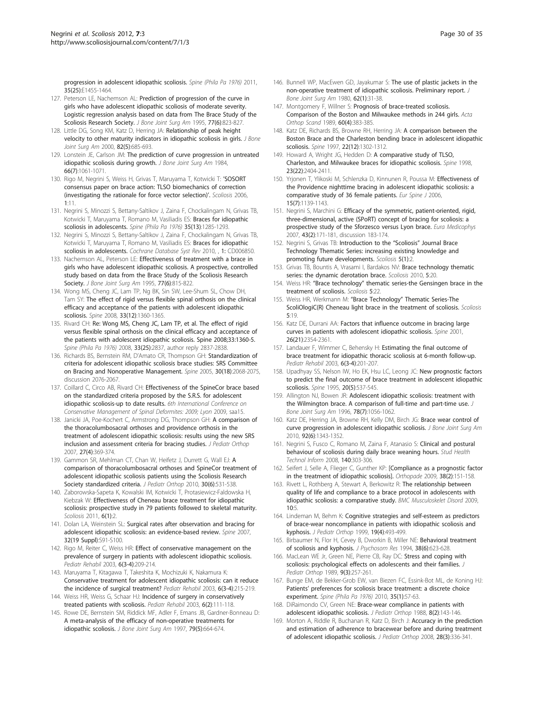<span id="page-29-0"></span>progression in adolescent idiopathic scoliosis. Spine (Phila Pa 1976) 2011, 35(25):E1455-1464.

- 127. Peterson LE, Nachemson AL: Prediction of progression of the curve in girls who have adolescent idiopathic scoliosis of moderate severity. Logistic regression analysis based on data from The Brace Study of the Scoliosis Research Society. J Bone Joint Surg Am 1995, 77(6):823-827.
- 128. Little DG, Song KM, Katz D, Herring JA: Relationship of peak height velocity to other maturity indicators in idiopathic scoliosis in girls. J Bone Joint Surg Am 2000, 82(5):685-693.
- 129. Lonstein JE, Carlson JM: The prediction of curve progression in untreated idiopathic scoliosis during growth. J Bone Joint Surg Am 1984, 66(7):1061-1071.
- 130. Rigo M, Negrini S, Weiss H, Grivas T, Maruyama T, Kotwicki T: 'SOSORT consensus paper on brace action: TLSO biomechanics of correction (investigating the rationale for force vector selection)'. Scoliosis 2006, 1:11.
- 131. Negrini S, Minozzi S, Bettany-Saltikov J, Zaina F, Chockalingam N, Grivas TB, Kotwicki T, Maruyama T, Romano M, Vasiliadis ES: Braces for idiopathic scoliosis in adolescents. Spine (Phila Pa 1976) 35(13):1285-1293.
- 132. Negrini S, Minozzi S, Bettany-Saltikov J, Zaina F, Chockalingam N, Grivas TB, Kotwicki T, Maruyama T, Romano M, Vasiliadis ES: Braces for idiopathic scoliosis in adolescents. Cochrane Database Syst Rev 2010, , 1: CD006850.
- 133. Nachemson AL, Peterson LE: Effectiveness of treatment with a brace in girls who have adolescent idiopathic scoliosis. A prospective, controlled study based on data from the Brace Study of the Scoliosis Research Society. J Bone Joint Surg Am 1995, 77(6):815-822.
- 134. Wong MS, Cheng JC, Lam TP, Ng BK, Sin SW, Lee-Shum SL, Chow DH, Tam SY: The effect of rigid versus flexible spinal orthosis on the clinical efficacy and acceptance of the patients with adolescent idiopathic scoliosis. Spine 2008, 33(12):1360-1365.
- 135. Rivard CH: Re: Wong MS, Cheng JC, Lam TP, et al. The effect of rigid versus flexible spinal orthosis on the clinical efficacy and acceptance of the patients with adolescent idiopathic scoliosis. Spine 2008;33:1360-5. Spine (Phila Pa 1976) 2008, 33(25):2837, author reply 2837-2838.
- 136. Richards BS, Bernstein RM, D'Amato CR, Thompson GH: Standardization of criteria for adolescent idiopathic scoliosis brace studies: SRS Committee on Bracing and Nonoperative Management. Spine 2005, 30(18):2068-2075, discussion 2076-2067.
- 137. Coillard C, Circo AB, Rivard CH: Effectiveness of the SpineCor brace based on the standardized criteria proposed by the S.R.S. for adolescent idiopathic scoliosis-up to date results. 6th International Conference on Conservative Management of Spinal Deformites: 2009; Lyon 2009, saa15.
- 138. Janicki JA, Poe-Kochert C, Armstrong DG, Thompson GH: A comparison of the thoracolumbosacral orthoses and providence orthosis in the treatment of adolescent idiopathic scoliosis: results using the new SRS inclusion and assessment criteria for bracing studies. J Pediatr Orthop 2007, 27(4):369-374.
- 139. Gammon SR, Mehlman CT, Chan W, Heifetz J, Durrett G, Wall EJ: A comparison of thoracolumbosacral orthoses and SpineCor treatment of adolescent idiopathic scoliosis patients using the Scoliosis Research Society standardized criteria. J Pediatr Orthop 2010, 30(6):531-538.
- 140. Zaborowska-Sapeta K, Kowalski IM, Kotwicki T, Protasiewicz-Faldowska H, Kiebzak W: Effectiveness of Cheneau brace treatment for idiopathic scoliosis: prospective study in 79 patients followed to skeletal maturity. Scoliosis 2011, 6(1):2.
- 141. Dolan LA, Weinstein SL: Surgical rates after observation and bracing for adolescent idiopathic scoliosis: an evidence-based review. Spine 2007, 32(19 Suppl):S91-S100.
- 142. Rigo M, Reiter C, Weiss HR: Effect of conservative management on the prevalence of surgery in patients with adolescent idiopathic scoliosis. Pediatr Rehabil 2003, 6(3-4):209-214.
- 143. Maruyama T, Kitagawa T, Takeshita K, Mochizuki K, Nakamura K: Conservative treatment for adolescent idiopathic scoliosis: can it reduce the incidence of surgical treatment? Pediatr Rehabil 2003, 6(3-4):215-219.
- 144. Weiss HR, Weiss G, Schaar HJ: Incidence of surgery in conservatively treated patients with scoliosis. Pediatr Rehabil 2003, 6(2):111-118.
- 145. Rowe DE, Bernstein SM, Riddick MF, Adler F, Emans JB, Gardner-Bonneau D: A meta-analysis of the efficacy of non-operative treatments for idiopathic scoliosis. J Bone Joint Surg Am 1997, 79(5):664-674.
- 146. Bunnell WP, MacEwen GD, Jayakumar S: The use of plastic jackets in the non-operative treatment of idiopathic scoliosis. Preliminary report. J Bone Joint Surg Am 1980, 62(1):31-38.
- 147. Montgomery F, Willner S: Prognosis of brace-treated scoliosis. Comparison of the Boston and Milwaukee methods in 244 girls. Acta Orthop Scand 1989, 60(4):383-385.
- 148. Katz DE, Richards BS, Browne RH, Herring JA: A comparison between the Boston Brace and the Charleston bending brace in adolescent idiopathic scoliosis. Spine 1997, 22(12):1302-1312.
- 149. Howard A, Wright JG, Hedden D: A comparative study of TLSO, Charleston, and Milwaukee braces for idiopathic scoliosis. Spine 1998, 23(22):2404-2411.
- 150. Yrjonen T, Ylikoski M, Schlenzka D, Kinnunen R, Poussa M: Effectiveness of the Providence nighttime bracing in adolescent idiopathic scoliosis: a comparative study of 36 female patients. Eur Spine J 2006, 15(7):1139-1143.
- 151. Negrini S, Marchini G: Efficacy of the symmetric, patient-oriented, rigid, three-dimensional, active (SPoRT) concept of bracing for scoliosis: a prospective study of the Sforzesco versus Lyon brace. Eura Medicophys 2007, 43(2):171-181, discussion 183-174.
- 152. Negrini S, Grivas TB: Introduction to the "Scoliosis" Journal Brace Technology Thematic Series: increasing existing knowledge and promoting future developments. Scoliosis 5(1):2.
- 153. Grivas TB, Bountis A, Vrasami I, Bardakos NV: Brace technology thematic series: the dynamic derotation brace. Scoliosis 2010, 5:20.
- 154. Weiss HR: "Brace technology" thematic series-the Gensingen brace in the treatment of scoliosis. Scoliosis 5:22.
- 155. Weiss HR, Werkmann M: "Brace Technology" Thematic Series-The ScoliOlogiC(R) Cheneau light brace in the treatment of scoliosis. Scoliosis 5:19.
- 156. Katz DE, Durrani AA: Factors that influence outcome in bracing large curves in patients with adolescent idiopathic scoliosis. Spine 2001, 26(21):2354-2361.
- 157. Landauer F, Wimmer C, Behensky H: Estimating the final outcome of brace treatment for idiopathic thoracic scoliosis at 6-month follow-up. Pediatr Rehabil 2003, 6(3-4):201-207.
- 158. Upadhyay SS, Nelson IW, Ho EK, Hsu LC, Leong JC: New prognostic factors to predict the final outcome of brace treatment in adolescent idiopathic scoliosis. Spine 1995, 20(5):537-545.
- 159. Allington NJ, Bowen JR: Adolescent idiopathic scoliosis: treatment with the Wilmington brace. A comparison of full-time and part-time use. J Bone Joint Surg Am 1996, 78(7):1056-1062.
- 160. Katz DE, Herring JA, Browne RH, Kelly DM, Birch JG: Brace wear control of curve progression in adolescent idiopathic scoliosis. J Bone Joint Surg Am 2010, 92(6):1343-1352.
- 161. Negrini S, Fusco C, Romano M, Zaina F, Atanasio S: Clinical and postural behaviour of scoliosis during daily brace weaning hours. Stud Health Technol Inform 2008, 140:303-306.
- 162. Seifert J, Selle A, Flieger C, Gunther KP: [Compliance as a prognostic factor in the treatment of idiopathic scoliosis]. Orthopade 2009, 38(2):151-158.
- 163. Rivett L, Rothberg A, Stewart A, Berkowitz R: The relationship between quality of life and compliance to a brace protocol in adolescents with idiopathic scoliosis: a comparative study. BMC Musculoskelet Disord 2009, 10:5.
- 164. Lindeman M, Behm K: Cognitive strategies and self-esteem as predictors of brace-wear noncompliance in patients with idiopathic scoliosis and kyphosis. J Pediatr Orthop 1999, 19(4):493-499.
- 165. Birbaumer N, Flor H, Cevey B, Dworkin B, Miller NE: Behavioral treatment of scoliosis and kyphosis. J Psychosom Res 1994, 38(6):623-628.
- 166. MacLean WE Jr, Green NE, Pierre CB, Ray DC: Stress and coping with scoliosis: psychological effects on adolescents and their families. J Pediatr Orthop 1989, 9(3):257-261.
- 167. Bunge EM, de Bekker-Grob EW, van Biezen FC, Essink-Bot ML, de Koning HJ: Patients' preferences for scoliosis brace treatment: a discrete choice experiment. Spine (Phila Pa 1976) 2010, 35(1):57-63.
- 168. DiRaimondo CV, Green NE: Brace-wear compliance in patients with adolescent idiopathic scoliosis. J Pediatr Orthop 1988, 8(2):143-146.
- 169. Morton A, Riddle R, Buchanan R, Katz D, Birch J: Accuracy in the prediction and estimation of adherence to bracewear before and during treatment of adolescent idiopathic scoliosis. J Pediatr Orthop 2008, 28(3):336-341.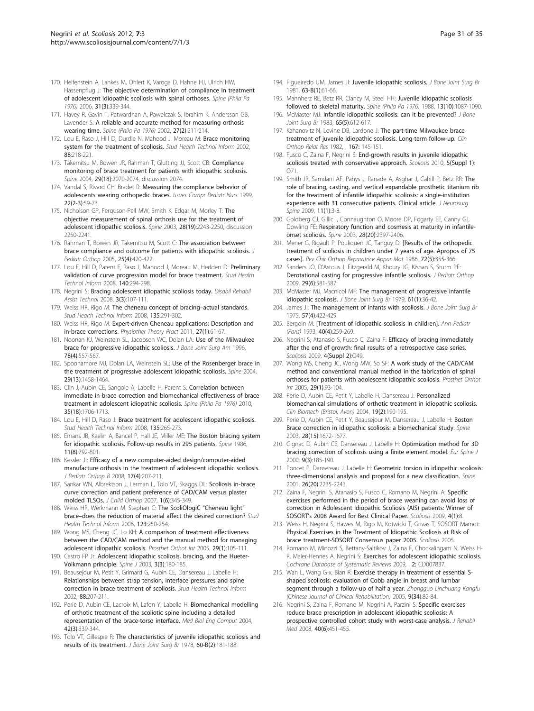- <span id="page-30-0"></span>170. Helfenstein A, Lankes M, Ohlert K, Varoga D, Hahne HJ, Ulrich HW, Hassenpflug J: The objective determination of compliance in treatment of adolescent idiopathic scoliosis with spinal orthoses. Spine (Phila Pa 1976) 2006, 31(3):339-344.
- 171. Havey R, Gavin T, Patwardhan A, Pawelczak S, Ibrahim K, Andersson GB, Lavender S: A reliable and accurate method for measuring orthosis wearing time. Spine (Phila Pa 1976) 2002, 27(2):211-214.
- 172. Lou E, Raso J, Hill D, Durdle N, Mahood J, Moreau M: Brace monitoring system for the treatment of scoliosis. Stud Health Technol Inform 2002, 88:218-221.
- 173. Takemitsu M, Bowen JR, Rahman T, Glutting JJ, Scott CB: Compliance monitoring of brace treatment for patients with idiopathic scoliosis. Spine 2004, 29(18):2070-2074, discussion 2074.
- 174. Vandal S, Rivard CH, Bradet R: Measuring the compliance behavior of adolescents wearing orthopedic braces. Issues Compr Pediatr Nurs 1999, 22(2-3):59-73.
- 175. Nicholson GP, Ferguson-Pell MW, Smith K, Edgar M, Morley T: The objective measurement of spinal orthosis use for the treatment of adolescent idiopathic scoliosis. Spine 2003, 28(19):2243-2250, discussion 2250-2241.
- 176. Rahman T, Bowen JR, Takemitsu M, Scott C: The association between brace compliance and outcome for patients with idiopathic scoliosis. J Pediatr Orthon 2005, 25(4):420-422.
- 177. Lou E, Hill D, Parent E, Raso J, Mahood J, Moreau M, Hedden D: Preliminary validation of curve progression model for brace treatment. Stud Health Technol Inform 2008, 140:294-298.
- 178. Negrini S: Bracing adolescent idiopathic scoliosis today. Disabil Rehabil Assist Technol 2008, 3(3):107-111.
- 179. Weiss HR, Rigo M: The cheneau concept of bracing–actual standards. Stud Health Technol Inform 2008, 135:291-302.
- 180. Weiss HR, Rigo M: Expert-driven Cheneau applications: Description and in-brace corrections. Physiother Theory Pract 2011, 27(1):61-67.
- 181. Noonan KJ, Weinstein SL, Jacobson WC, Dolan LA: Use of the Milwaukee brace for progressive idiopathic scoliosis. J Bone Joint Surg Am 1996, 78(4):557-567.
- 182. Spoonamore MJ, Dolan LA, Weinstein SL: Use of the Rosenberger brace in the treatment of progressive adolescent idiopathic scoliosis. Spine 2004, 29(13):1458-1464.
- 183. Clin J, Aubin CE, Sangole A, Labelle H, Parent S: Correlation between immediate in-brace correction and biomechanical effectiveness of brace treatment in adolescent idiopathic scoliosis. Spine (Phila Pa 1976) 2010, 35(18):1706-1713.
- 184. Lou E, Hill D, Raso J: Brace treatment for adolescent idiopathic scoliosis. Stud Health Technol Inform 2008, 135:265-273.
- 185. Emans JB, Kaelin A, Bancel P, Hall JE, Miller ME: The Boston bracing system for idiopathic scoliosis. Follow-up results in 295 patients. Spine 1986, 11(8):792-801.
- 186. Kessler Jl: Efficacy of a new computer-aided design/computer-aided manufacture orthosis in the treatment of adolescent idiopathic scoliosis. J Pediatr Orthop B 2008, 17(4):207-211.
- 187. Sankar WN, Albrektson J, Lerman L, Tolo VT, Skaggs DL: Scoliosis in-brace curve correction and patient preference of CAD/CAM versus plaster molded TLSOs. J Child Orthop 2007, 1(6):345-349.
- 188. Weiss HR, Werkmann M, Stephan C: The ScoliOlogiC "Cheneau light" brace–does the reduction of material affect the desired correction? Stud Health Technol Inform 2006, 123:250-254.
- 189. Wong MS, Cheng JC, Lo KH: A comparison of treatment effectiveness between the CAD/CAM method and the manual method for managing adolescent idiopathic scoliosis. Prosthet Orthot Int 2005, 29(1):105-111.
- 190. Castro FP Jr: Adolescent idiopathic scoliosis, bracing, and the Hueter-Volkmann principle. Spine J 2003, 3(3):180-185.
- 191. Beausejour M, Petit Y, Grimard G, Aubin CE, Dansereau J, Labelle H: Relationships between strap tension, interface pressures and spine correction in brace treatment of scoliosis. Stud Health Technol Inform 2002, 88:207-211.
- 192. Perie D, Aubin CE, Lacroix M, Lafon Y, Labelle H: Biomechanical modelling of orthotic treatment of the scoliotic spine including a detailed representation of the brace-torso interface. Med Biol Eng Comput 2004, 42(3):339-344.
- 193. Tolo VT, Gillespie R: The characteristics of juvenile idiopathic scoliosis and results of its treatment. J Bone Joint Surg Br 1978, 60-B(2):181-188.
- 194. Figueiredo UM, James JI: Juvenile idiopathic scoliosis. J Bone Joint Surg Br 1981, 63-B(1):61-66.
- 195. Mannherz RE, Betz RR, Clancy M, Steel HH: Juvenile idiopathic scoliosis followed to skeletal maturity. Spine (Phila Pa 1976) 1988, 13(10):1087-1090.
- 196. McMaster MJ: Infantile idiopathic scoliosis: can it be prevented? J Bone Joint Surg Br 1983, 65(5):612-617.
- 197. Kahanovitz N, Levine DB, Lardone J: The part-time Milwaukee brace treatment of juvenile idiopathic scoliosis. Long-term follow-up. Clin Orthop Relat Res 1982, , 167: 145-151.
- 198. Fusco C, Zaina F, Negrini S: End-growth results in juvenile idiopathic scoliosis treated with conservative approach. Scoliosis 2010, 5(Suppl 1): O71.
- 199. Smith JR, Samdani AF, Pahys J, Ranade A, Asghar J, Cahill P, Betz RR: The role of bracing, casting, and vertical expandable prosthetic titanium rib for the treatment of infantile idiopathic scoliosis: a single-institution experience with 31 consecutive patients. Clinical article. *J Neurosurg* Spine 2009, 11(1):3-8.
- 200. Goldberg CJ, Gillic I, Connaughton O, Moore DP, Fogarty EE, Canny GJ, Dowling FE: Respiratory function and cosmesis at maturity in infantileonset scoliosis. Spine 2003, 28(20):2397-2406.
- 201. Mener G, Rigault P, Pouliquen JC, Tanguy D: [Results of the orthopedic treatment of scoliosis in children under 7 years of age. Apropos of 75 cases]. Rev Chir Orthop Reparatrice Appar Mot 1986, 72(5):355-366.
- 202. Sanders JO, D'Astous J, Fitzgerald M, Khoury JG, Kishan S, Sturm PF: Derotational casting for progressive infantile scoliosis. J Pediatr Orthop 2009, 29(6):581-587.
- 203. McMaster MJ, Macnicol MF: The management of progressive infantile idiopathic scoliosis. *J Bone Joint Sura Br* 1979, 61(1):36-42.
- 204. James JI: The management of infants with scoliosis. J Bone Joint Surg Br 1975, 57(4):422-429.
- 205. Bergoin M: [Treatment of idiopathic scoliosis in children]. Ann Pediatr (Paris) 1993, 40(4):259-269.
- 206. Negrini S, Atanasio S, Fusco C, Zaina F: Efficacy of bracing immediately after the end of growth: final results of a retrospective case series. Scoliosis 2009, 4(Suppl 2):049.
- 207. Wong MS, Cheng JC, Wong MW, So SF: A work study of the CAD/CAM method and conventional manual method in the fabrication of spinal orthoses for patients with adolescent idiopathic scoliosis. Prosthet Orthot Int 2005, 29(1):93-104.
- 208. Perie D, Aubin CE, Petit Y, Labelle H, Dansereau J: Personalized biomechanical simulations of orthotic treatment in idiopathic scoliosis. Clin Biomech (Bristol, Avon) 2004, 19(2):190-195.
- 209. Perie D, Aubin CE, Petit Y, Beausejour M, Dansereau J, Labelle H: Boston Brace correction in idiopathic scoliosis: a biomechanical study. Spine 2003, 28(15):1672-1677.
- 210. Gignac D, Aubin CE, Dansereau J, Labelle H: Optimization method for 3D bracing correction of scoliosis using a finite element model. Eur Spine J 2000, 9(3):185-190.
- 211. Poncet P, Dansereau J, Labelle H: Geometric torsion in idiopathic scoliosis: three-dimensional analysis and proposal for a new classification. Spine 2001, 26(20):2235-2243.
- 212. Zaina F, Negrini S, Atanasio S, Fusco C, Romano M, Negrini A: Specific exercises performed in the period of brace weaning can avoid loss of correction in Adolescent Idiopathic Scoliosis (AIS) patients: Winner of SOSORT's 2008 Award for Best Clinical Paper. Scoliosis 2009, 4(1):8.
- 213. Weiss H, Negrini S, Hawes M, Rigo M, Kotwicki T, Grivas T, SOSORT Mamot: Physical Exercises in the Treatment of Idiopathic Scoliosis at Risk of brace treatment-SOSORT Consensus paper 2005. Scoliosis 2005.
- 214. Romano M, Minozzi S, Bettany-Saltikov J, Zaina F, Chockalingam N, Weiss H-R, Maier-Hennes A, Negrini S: Exercises for adolescent idiopathic scoliosis. Cochrane Database of Systematic Reviews 2009, , 2: CD007837.
- 215. Wan L, Wang G-x, Bian R: Exercise therapy in treatment of essential Sshaped scoliosis: evaluation of Cobb angle in breast and lumbar segment through a follow-up of half a year. Zhongguo Linchuang Kangfu (Chinese Journal of Clinical Rehabilitation) 2005, 9(34):82-84.
- 216. Negrini S, Zaina F, Romano M, Negrini A, Parzini S: Specific exercises reduce brace prescription in adolescent idiopathic scoliosis: A prospective controlled cohort study with worst-case analysis. J Rehabil Med 2008, 40(6):451-455.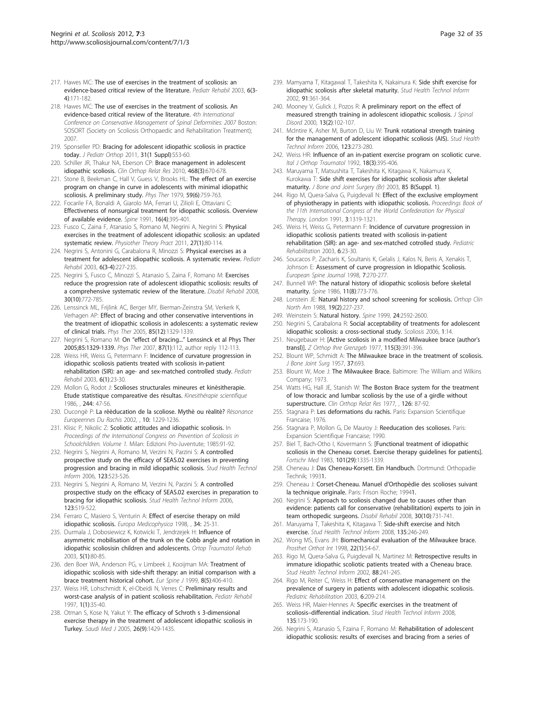- <span id="page-31-0"></span>217. Hawes MC: The use of exercises in the treatment of scoliosis: an evidence-based critical review of the literature. Pediatr Rehabil 2003, 6(3- 4):171-182.
- 218. Hawes MC: The use of exercises in the treatment of scoliosis. An evidence-based critical review of the literature. 4th International Conference on Conservative Management of Spinal Deformities: 2007 Boston: SOSORT (Society on Scoliosis Orthopaedic and Rehabilitation Treatment); 2007.
- 219. Sponseller PD: Bracing for adolescent idiopathic scoliosis in practice today. J Pediatr Orthop 2011, 31(1 Suppl):S53-60.
- 220. Schiller JR, Thakur NA, Eberson CP: Brace management in adolescent idiopathic scoliosis. Clin Orthop Relat Res 2010, 468(3):670-678.
- 221. Stone B, Beekman C, Hall V, Guess V, Brooks HL: The effect of an exercise program on change in curve in adolescents with minimal idiopathic scoliosis. A preliminary study. Phys Ther 1979, 59(6):759-763.
- 222. Focarile FA, Bonaldi A, Giarolo MA, Ferrari U, Zilioli E, Ottaviani C: Effectiveness of nonsurgical treatment for idiopathic scoliosis. Overview of available evidence. Spine 1991, 16(4):395-401.
- 223. Fusco C, Zaina F, Atanasio S, Romano M, Negrini A, Negrini S: Physical exercises in the treatment of adolescent idiopathic scoliosis: an updated systematic review. Physiother Theory Pract 2011, 27(1):80-114.
- 224. Negrini S, Antonini G, Carabalona R, Minozzi S: Physical exercises as a treatment for adolescent idiopathic scoliosis. A systematic review. Pediatr Rehabil 2003, 6(3-4):227-235.
- 225. Negrini S, Fusco C, Minozzi S, Atanasio S, Zaina F, Romano M: Exercises reduce the progression rate of adolescent idiopathic scoliosis: results of a comprehensive systematic review of the literature. Disabil Rehabil 2008, 30(10):772-785.
- 226. Lenssinck ML, Frijlink AC, Berger MY, Bierman-Zeinstra SM, Verkerk K, Verhagen AP: Effect of bracing and other conservative interventions in the treatment of idiopathic scoliosis in adolescents: a systematic review of clinical trials. Phys Ther 2005, 85(12):1329-1339.
- 227. Negrini S, Romano M: On "effect of bracing..." Lenssinck et al Phys Ther 2005;85:1329-1339. Phys Ther 2007, 87(1):112, author reply 112-113.
- 228. Weiss HR, Weiss G, Petermann F: Incidence of curvature progression in idiopathic scoliosis patients treated with scoliosis in-patient rehabilitation (SIR): an age- and sex-matched controlled study. Pediatr Rehabil 2003, 6(1):23-30.
- 229. Mollon G, Rodot J: Scolioses structurales mineures et kinèsitherapie. Etude statistique compareative des rèsultas. Kinesithérapie scientifique 1986, , 244: 47-56.
- 230. Ducongè P: La rèèducation de la scoliose. Mythè ou rèalitè? Rèsonance Europeennes Du Rachis 2002, , 10: 1229-1236.
- 231. Klisic P, Nikolic Z: Scoliotic attitudes and idiopathic scoliosis. In Proceedings of the International Congress on Prevention of Scoliosis in Schoolchildren. Volume 1. Milan: Edizioni Pro-Juventute; 1985:91-92.
- 232. Negrini S, Negrini A, Romano M, Verzini N, Parzini S: A controlled prospective study on the efficacy of SEAS.02 exercises in preventing progression and bracing in mild idiopathic scoliosis. Stud Health Technol Inform 2006, 123:523-526.
- 233. Negrini S, Negrini A, Romano M, Verzini N, Parzini S: A controlled prospective study on the efficacy of SEAS.02 exercises in preparation to bracing for idiopathic scoliosis. Stud Health Technol Inform 2006, 123:519-522.
- 234. Ferraro C, Masiero S, Venturin A: Effect of esercise therapy on mild idiopathic scoliosis. Europa Medicophysica 1998, , 34: 25-31.
- 235. Durmala J, Dobosiewicz K, Kotwicki T, Jendrzejek H: Influence of asymmetric mobilisation of the trunk on the Cobb angle and rotation in idiopathic scoliosisin children and adolescents. Ortop Traumatol Rehab 2003, 5(1):80-85.
- 236. den Boer WA, Anderson PG, v Limbeek J, Kooijman MA: Treatment of idiopathic scoliosis with side-shift therapy: an initial comparison with a brace treatment historical cohort. Eur Spine J 1999, 8(5):406-410.
- 237. Weiss HR, Lohschmidt K, el-Obeidi N, Verres C: Preliminary results and worst-case analysis of in patient scoliosis rehabilitation. Pediatr Rehabil 1997, 1(1):35-40.
- 238. Otman S, Kose N, Yakut Y: The efficacy of Schroth s 3-dimensional exercise therapy in the treatment of adolescent idiopathic scoliosis in Turkey. Saudi Med J 2005, 26(9):1429-1435.
- 239. Mamyama T, Kitagawal T, Takeshita K, Nakainura K; Side shift exercise for idiopathic scoliosis after skeletal maturity. Stud Health Technol Inform 2002, 91:361-364.
- 240. Mooney V, Gulick J, Pozos R: A preliminary report on the effect of measured strength training in adolescent idiopathic scoliosis. J Spinal Disord 2000, 13(2):102-107.
- 241. McIntire K, Asher M, Burton D, Liu W: Trunk rotational strength training for the management of adolescent idiopathic scoliosis (AIS). Stud Health Technol Inform 2006, 123:273-280.
- 242. Weiss HR: Influence of an in-patient exercise program on scoliotic curve. Ital J Orthop Traumatol 1992, 18(3):395-406.
- 243. Maruyama T, Matsushita T, Takeshita K, Kitagawa K, Nakamura K, Kurokawa T: Side shift exercises for idiopathic scoliosis after skeletal maturity. J Bone and Joint Surgery (Br) 2003, 85 B(Suppl. 1).
- 244. Rigo M, Quera-Salva G, Puigdevall N: Effect of the exclusive employment of physiotherapy in patients with idiopathic scoliosis. Proceedings Book of the 11th International Congress of the World Confederation for Physical Therapy. London 1991, 3:1319-1321.
- 245. Weiss H, Weiss G, Petermann F: Incidence of curvature progression in idiopathic scoliosis patients treated with scoliosis in-patient rehabilitation (SIR): an age- and sex-matched cotrolled study. Pediatric Rehabilitation 2003, 6:23-30.
- 246. Soucacos P, Zacharis K, Soultanis K, Gelalis J, Kalos N, Beris A, Xenakis T, Johnson E: Assessment of curve progression in Idiopathic Scoliosis. European Spine Journal 1998, 7:270-277.
- 247. Bunnell WP: The natural history of idiopathic scoliosis before skeletal maturity. Spine 1986, 11(8):773-776.
- 248. Lonstein JE: Natural history and school screening for scoliosis. Orthop Clin North Am 1988, 19(2):227-237.
- 249. Weinstein S: Natural history. Spine 1999, 24:2592-2600.
- 250. Negrini S, Carabalona R: Social acceptability of treatments for adolescent idiopathic scoliosis: a cross-sectional study. Scoliosis 2006, 1:14.
- 251. Neugebauer H: [Active scoliosis in a modified Milwaukee brace (author's transl)]. Z Orthop Ihre Grenzgeb 1977, 115(3):391-396.
- 252. Blount WP, Schmidt A: The Milwaukee brace in the treatment of scoliosis. J Bone Joint Surg 1957, 37:693.
- 253. Blount W, Moe J: The Milwaukee Brace. Baltimore: The William and Wilkins Company; 1973.
- 254. Watts HG, Hall JE, Stanish W: The Boston Brace system for the treatment of low thoracic and lumbar scoliosis by the use of a girdle without superstructure. Clin Orthop Relat Res 1977, , 126: 87-92.
- 255. Stagnara P: Les deformations du rachis. Paris: Expansion Scientifique Francaise; 1976.
- 256. Stagnara P, Mollon G, De Mauroy J: Reeducation des scolioses. Paris: Expansion Scientifique Francaise; 1990.
- 257. Biel T, Bach-Otho I, Kovermann S: [Functional treatment of idiopathic scoliosis in the Cheneau corset. Exercise therapy guidelines for patients]. Fortschr Med 1983, 101(29):1335-1339.
- 258. Cheneau J: Das Cheneau-Korsett. Ein Handbuch. Dortmund: Orthopadie Technik; 19931.
- 259. Cheneau J: Corset-Cheneau. Manuel d'Orthopèdie des scolioses suivant la technique originale. Paris: Frison Roche; 19941.
- 260. Negrini S: Approach to scoliosis changed due to causes other than evidence: patients call for conservative (rehabilitation) experts to join in team orthopedic surgeons. Disabil Rehabil 2008, 30(10):731-741.
- 261. Maruyama T, Takeshita K, Kitagawa T: Side-shift exercise and hitch exercise. Stud Health Technol Inform 2008, 135:246-249.
- 262. Wong MS, Evans JH: Biomechanical evaluation of the Milwaukee brace. Prosthet Orthot Int 1998, 22(1):54-67.
- 263. Rigo M, Quera-Salva G, Puigdevall N, Martinez M: Retrospective results in immature idiopathic scoliotic patients treated with a Cheneau brace. Stud Health Technol Inform 2002, 88:241-245.
- 264. Rigo M, Reiter C, Weiss H: Effect of conservative management on the prevalence of surgery in patients with adolescent idiopathic scoliosis. Pediatric Rehabilitation 2003, 6:209-214.
- 265. Weiss HR, Maier-Hennes A: Specific exercises in the treatment of scoliosis-differential indication. Stud Health Technol Inform 2008, 135:173-190.
- 266. Negrini S, Atanasio S, Fzaina F, Romano M: Rehabilitation of adolescent idiopathic scoliosis: results of exercises and bracing from a series of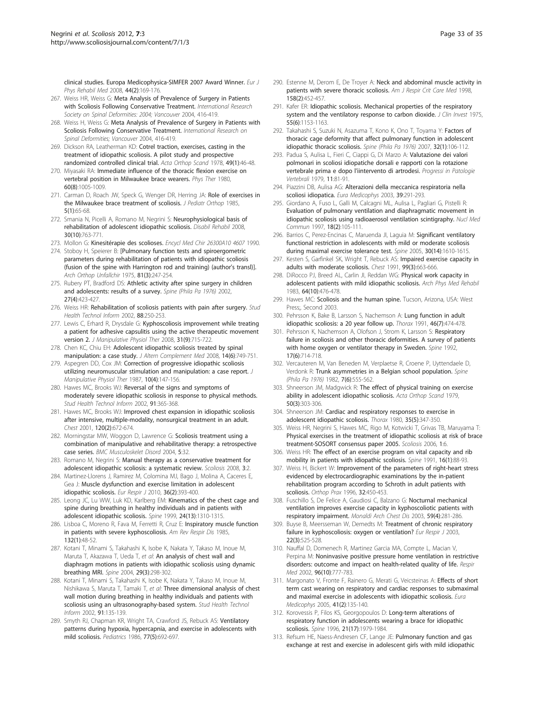<span id="page-32-0"></span>clinical studies. Europa Medicophysica-SIMFER 2007 Award Winner. Eur J Phys Rehabil Med 2008, 44(2):169-176.

- 267. Weiss HR, Weiss G: Meta Analysis of Prevalence of Surgery in Patients with Scoliosis Following Conservative Treatment. International Research Society on Spinal Deformities: 2004; Vancouver 2004, 416-419.
- 268. Weiss H, Weiss G: Meta Analysis of Prevalence of Surgery in Patients with Scoliosis Following Conservative Treatment. International Research on Spinal Deformities; Vancouver 2004, 416-419.
- 269. Dickson RA, Leatherman KD: Cotrel traction, exercises, casting in the treatment of idiopathic scoliosis. A pilot study and prospective randomized controlled clinical trial. Acta Orthop Scand 1978, 49(1):46-48.
- 270. Miyasaki RA: Immediate influence of the thoracic flexion exercise on vertebral position in Milwaukee brace wearers. Phys Ther 1980, 60(8):1005-1009.
- 271. Carman D, Roach JW, Speck G, Wenger DR, Herring JA: Role of exercises in the Milwaukee brace treatment of scoliosis. J Pediatr Orthop 1985, 5(1):65-68.
- 272. Smania N, Picelli A, Romano M, Negrini S: Neurophysiological basis of rehabilitation of adolescent idiopathic scoliosis. Disabil Rehabil 2008, 30(10):763-771.
- 273. Mollon G: Kinesitérapie des scolioses. Encycl Med Chir 26300A10 4607 1990.
- 274. Stoboy H, Speierer B: [Pulmonary function tests and spiroergometric parameters during rehabilitation of patients with idiopathic scoliosis (fusion of the spine with Harrington rod and training) (author's transl)]. Arch Orthop Unfallchir 1975, 81(3):247-254.
- 275. Rubery PT, Bradford DS: Athletic activity after spine surgery in children and adolescents: results of a survey. Spine (Phila Pa 1976) 2002, 27(4):423-427.
- 276. Weiss HR: Rehabilitation of scoliosis patients with pain after surgery. Stud Health Technol Inform 2002, 88:250-253.
- 277. Lewis C, Erhard R, Drysdale G: Kyphoscoliosis improvement while treating a patient for adhesive capsulitis using the active therapeutic movement version 2. J Manipulative Physiol Ther 2008, 31(9):715-722.
- 278. Chen KC, Chiu EH: Adolescent idiopathic scoliosis treated by spinal manipulation: a case study. J Altern Complement Med 2008, 14(6):749-751.
- 279. Aspegren DD, Cox JM: Correction of progressive idiopathic scoliosis utilizing neuromuscular stimulation and manipulation: a case report. J Manipulative Physiol Ther 1987, 10(4):147-156.
- 280. Hawes MC, Brooks WJ: Reversal of the signs and symptoms of moderately severe idiopathic scoliosis in response to physical methods. Stud Health Technol Inform 2002, 91:365-368.
- 281. Hawes MC, Brooks WJ: Improved chest expansion in idiopathic scoliosis after intensive, multiple-modality, nonsurgical treatment in an adult. Chest 2001, 120(2):672-674.
- 282. Morningstar MW, Woggon D, Lawrence G: Scoliosis treatment using a combination of manipulative and rehabilitative therapy: a retrospective case series. BMC Musculoskelet Disord 2004, 5:32.
- 283. Romano M, Negrini S: Manual therapy as a conservative treatment for adolescent idiopathic scoliosis: a systematic review. Scoliosis 2008, 3:2.
- 284. Martinez-Llorens J, Ramirez M, Colomina MJ, Bago J, Molina A, Caceres E, Gea J: Muscle dysfunction and exercise limitation in adolescent idiopathic scoliosis. Eur Respir J 2010, 36(2):393-400.
- 285. Leong JC, Lu WW, Luk KD, Karlberg EM: Kinematics of the chest cage and spine during breathing in healthy individuals and in patients with adolescent idiopathic scoliosis. Spine 1999, 24(13):1310-1315
- 286. Lisboa C, Moreno R, Fava M, Ferretti R, Cruz E: Inspiratory muscle function in patients with severe kyphoscoliosis. Am Rev Respir Dis 1985, 132(1):48-52.
- 287. Kotani T, Minami S, Takahashi K, Isobe K, Nakata Y, Takaso M, Inoue M, Maruta T, Akazawa T, Ueda T, et al: An analysis of chest wall and diaphragm motions in patients with idiopathic scoliosis using dynamic breathing MRI. Spine 2004, 29(3):298-302.
- 288. Kotani T, Minami S, Takahashi K, Isobe K, Nakata Y, Takaso M, Inoue M, Nishikawa S, Maruta T, Tamaki T, et al: Three dimensional analysis of chest wall motion during breathing in healthy individuals and patients with scoliosis using an ultrasonography-based system. Stud Health Technol Inform 2002, 91:135-139.
- 289. Smyth RJ, Chapman KR, Wright TA, Crawford JS, Rebuck AS: Ventilatory patterns during hypoxia, hypercapnia, and exercise in adolescents with mild scoliosis. Pediatrics 1986, 77(5):692-697.
- 290. Estenne M, Derom E, De Trover A: Neck and abdominal muscle activity in patients with severe thoracic scoliosis. Am J Respir Crit Care Med 1998, 158(2):452-457.
- 291. Kafer ER: Idiopathic scoliosis. Mechanical properties of the respiratory system and the ventilatory response to carbon dioxide. J Clin Invest 1975, 55(6):1153-1163.
- 292. Takahashi S, Suzuki N, Asazuma T, Kono K, Ono T, Toyama Y: Factors of thoracic cage deformity that affect pulmonary function in adolescent idiopathic thoracic scoliosis. Spine (Phila Pa 1976) 2007, 32(1):106-112.
- 293. Padua S, Aulisa L, Fieri C, Ciappi G, Di Marzo A: Valutazione dei valori polmonari in scoliosi idiopatiche dorsali e rapporti con la rotazione vertebrale prima e dopo l'iintervento di artrodesi. Progressi in Patologie Vertebrali 1979, 11:81-91.
- 294. Piazzini DB, Aulisa AG: Alterazioni della meccanica respiratoria nella scoliosi idiopatica. Eura Medicophys 2003, 39:291-293.
- 295. Giordano A, Fuso L, Galli M, Calcagni ML, Aulisa L, Pagliari G, Pistelli R: Evaluation of pulmonary ventilation and diaphragmatic movement in idiopathic scoliosis using radioaerosol ventilation scintigraphy. Nucl Med Commun 1997, 18(2):105-111.
- 296. Barrios C, Perez-Encinas C, Maruenda JI, Laguia M: Significant ventilatory functional restriction in adolescents with mild or moderate scoliosis during maximal exercise tolerance test. Spine 2005, 30(14):1610-1615.
- 297. Kesten S, Garfinkel SK, Wright T, Rebuck AS: Impaired exercise capacity in adults with moderate scoliosis. Chest 1991, 99(3):663-666.
- 298. DiRocco PJ, Breed AL, Carlin JI, Reddan WG: Physical work capacity in adolescent patients with mild idiopathic scoliosis. Arch Phys Med Rehabil 1983, 64(10):476-478.
- 299. Hawes MC: Scoliosis and the human spine. Tucson, Arizona, USA: West Press;, Second 2003.
- 300. Pehrsson K, Bake B, Larsson S, Nachemson A: Lung function in adult idiopathic scoliosis: a 20 year follow up. Thorax 1991, 46(7):474-478.
- 301. Pehrsson K, Nachemson A, Olofson J, Strom K, Larsson S: Respiratory failure in scoliosis and other thoracic deformities. A survey of patients with home oxygen or ventilator therapy in Sweden. Spine 1992, 17(6):714-718.
- 302. Vercauteren M, Van Beneden M, Verplaetse R, Croene P, Uyttendaele D, Verdonk R: Trunk asymmetries in a Belgian school population. Spine (Phila Pa 1976) 1982, 7(6):555-562.
- 303. Shneerson JM, Madgwick R: The effect of physical training on exercise ability in adolescent idiopathic scoliosis. Acta Orthop Scand 1979, 50(3):303-306.
- 304. Shneerson JM: Cardiac and respiratory responses to exercise in adolescent idiopathic scoliosis. Thorax 1980, 35(5):347-350.
- 305. Weiss HR, Negrini S, Hawes MC, Rigo M, Kotwicki T, Grivas TB, Maruyama T: Physical exercises in the treatment of idiopathic scoliosis at risk of brace treatment-SOSORT consensus paper 2005. Scoliosis 2006, 1:6.
- 306. Weiss HR: The effect of an exercise program on vital capacity and rib mobility in patients with idiopathic scoliosis. Spine 1991, 16(1):88-93.
- 307. Weiss H, Bickert W: Improvement of the parameters of right-heart stress evidenced by electrocardiographic examinations by the in-patient rehabilitation program according to Schroth in adult patients with scoliosis. Orthop Prax 1996, 32:450-453.
- 308. Fuschillo S, De Felice A, Gaudiosi C, Balzano G: Nocturnal mechanical ventilation improves exercise capacity in kyphoscoliotic patients with respiratory impairment. Monaldi Arch Chest Dis 2003, 59(4):281-286.
- 309. Buyse B, Meersseman W, Demedts M: Treatment of chronic respiratory failure in kyphoscoliosis: oxygen or ventilation? Eur Respir J 2003, 22(3):525-528.
- 310. Nauffal D, Domenech R, Martinez Garcia MA, Compte L, Macian V, Perpina M: Noninvasive positive pressure home ventilation in restrictive disorders: outcome and impact on health-related quality of life. Respir Med 2002, 96(10):777-783.
- 311. Margonato V, Fronte F, Rainero G, Merati G, Veicsteinas A: Effects of short term cast wearing on respiratory and cardiac responses to submaximal and maximal exercise in adolescents with idiopathic scoliosis. Eura Medicophys 2005, 41(2):135-140.
- 312. Korovessis P, Filos KS, Georgopoulos D: Long-term alterations of respiratory function in adolescents wearing a brace for idiopathic scoliosis. Spine 1996, 21(17):1979-1984.
- 313. Refsum HE, Naess-Andresen CF, Lange JE: Pulmonary function and gas exchange at rest and exercise in adolescent girls with mild idiopathic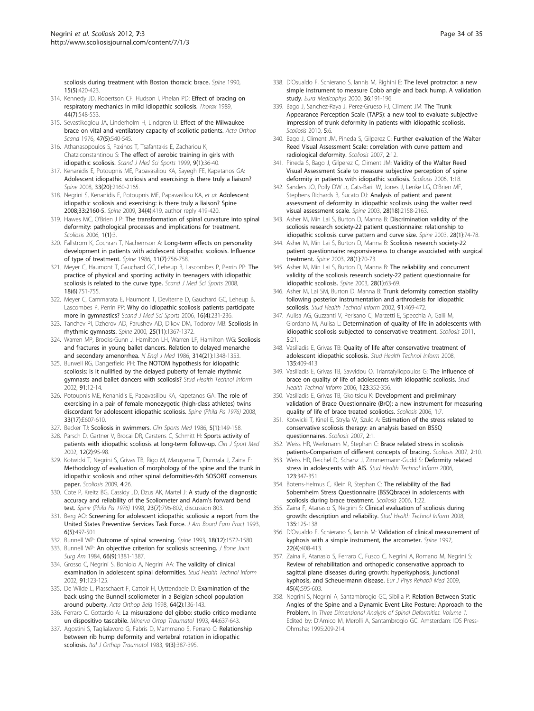<span id="page-33-0"></span>scoliosis during treatment with Boston thoracic brace. Spine 1990, 15(5):420-423.

- 314. Kennedy JD, Robertson CF, Hudson I, Phelan PD: Effect of bracing on respiratory mechanics in mild idiopathic scoliosis. Thorax 1989, 44(7):548-553.
- 315. Sevastikoglou JA, Linderholm H, Lindgren U: Effect of the Milwaukee brace on vital and ventilatory capacity of scoliotic patients. Acta Orthop Scand 1976, 47(5):540-545.
- 316. Athanasopoulos S, Paxinos T, Tsafantakis E, Zachariou K, Chatziconstantinou S: The effect of aerobic training in girls with idiopathic scoliosis. Scand J Med Sci Sports 1999, 9(1):36-40.
- 317. Kenanidis E, Potoupnis ME, Papavasiliou KA, Sayegh FE, Kapetanos GA: Adolescent idiopathic scoliosis and exercising: is there truly a liaison? Spine 2008, 33(20):2160-2165.
- 318. Negrini S, Kenanidis E, Potoupnis ME, Papavasiliou KA, et al: Adolescent idiopathic scoliosis and exercising: is there truly a liaison? Spine 2008;33:2160-5. Spine 2009, 34(4):419, author reply 419-420.
- 319. Hawes MC, O'Brien J P: The transformation of spinal curvature into spinal deformity: pathological processes and implications for treatment. Scoliosis 2006, 1(1):3.
- 320. Fallstrom K, Cochran T, Nachemson A: Long-term effects on personality development in patients with adolescent idiopathic scoliosis. Influence of type of treatment. Spine 1986, 11(7):756-758.
- 321. Meyer C, Haumont T, Gauchard GC, Leheup B, Lascombes P, Perrin PP: The practice of physical and sporting activity in teenagers with idiopathic scoliosis is related to the curve type. Scand J Med Sci Sports 2008, 18(6):751-755.
- 322. Meyer C, Cammarata E, Haumont T, Deviterne D, Gauchard GC, Leheup B, Lascombes P, Perrin PP: Why do idiopathic scoliosis patients participate more in gymnastics? Scand J Med Sci Sports 2006, 16(4):231-236.
- 323. Tanchev PI, Dzherov AD, Parushev AD, Dikov DM, Todorov MB: Scoliosis in rhythmic gymnasts. Spine 2000, 25(11):1367-1372.
- 324. Warren MP, Brooks-Gunn J, Hamilton LH, Warren LF, Hamilton WG: Scoliosis and fractures in young ballet dancers. Relation to delayed menarche and secondary amenorrhea. N Engl J Med 1986, 314(21):1348-1353.
- 325. Burwell RG, Dangerfield PH: The NOTOM hypothesis for idiopathic scoliosis: is it nullified by the delayed puberty of female rhythmic gymnasts and ballet dancers with scoliosis? Stud Health Technol Inform 2002, 91:12-14.
- 326. Potoupnis ME, Kenanidis E, Papavasiliou KA, Kapetanos GA: The role of exercising in a pair of female monozygotic (high-class athletes) twins discordant for adolescent idiopathic scoliosis. Spine (Phila Pa 1976) 2008, 33(17):E607-610.
- 327. Becker TJ: Scoliosis in swimmers. Clin Sports Med 1986, 5(1):149-158.
- 328. Parsch D, Gartner V, Brocai DR, Carstens C, Schmitt H: Sports activity of patients with idiopathic scoliosis at long-term follow-up. Clin J Sport Med 2002, 12(2):95-98.
- 329. Kotwicki T, Negrini S, Grivas TB, Rigo M, Maruyama T, Durmala J, Zaina F: Methodology of evaluation of morphology of the spine and the trunk in idiopathic scoliosis and other spinal deformities-6th SOSORT consensus paper. Scoliosis 2009, 4:26.
- 330. Cote P, Kreitz BG, Cassidy JD, Dzus AK, Martel J: A study of the diagnostic accuracy and reliability of the Scoliometer and Adam's forward bend test. Spine (Phila Pa 1976) 1998, 23(7):796-802, discussion 803.
- 331. Berg AO: Screening for adolescent idiopathic scoliosis: a report from the United States Preventive Services Task Force. J Am Board Fam Pract 1993, 6(5):497-501.
- 332. Bunnell WP: Outcome of spinal screening. Spine 1993, 18(12):1572-1580.
- 333. Bunnell WP: An objective criterion for scoliosis screening. J Bone Joint Surg Am 1984, 66(9):1381-1387.
- 334. Grosso C, Negrini S, Boniolo A, Negrini AA: The validity of clinical examination in adolescent spinal deformities. Stud Health Technol Inform 2002, 91:123-125.
- 335. De Wilde L, Plasschaert F, Cattoir H, Uyttendaele D: Examination of the back using the Bunnell scoliometer in a Belgian school population around puberty. Acta Orthop Belg 1998, 64(2):136-143.
- 336. Ferraro C, Gottardo A: La misurazione del gibbo: studio critico mediante un dispositivo tascabile. Minerva Ortop Traumatol 1993, 44:637-643.
- 337. Agostini S, Taglialavoro G, Fabris D, Mammano S, Ferraro C: Relationship between rib hump deformity and vertebral rotation in idiopathic scoliosis. Ital J Orthop Traumatol 1983, 9(3):387-395.
- 338. D'Osualdo F, Schierano S, Jannis M, Righini E: The level protractor: a new simple instrument to measure Cobb angle and back hump. A validation study. Eura Medicophys 2000, 36:191-196.
- 339. Bago J, Sanchez-Raya J, Perez-Grueso FJ, Climent JM: The Trunk Appearance Perception Scale (TAPS): a new tool to evaluate subjective impression of trunk deformity in patients with idiopathic scoliosis. Scoliosis 2010, 5:6.
- 340. Bago J, Climent JM, Pineda S, Gilperez C: Further evaluation of the Walter Reed Visual Assessment Scale: correlation with curve pattern and radiological deformity. Scoliosis 2007, 2:12.
- 341. Pineda S, Bago J, Gilperez C, Climent JM: Validity of the Walter Reed Visual Assessment Scale to measure subjective perception of spine deformity in patients with idiopathic scoliosis. Scoliosis 2006, 1:18.
- 342. Sanders JO, Polly DW Jr, Cats-Baril W, Jones J, Lenke LG, O'Brien MF, Stephens Richards B, Sucato DJ: Analysis of patient and parent assessment of deformity in idiopathic scoliosis using the walter reed visual assessment scale. Spine 2003, 28(18):2158-2163.
- 343. Asher M, Min Lai S, Burton D, Manna B: Discrimination validity of the scoliosis research society-22 patient questionnaire: relationship to idiopathic scoliosis curve pattern and curve size. Spine 2003, 28(1):74-78.
- 344. Asher M, Min Lai S, Burton D, Manna B: Scoliosis research society-22 patient questionnaire: responsiveness to change associated with surgical treatment. Spine 2003, 28(1):70-73.
- 345. Asher M, Min Lai S, Burton D, Manna B: The reliability and concurrent validity of the scoliosis research society-22 patient questionnaire for idiopathic scoliosis. Spine 2003, 28(1):63-69.
- 346. Asher M, Lai SM, Burton D, Manna B: Trunk deformity correction stability following posterior instrumentation and arthrodesis for idiopathic scoliosis. Stud Health Technol Inform 2002, 91:469-472.
- 347. Aulisa AG, Guzzanti V, Perisano C, Marzetti E, Specchia A, Galli M, Giordano M, Aulisa L: Determination of quality of life in adolescents with idiopathic scoliosis subjected to conservative treatment. Scoliosis 2011, 5:21.
- 348. Vasiliadis E, Grivas TB: Quality of life after conservative treatment of adolescent idiopathic scoliosis. Stud Health Technol Inform 2008, 135:409-413.
- 349. Vasiliadis E, Grivas TB, Savvidou O, Triantafyllopoulos G: The influence of brace on quality of life of adolescents with idiopathic scoliosis. Stud Health Technol Inform 2006, 123:352-356.
- 350. Vasiliadis E, Grivas TB, Gkoltsiou K: Development and preliminary validation of Brace Questionnaire (BrQ): a new instrument for measuring quality of life of brace treated scoliotics. Scoliosis 2006, 1:7.
- 351. Kotwicki T, Kinel E, Stryla W, Szulc A: Estimation of the stress related to conservative scoliosis therapy: an analysis based on BSSQ questionnaires. Scoliosis 2007, 2:1.
- 352. Weiss HR, Werkmann M, Stephan C: Brace related stress in scoliosis patients-Comparison of different concepts of bracing. Scoliosis 2007, 2:10.
- 353. Weiss HR, Reichel D, Schanz J, Zimmermann-Gudd S: Deformity related stress in adolescents with AIS. Stud Health Technol Inform 2006, 123:347-351.
- 354. Botens-Helmus C, Klein R, Stephan C: The reliability of the Bad Sobernheim Stress Questionnaire (BSSQbrace) in adolescents with scoliosis during brace treatment. Scoliosis 2006, 1:22.
- 355. Zaina F, Atanasio S, Negrini S: Clinical evaluation of scoliosis during growth: description and reliability. Stud Health Technol Inform 2008, 135:125-138.
- 356. D'Osualdo F, Schierano S, Iannis M: Validation of clinical measurement of kyphosis with a simple instrument, the arcometer. Spine 1997, 22(4):408-413.
- 357. Zaina F, Atanasio S, Ferraro C, Fusco C, Negrini A, Romano M, Negrini S: Review of rehabilitation and orthopedic conservative approach to sagittal plane diseases during growth: hyperkyphosis, junctional kyphosis, and Scheuermann disease. Eur J Phys Rehabil Med 2009, 45(4):595-603.
- 358. Negrini S, Negrini A, Santambrogio GC, Sibilla P: Relation Between Static Angles of the Spine and a Dynamic Event Like Posture: Approach to the Problem. In Three Dimensional Analysis of Spinal Deformities. Volume 1. Edited by: D'Amico M, Merolli A, Santambrogio GC. Amsterdam: IOS Press-Ohmsha; 1995:209-214.